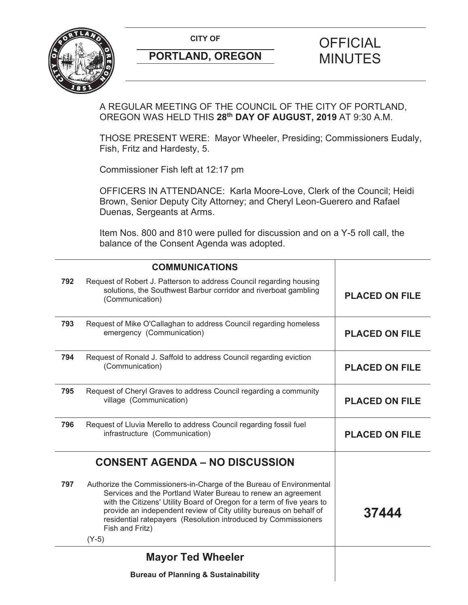CITY OF **CITY OF SALE OF FICIAL** 



# **PORTLAND, OREGON MINUTES**

# A REGULAR MEETING OF THE COUNCIL OF THE CITY OF PORTLAND, OREGON WAS HELD THIS **28th DAY OF AUGUST, 2019** AT 9:30 A.M.

THOSE PRESENT WERE: Mayor Wheeler, Presiding; Commissioners Eudaly, Fish, Fritz and Hardesty, 5.

Commissioner Fish left at 12:17 pm

OFFICERS IN ATTENDANCE: Karla Moore-Love, Clerk of the Council; Heidi Brown, Senior Deputy City Attorney; and Cheryl Leon-Guerero and Rafael Duenas, Sergeants at Arms.

Item Nos. 800 and 810 were pulled for discussion and on a Y-5 roll call, the balance of the Consent Agenda was adopted.

|     | <b>COMMUNICATIONS</b>                                                                                                                                                                                                                                                                                                                                                                |                       |
|-----|--------------------------------------------------------------------------------------------------------------------------------------------------------------------------------------------------------------------------------------------------------------------------------------------------------------------------------------------------------------------------------------|-----------------------|
| 792 | Request of Robert J. Patterson to address Council regarding housing<br>solutions, the Southwest Barbur corridor and riverboat gambling<br>(Communication)                                                                                                                                                                                                                            | <b>PLACED ON FILE</b> |
| 793 | Request of Mike O'Callaghan to address Council regarding homeless<br>emergency (Communication)                                                                                                                                                                                                                                                                                       | <b>PLACED ON FILE</b> |
| 794 | Request of Ronald J. Saffold to address Council regarding eviction<br>(Communication)                                                                                                                                                                                                                                                                                                | <b>PLACED ON FILE</b> |
| 795 | Request of Cheryl Graves to address Council regarding a community<br>village (Communication)                                                                                                                                                                                                                                                                                         | <b>PLACED ON FILE</b> |
| 796 | Request of Lluvia Merello to address Council regarding fossil fuel<br>infrastructure (Communication)                                                                                                                                                                                                                                                                                 | <b>PLACED ON FILE</b> |
|     | <b>CONSENT AGENDA - NO DISCUSSION</b>                                                                                                                                                                                                                                                                                                                                                |                       |
| 797 | Authorize the Commissioners-in-Charge of the Bureau of Environmental<br>Services and the Portland Water Bureau to renew an agreement<br>with the Citizens' Utility Board of Oregon for a term of five years to<br>provide an independent review of City utility bureaus on behalf of<br>residential ratepayers (Resolution introduced by Commissioners<br>Fish and Fritz)<br>$(Y-5)$ | 37444                 |
|     | <b>Mayor Ted Wheeler</b>                                                                                                                                                                                                                                                                                                                                                             |                       |
|     | <b>Bureau of Planning &amp; Sustainability</b>                                                                                                                                                                                                                                                                                                                                       |                       |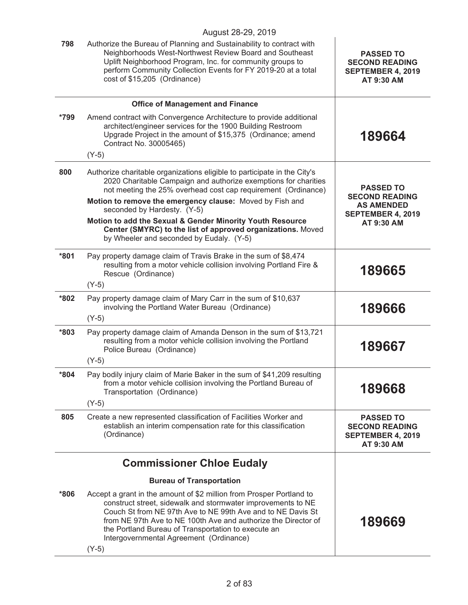|        | August 28-29, 2019                                                                                                                                                                                                                                                                                                                                                                 |                                                                              |
|--------|------------------------------------------------------------------------------------------------------------------------------------------------------------------------------------------------------------------------------------------------------------------------------------------------------------------------------------------------------------------------------------|------------------------------------------------------------------------------|
| 798    | Authorize the Bureau of Planning and Sustainability to contract with<br>Neighborhoods West-Northwest Review Board and Southeast<br>Uplift Neighborhood Program, Inc. for community groups to<br>perform Community Collection Events for FY 2019-20 at a total<br>cost of \$15,205 (Ordinance)                                                                                      | <b>PASSED TO</b><br><b>SECOND READING</b><br>SEPTEMBER 4, 2019<br>AT 9:30 AM |
|        | <b>Office of Management and Finance</b>                                                                                                                                                                                                                                                                                                                                            |                                                                              |
| *799   | Amend contract with Convergence Architecture to provide additional<br>architect/engineer services for the 1900 Building Restroom<br>Upgrade Project in the amount of \$15,375 (Ordinance; amend<br>Contract No. 30005465)                                                                                                                                                          | 189664                                                                       |
|        | $(Y-5)$                                                                                                                                                                                                                                                                                                                                                                            |                                                                              |
| 800    | Authorize charitable organizations eligible to participate in the City's<br>2020 Charitable Campaign and authorize exemptions for charities<br>not meeting the 25% overhead cost cap requirement (Ordinance)<br>Motion to remove the emergency clause: Moved by Fish and                                                                                                           | <b>PASSED TO</b><br><b>SECOND READING</b>                                    |
|        | seconded by Hardesty. (Y-5)<br>Motion to add the Sexual & Gender Minority Youth Resource<br>Center (SMYRC) to the list of approved organizations. Moved<br>by Wheeler and seconded by Eudaly. (Y-5)                                                                                                                                                                                | <b>AS AMENDED</b><br><b>SEPTEMBER 4, 2019</b><br>AT 9:30 AM                  |
|        |                                                                                                                                                                                                                                                                                                                                                                                    |                                                                              |
| $*801$ | Pay property damage claim of Travis Brake in the sum of \$8,474<br>resulting from a motor vehicle collision involving Portland Fire &<br>Rescue (Ordinance)                                                                                                                                                                                                                        | 189665                                                                       |
|        | $(Y-5)$                                                                                                                                                                                                                                                                                                                                                                            |                                                                              |
| *802   | Pay property damage claim of Mary Carr in the sum of \$10,637<br>involving the Portland Water Bureau (Ordinance)<br>$(Y-5)$                                                                                                                                                                                                                                                        | 189666                                                                       |
| $*803$ | Pay property damage claim of Amanda Denson in the sum of \$13,721<br>resulting from a motor vehicle collision involving the Portland<br>Police Bureau (Ordinance)<br>$(Y-5)$                                                                                                                                                                                                       | 189667                                                                       |
| *804   | Pay bodily injury claim of Marie Baker in the sum of \$41,209 resulting<br>from a motor vehicle collision involving the Portland Bureau of<br>Transportation (Ordinance)<br>$(Y-5)$                                                                                                                                                                                                | 189668                                                                       |
| 805    | Create a new represented classification of Facilities Worker and                                                                                                                                                                                                                                                                                                                   |                                                                              |
|        | establish an interim compensation rate for this classification<br>(Ordinance)                                                                                                                                                                                                                                                                                                      | <b>PASSED TO</b><br><b>SECOND READING</b><br>SEPTEMBER 4, 2019<br>AT 9:30 AM |
|        | <b>Commissioner Chloe Eudaly</b>                                                                                                                                                                                                                                                                                                                                                   |                                                                              |
|        | <b>Bureau of Transportation</b>                                                                                                                                                                                                                                                                                                                                                    |                                                                              |
| $*806$ | Accept a grant in the amount of \$2 million from Prosper Portland to<br>construct street, sidewalk and stormwater improvements to NE<br>Couch St from NE 97th Ave to NE 99th Ave and to NE Davis St<br>from NE 97th Ave to NE 100th Ave and authorize the Director of<br>the Portland Bureau of Transportation to execute an<br>Intergovernmental Agreement (Ordinance)<br>$(Y-5)$ | 189669                                                                       |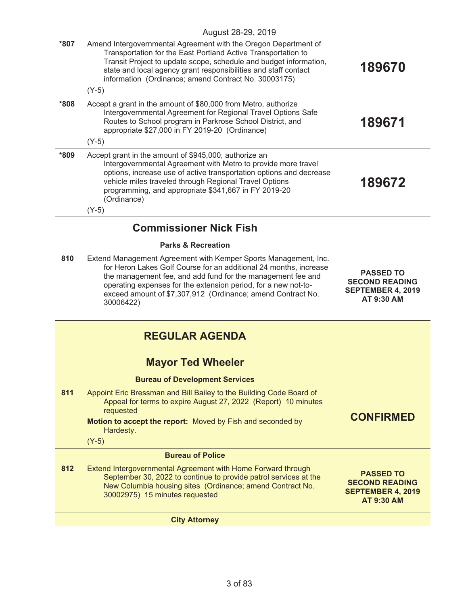|         | August 28-29, 2019                                                                                                                                                                                                                                                                                                                                |                                                                                            |
|---------|---------------------------------------------------------------------------------------------------------------------------------------------------------------------------------------------------------------------------------------------------------------------------------------------------------------------------------------------------|--------------------------------------------------------------------------------------------|
| *807    | Amend Intergovernmental Agreement with the Oregon Department of<br>Transportation for the East Portland Active Transportation to<br>Transit Project to update scope, schedule and budget information,<br>state and local agency grant responsibilities and staff contact<br>information (Ordinance; amend Contract No. 30003175)                  | 189670                                                                                     |
|         | $(Y-5)$                                                                                                                                                                                                                                                                                                                                           |                                                                                            |
| $*808*$ | Accept a grant in the amount of \$80,000 from Metro, authorize<br>Intergovernmental Agreement for Regional Travel Options Safe<br>Routes to School program in Parkrose School District, and<br>appropriate \$27,000 in FY 2019-20 (Ordinance)<br>$(Y-5)$                                                                                          | 189671                                                                                     |
| *809    | Accept grant in the amount of \$945,000, authorize an<br>Intergovernmental Agreement with Metro to provide more travel<br>options, increase use of active transportation options and decrease<br>vehicle miles traveled through Regional Travel Options<br>programming, and appropriate \$341,667 in FY 2019-20<br>(Ordinance)<br>$(Y-5)$         | 189672                                                                                     |
|         | <b>Commissioner Nick Fish</b>                                                                                                                                                                                                                                                                                                                     |                                                                                            |
|         | <b>Parks &amp; Recreation</b>                                                                                                                                                                                                                                                                                                                     |                                                                                            |
| 810     | Extend Management Agreement with Kemper Sports Management, Inc.<br>for Heron Lakes Golf Course for an additional 24 months, increase<br>the management fee, and add fund for the management fee and<br>operating expenses for the extension period, for a new not-to-<br>exceed amount of \$7,307,912 (Ordinance; amend Contract No.<br>30006422) | <b>PASSED TO</b><br><b>SECOND READING</b><br>SEPTEMBER 4, 2019<br>AT 9:30 AM               |
|         | <b>REGULAR AGENDA</b>                                                                                                                                                                                                                                                                                                                             |                                                                                            |
|         | <b>Mayor Ted Wheeler</b>                                                                                                                                                                                                                                                                                                                          |                                                                                            |
|         | <b>Bureau of Development Services</b>                                                                                                                                                                                                                                                                                                             |                                                                                            |
| 811     | Appoint Eric Bressman and Bill Bailey to the Building Code Board of<br>Appeal for terms to expire August 27, 2022 (Report) 10 minutes<br>requested                                                                                                                                                                                                | <b>CONFIRMED</b>                                                                           |
|         | Motion to accept the report: Moved by Fish and seconded by<br>Hardesty.<br>$(Y-5)$                                                                                                                                                                                                                                                                |                                                                                            |
|         | <b>Bureau of Police</b>                                                                                                                                                                                                                                                                                                                           |                                                                                            |
| 812     | Extend Intergovernmental Agreement with Home Forward through<br>September 30, 2022 to continue to provide patrol services at the<br>New Columbia housing sites (Ordinance; amend Contract No.<br>30002975) 15 minutes requested                                                                                                                   | <b>PASSED TO</b><br><b>SECOND READING</b><br><b>SEPTEMBER 4, 2019</b><br><b>AT 9:30 AM</b> |
|         | <b>City Attorney</b>                                                                                                                                                                                                                                                                                                                              |                                                                                            |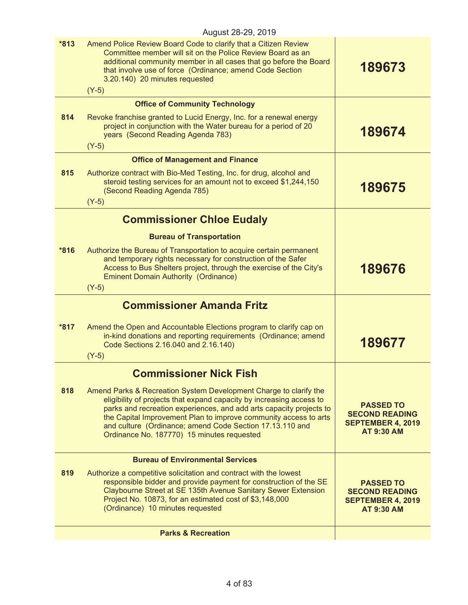|        | August 28-29, 2019                                                                                                                                                                                                                                                                                                                                                                             |                                                                                            |
|--------|------------------------------------------------------------------------------------------------------------------------------------------------------------------------------------------------------------------------------------------------------------------------------------------------------------------------------------------------------------------------------------------------|--------------------------------------------------------------------------------------------|
| $*813$ | Amend Police Review Board Code to clarify that a Citizen Review<br>Committee member will sit on the Police Review Board as an<br>additional community member in all cases that go before the Board<br>that involve use of force (Ordinance; amend Code Section<br>3.20.140) 20 minutes requested<br>$(Y-5)$                                                                                    | 189673                                                                                     |
|        | <b>Office of Community Technology</b>                                                                                                                                                                                                                                                                                                                                                          |                                                                                            |
| 814    | Revoke franchise granted to Lucid Energy, Inc. for a renewal energy<br>project in conjunction with the Water bureau for a period of 20<br>years (Second Reading Agenda 783)<br>$(Y-5)$                                                                                                                                                                                                         | 189674                                                                                     |
|        | <b>Office of Management and Finance</b>                                                                                                                                                                                                                                                                                                                                                        |                                                                                            |
| 815    | Authorize contract with Bio-Med Testing, Inc. for drug, alcohol and<br>steroid testing services for an amount not to exceed \$1,244,150<br>(Second Reading Agenda 785)<br>$(Y-5)$                                                                                                                                                                                                              | 189675                                                                                     |
|        | <b>Commissioner Chloe Eudaly</b>                                                                                                                                                                                                                                                                                                                                                               |                                                                                            |
|        | <b>Bureau of Transportation</b>                                                                                                                                                                                                                                                                                                                                                                |                                                                                            |
| $*816$ | Authorize the Bureau of Transportation to acquire certain permanent<br>and temporary rights necessary for construction of the Safer<br>Access to Bus Shelters project, through the exercise of the City's<br><b>Eminent Domain Authority (Ordinance)</b><br>$(Y-5)$                                                                                                                            | 189676                                                                                     |
|        | <b>Commissioner Amanda Fritz</b>                                                                                                                                                                                                                                                                                                                                                               |                                                                                            |
| $*817$ | Amend the Open and Accountable Elections program to clarify cap on<br>in-kind donations and reporting requirements (Ordinance; amend<br>Code Sections 2.16.040 and 2.16.140)<br>$(Y-5)$                                                                                                                                                                                                        | 189677                                                                                     |
|        | <b>Commissioner Nick Fish</b>                                                                                                                                                                                                                                                                                                                                                                  |                                                                                            |
| 818    | Amend Parks & Recreation System Development Charge to clarify the<br>eligibility of projects that expand capacity by increasing access to<br>parks and recreation experiences, and add arts capacity projects to<br>the Capital Improvement Plan to improve community access to arts<br>and culture (Ordinance; amend Code Section 17.13.110 and<br>Ordinance No. 187770) 15 minutes requested | <b>PASSED TO</b><br><b>SECOND READING</b><br><b>SEPTEMBER 4, 2019</b><br><b>AT 9:30 AM</b> |
|        | <b>Bureau of Environmental Services</b>                                                                                                                                                                                                                                                                                                                                                        |                                                                                            |
| 819    | Authorize a competitive solicitation and contract with the lowest<br>responsible bidder and provide payment for construction of the SE<br>Claybourne Street at SE 135th Avenue Sanitary Sewer Extension<br>Project No. 10873, for an estimated cost of \$3,148,000<br>(Ordinance) 10 minutes requested                                                                                         | <b>PASSED TO</b><br><b>SECOND READING</b><br><b>SEPTEMBER 4, 2019</b><br><b>AT 9:30 AM</b> |
|        | <b>Parks &amp; Recreation</b>                                                                                                                                                                                                                                                                                                                                                                  |                                                                                            |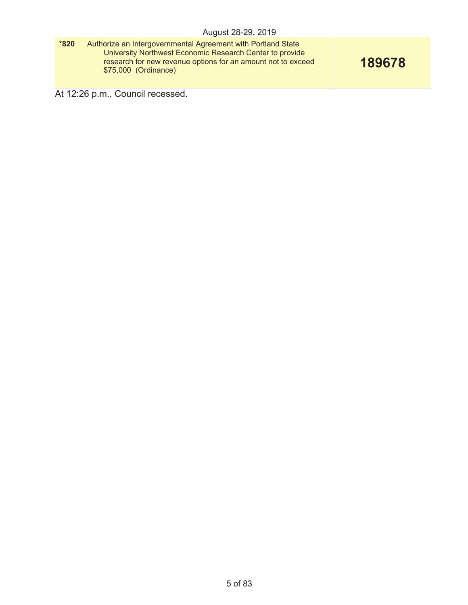| $*820$ | Authorize an Intergovernmental Agreement with Portland State<br>University Northwest Economic Research Center to provide<br>research for new revenue options for an amount not to exceed | 189678 |
|--------|------------------------------------------------------------------------------------------------------------------------------------------------------------------------------------------|--------|
|        | \$75,000 (Ordinance)                                                                                                                                                                     |        |

At 12:26 p.m., Council recessed.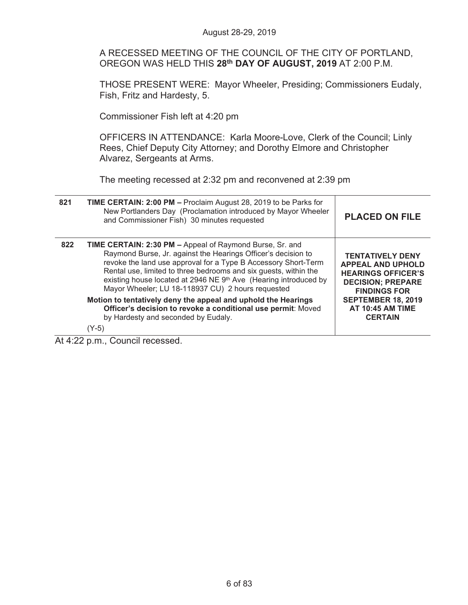A RECESSED MEETING OF THE COUNCIL OF THE CITY OF PORTLAND, OREGON WAS HELD THIS **28th DAY OF AUGUST, 2019** AT 2:00 P.M.

THOSE PRESENT WERE: Mayor Wheeler, Presiding; Commissioners Eudaly, Fish, Fritz and Hardesty, 5.

Commissioner Fish left at 4:20 pm

OFFICERS IN ATTENDANCE: Karla Moore-Love, Clerk of the Council; Linly Rees, Chief Deputy City Attorney; and Dorothy Elmore and Christopher Alvarez, Sergeants at Arms.

The meeting recessed at 2:32 pm and reconvened at 2:39 pm

| 821 | TIME CERTAIN: 2:00 PM - Proclaim August 28, 2019 to be Parks for<br>New Portlanders Day (Proclamation introduced by Mayor Wheeler<br>and Commissioner Fish) 30 minutes requested                                                                                                                                                                                                                | <b>PLACED ON FILE</b>                                                                                                                                                                                         |
|-----|-------------------------------------------------------------------------------------------------------------------------------------------------------------------------------------------------------------------------------------------------------------------------------------------------------------------------------------------------------------------------------------------------|---------------------------------------------------------------------------------------------------------------------------------------------------------------------------------------------------------------|
| 822 | <b>TIME CERTAIN: 2:30 PM - Appeal of Raymond Burse, Sr. and</b><br>Raymond Burse, Jr. against the Hearings Officer's decision to<br>revoke the land use approval for a Type B Accessory Short-Term<br>Rental use, limited to three bedrooms and six guests, within the<br>existing house located at 2946 NE 9th Ave (Hearing introduced by<br>Mayor Wheeler; LU 18-118937 CU) 2 hours requested | <b>TENTATIVELY DENY</b><br><b>APPEAL AND UPHOLD</b><br><b>HEARINGS OFFICER'S</b><br><b>DECISION; PREPARE</b><br><b>FINDINGS FOR</b><br><b>SEPTEMBER 18, 2019</b><br><b>AT 10:45 AM TIME</b><br><b>CERTAIN</b> |
|     | Motion to tentatively deny the appeal and uphold the Hearings<br>Officer's decision to revoke a conditional use permit: Moved<br>by Hardesty and seconded by Eudaly.                                                                                                                                                                                                                            |                                                                                                                                                                                                               |
|     | (Y-5)                                                                                                                                                                                                                                                                                                                                                                                           |                                                                                                                                                                                                               |

At 4:22 p.m., Council recessed.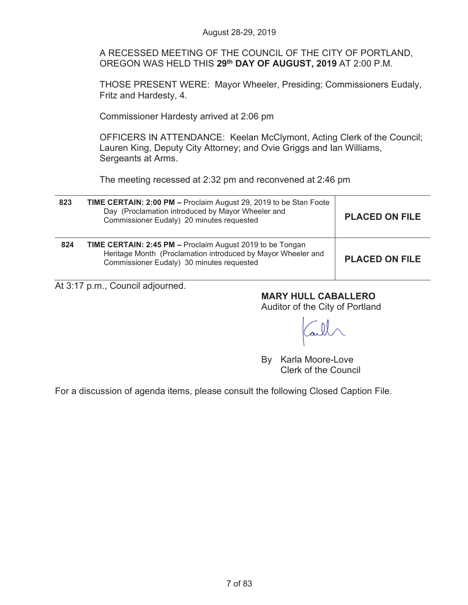A RECESSED MEETING OF THE COUNCIL OF THE CITY OF PORTLAND, OREGON WAS HELD THIS **29th DAY OF AUGUST, 2019** AT 2:00 P.M.

THOSE PRESENT WERE: Mayor Wheeler, Presiding; Commissioners Eudaly, Fritz and Hardesty, 4.

Commissioner Hardesty arrived at 2:06 pm

OFFICERS IN ATTENDANCE: Keelan McClymont, Acting Clerk of the Council; Lauren King, Deputy City Attorney; and Ovie Griggs and Ian Williams, Sergeants at Arms.

The meeting recessed at 2:32 pm and reconvened at 2:46 pm

| 823 | TIME CERTAIN: 2:00 PM - Proclaim August 29, 2019 to be Stan Foote<br>Day (Proclamation introduced by Mayor Wheeler and<br>Commissioner Eudaly) 20 minutes requested    | <b>PLACED ON FILE</b> |
|-----|------------------------------------------------------------------------------------------------------------------------------------------------------------------------|-----------------------|
| 824 | TIME CERTAIN: 2:45 PM - Proclaim August 2019 to be Tongan<br>Heritage Month (Proclamation introduced by Mayor Wheeler and<br>Commissioner Eudaly) 30 minutes requested | <b>PLACED ON FILE</b> |

At 3:17 p.m., Council adjourned.

**MARY HULL CABALLERO** 

Auditor of the City of Portland

By Karla Moore-Love Clerk of the Council

For a discussion of agenda items, please consult the following Closed Caption File.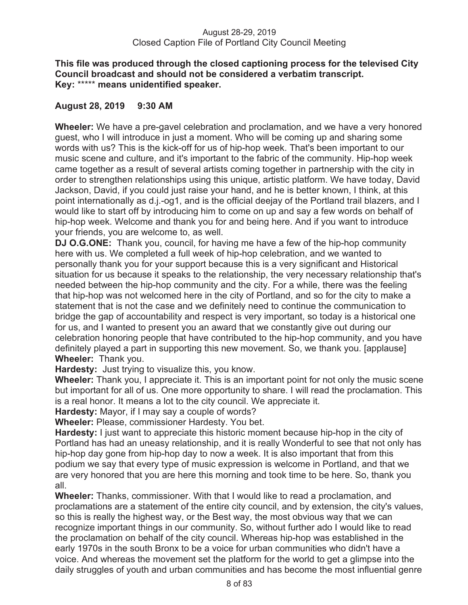### **This file was produced through the closed captioning process for the televised City Council broadcast and should not be considered a verbatim transcript. Key:** \*\*\*\*\* **means unidentified speaker.**

# **August 28, 2019 9:30 AM**

**Wheeler:** We have a pre-gavel celebration and proclamation, and we have a very honored guest, who I will introduce in just a moment. Who will be coming up and sharing some words with us? This is the kick-off for us of hip-hop week. That's been important to our music scene and culture, and it's important to the fabric of the community. Hip-hop week came together as a result of several artists coming together in partnership with the city in order to strengthen relationships using this unique, artistic platform. We have today, David Jackson, David, if you could just raise your hand, and he is better known, I think, at this point internationally as d.j.-og1, and is the official deejay of the Portland trail blazers, and I would like to start off by introducing him to come on up and say a few words on behalf of hip-hop week. Welcome and thank you for and being here. And if you want to introduce your friends, you are welcome to, as well.

**DJ O.G.ONE:** Thank you, council, for having me have a few of the hip-hop community here with us. We completed a full week of hip-hop celebration, and we wanted to personally thank you for your support because this is a very significant and Historical situation for us because it speaks to the relationship, the very necessary relationship that's needed between the hip-hop community and the city. For a while, there was the feeling that hip-hop was not welcomed here in the city of Portland, and so for the city to make a statement that is not the case and we definitely need to continue the communication to bridge the gap of accountability and respect is very important, so today is a historical one for us, and I wanted to present you an award that we constantly give out during our celebration honoring people that have contributed to the hip-hop community, and you have definitely played a part in supporting this new movement. So, we thank you. [applause] **Wheeler:** Thank you.

**Hardesty:** Just trying to visualize this, you know.

**Wheeler:** Thank you, I appreciate it. This is an important point for not only the music scene but important for all of us. One more opportunity to share. I will read the proclamation. This is a real honor. It means a lot to the city council. We appreciate it.

**Hardesty:** Mayor, if I may say a couple of words?

**Wheeler:** Please, commissioner Hardesty. You bet.

**Hardesty:** I just want to appreciate this historic moment because hip-hop in the city of Portland has had an uneasy relationship, and it is really Wonderful to see that not only has hip-hop day gone from hip-hop day to now a week. It is also important that from this podium we say that every type of music expression is welcome in Portland, and that we are very honored that you are here this morning and took time to be here. So, thank you all.

**Wheeler:** Thanks, commissioner. With that I would like to read a proclamation, and proclamations are a statement of the entire city council, and by extension, the city's values, so this is really the highest way, or the Best way, the most obvious way that we can recognize important things in our community. So, without further ado I would like to read the proclamation on behalf of the city council. Whereas hip-hop was established in the early 1970s in the south Bronx to be a voice for urban communities who didn't have a voice. And whereas the movement set the platform for the world to get a glimpse into the daily struggles of youth and urban communities and has become the most influential genre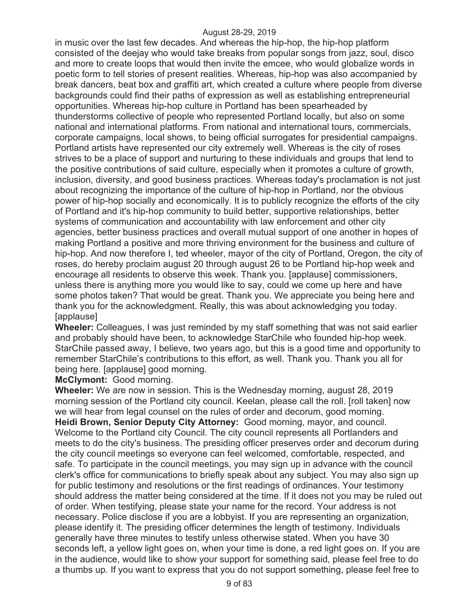in music over the last few decades. And whereas the hip-hop, the hip-hop platform consisted of the deejay who would take breaks from popular songs from jazz, soul, disco and more to create loops that would then invite the emcee, who would globalize words in poetic form to tell stories of present realities. Whereas, hip-hop was also accompanied by break dancers, beat box and graffiti art, which created a culture where people from diverse backgrounds could find their paths of expression as well as establishing entrepreneurial opportunities. Whereas hip-hop culture in Portland has been spearheaded by thunderstorms collective of people who represented Portland locally, but also on some national and international platforms. From national and international tours, commercials, corporate campaigns, local shows, to being official surrogates for presidential campaigns. Portland artists have represented our city extremely well. Whereas is the city of roses strives to be a place of support and nurturing to these individuals and groups that lend to the positive contributions of said culture, especially when it promotes a culture of growth, inclusion, diversity, and good business practices. Whereas today's proclamation is not just about recognizing the importance of the culture of hip-hop in Portland, nor the obvious power of hip-hop socially and economically. It is to publicly recognize the efforts of the city of Portland and it's hip-hop community to build better, supportive relationships, better systems of communication and accountability with law enforcement and other city agencies, better business practices and overall mutual support of one another in hopes of making Portland a positive and more thriving environment for the business and culture of hip-hop. And now therefore I, ted wheeler, mayor of the city of Portland, Oregon, the city of roses, do hereby proclaim august 20 through august 26 to be Portland hip-hop week and encourage all residents to observe this week. Thank you. [applause] commissioners, unless there is anything more you would like to say, could we come up here and have some photos taken? That would be great. Thank you. We appreciate you being here and thank you for the acknowledgment. Really, this was about acknowledging you today. [applause]

**Wheeler:** Colleagues, I was just reminded by my staff something that was not said earlier and probably should have been, to acknowledge StarChile who founded hip-hop week. StarChile passed away, I believe, two years ago, but this is a good time and opportunity to remember StarChile's contributions to this effort, as well. Thank you. Thank you all for being here. [applause] good morning.

**McClymont:** Good morning.

**Wheeler:** We are now in session. This is the Wednesday morning, august 28, 2019 morning session of the Portland city council. Keelan, please call the roll. [roll taken] now we will hear from legal counsel on the rules of order and decorum, good morning. **Heidi Brown, Senior Deputy City Attorney:** Good morning, mayor, and council. Welcome to the Portland city Council. The city council represents all Portlanders and meets to do the city's business. The presiding officer preserves order and decorum during the city council meetings so everyone can feel welcomed, comfortable, respected, and safe. To participate in the council meetings, you may sign up in advance with the council clerk's office for communications to briefly speak about any subject. You may also sign up for public testimony and resolutions or the first readings of ordinances. Your testimony should address the matter being considered at the time. If it does not you may be ruled out of order. When testifying, please state your name for the record. Your address is not necessary. Police disclose if you are a lobbyist. If you are representing an organization, please identify it. The presiding officer determines the length of testimony. Individuals generally have three minutes to testify unless otherwise stated. When you have 30 seconds left, a yellow light goes on, when your time is done, a red light goes on. If you are in the audience, would like to show your support for something said, please feel free to do a thumbs up. If you want to express that you do not support something, please feel free to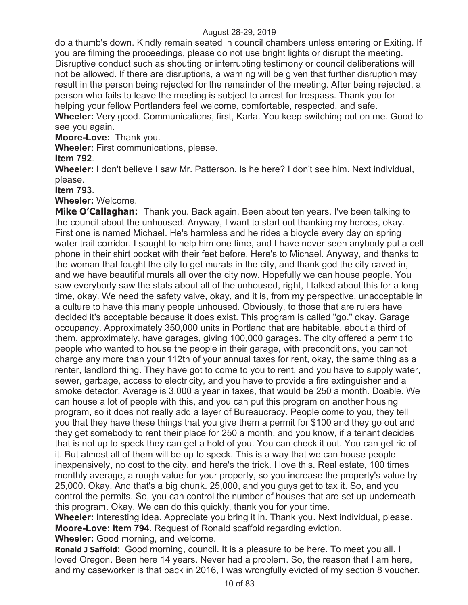do a thumb's down. Kindly remain seated in council chambers unless entering or Exiting. If you are filming the proceedings, please do not use bright lights or disrupt the meeting. Disruptive conduct such as shouting or interrupting testimony or council deliberations will not be allowed. If there are disruptions, a warning will be given that further disruption may result in the person being rejected for the remainder of the meeting. After being rejected, a person who fails to leave the meeting is subject to arrest for trespass. Thank you for helping your fellow Portlanders feel welcome, comfortable, respected, and safe.

**Wheeler:** Very good. Communications, first, Karla. You keep switching out on me. Good to see you again.

**Moore-Love:** Thank you.

**Wheeler:** First communications, please.

**Item 792**.

**Wheeler:** I don't believe I saw Mr. Patterson. Is he here? I don't see him. Next individual, please.

**Item 793**.

**Wheeler:** Welcome.

**Mike O'Callaghan:** Thank you. Back again. Been about ten years. I've been talking to the council about the unhoused. Anyway, I want to start out thanking my heroes, okay. First one is named Michael. He's harmless and he rides a bicycle every day on spring water trail corridor. I sought to help him one time, and I have never seen anybody put a cell phone in their shirt pocket with their feet before. Here's to Michael. Anyway, and thanks to the woman that fought the city to get murals in the city, and thank god the city caved in, and we have beautiful murals all over the city now. Hopefully we can house people. You saw everybody saw the stats about all of the unhoused, right, I talked about this for a long time, okay. We need the safety valve, okay, and it is, from my perspective, unacceptable in a culture to have this many people unhoused. Obviously, to those that are rulers have decided it's acceptable because it does exist. This program is called "go." okay. Garage occupancy. Approximately 350,000 units in Portland that are habitable, about a third of them, approximately, have garages, giving 100,000 garages. The city offered a permit to people who wanted to house the people in their garage, with preconditions, you cannot charge any more than your 112th of your annual taxes for rent, okay, the same thing as a renter, landlord thing. They have got to come to you to rent, and you have to supply water, sewer, garbage, access to electricity, and you have to provide a fire extinguisher and a smoke detector. Average is 3,000 a year in taxes, that would be 250 a month. Doable. We can house a lot of people with this, and you can put this program on another housing program, so it does not really add a layer of Bureaucracy. People come to you, they tell you that they have these things that you give them a permit for \$100 and they go out and they get somebody to rent their place for 250 a month, and you know, if a tenant decides that is not up to speck they can get a hold of you. You can check it out. You can get rid of it. But almost all of them will be up to speck. This is a way that we can house people inexpensively, no cost to the city, and here's the trick. I love this. Real estate, 100 times monthly average, a rough value for your property, so you increase the property's value by 25,000. Okay. And that's a big chunk. 25,000, and you guys get to tax it. So, and you control the permits. So, you can control the number of houses that are set up underneath this program. Okay. We can do this quickly, thank you for your time.

**Wheeler:** Interesting idea. Appreciate you bring it in. Thank you. Next individual, please. **Moore-Love: Item 794**. Request of Ronald scaffold regarding eviction. **Wheeler:** Good morning, and welcome.

**Ronald J Saffold**: Good morning, council. It is a pleasure to be here. To meet you all. I loved Oregon. Been here 14 years. Never had a problem. So, the reason that I am here, and my caseworker is that back in 2016, I was wrongfully evicted of my section 8 voucher.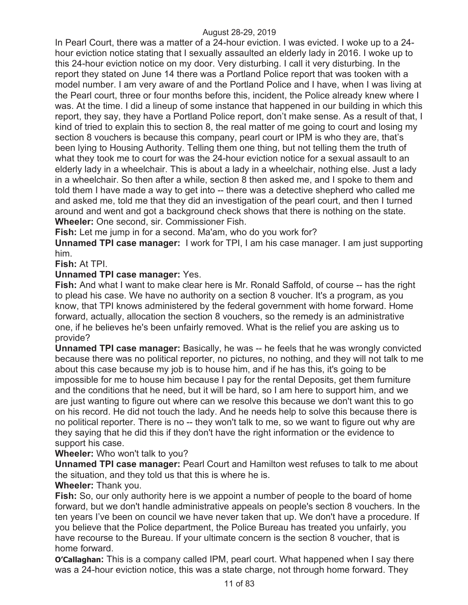In Pearl Court, there was a matter of a 24-hour eviction. I was evicted. I woke up to a 24 hour eviction notice stating that I sexually assaulted an elderly lady in 2016. I woke up to this 24-hour eviction notice on my door. Very disturbing. I call it very disturbing. In the report they stated on June 14 there was a Portland Police report that was tooken with a model number. I am very aware of and the Portland Police and I have, when I was living at the Pearl court, three or four months before this, incident, the Police already knew where I was. At the time. I did a lineup of some instance that happened in our building in which this report, they say, they have a Portland Police report, don't make sense. As a result of that, I kind of tried to explain this to section 8, the real matter of me going to court and losing my section 8 vouchers is because this company, pearl court or IPM is who they are, that's been lying to Housing Authority. Telling them one thing, but not telling them the truth of what they took me to court for was the 24-hour eviction notice for a sexual assault to an elderly lady in a wheelchair. This is about a lady in a wheelchair, nothing else. Just a lady in a wheelchair. So then after a while, section 8 then asked me, and I spoke to them and told them I have made a way to get into -- there was a detective shepherd who called me and asked me, told me that they did an investigation of the pearl court, and then I turned around and went and got a background check shows that there is nothing on the state. **Wheeler:** One second, sir. Commissioner Fish.

**Fish:** Let me jump in for a second. Ma'am, who do you work for?

**Unnamed TPI case manager:** I work for TPI, I am his case manager. I am just supporting him.

**Fish:** At TPI.

# **Unnamed TPI case manager:** Yes.

**Fish:** And what I want to make clear here is Mr. Ronald Saffold, of course -- has the right to plead his case. We have no authority on a section 8 voucher. It's a program, as you know, that TPI knows administered by the federal government with home forward. Home forward, actually, allocation the section 8 vouchers, so the remedy is an administrative one, if he believes he's been unfairly removed. What is the relief you are asking us to provide?

**Unnamed TPI case manager:** Basically, he was -- he feels that he was wrongly convicted because there was no political reporter, no pictures, no nothing, and they will not talk to me about this case because my job is to house him, and if he has this, it's going to be impossible for me to house him because I pay for the rental Deposits, get them furniture and the conditions that he need, but it will be hard, so I am here to support him, and we are just wanting to figure out where can we resolve this because we don't want this to go on his record. He did not touch the lady. And he needs help to solve this because there is no political reporter. There is no -- they won't talk to me, so we want to figure out why are they saying that he did this if they don't have the right information or the evidence to support his case.

# **Wheeler:** Who won't talk to you?

**Unnamed TPI case manager:** Pearl Court and Hamilton west refuses to talk to me about the situation, and they told us that this is where he is.

# **Wheeler:** Thank you.

**Fish:** So, our only authority here is we appoint a number of people to the board of home forward, but we don't handle administrative appeals on people's section 8 vouchers. In the ten years I've been on council we have never taken that up. We don't have a procedure. If you believe that the Police department, the Police Bureau has treated you unfairly, you have recourse to the Bureau. If your ultimate concern is the section 8 voucher, that is home forward.

**O'Callaghan:** This is a company called IPM, pearl court. What happened when I say there was a 24-hour eviction notice, this was a state charge, not through home forward. They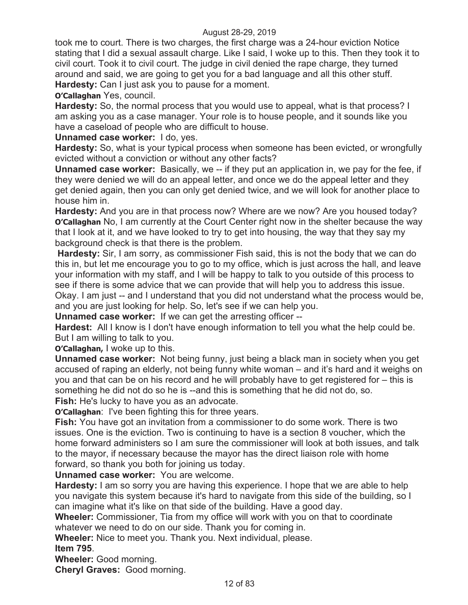took me to court. There is two charges, the first charge was a 24-hour eviction Notice stating that I did a sexual assault charge. Like I said, I woke up to this. Then they took it to civil court. Took it to civil court. The judge in civil denied the rape charge, they turned around and said, we are going to get you for a bad language and all this other stuff. **Hardesty:** Can I just ask you to pause for a moment.

**O'Callaghan** Yes, council.

**Hardesty:** So, the normal process that you would use to appeal, what is that process? I am asking you as a case manager. Your role is to house people, and it sounds like you have a caseload of people who are difficult to house.

**Unnamed case worker:** I do, yes.

**Hardesty:** So, what is your typical process when someone has been evicted, or wrongfully evicted without a conviction or without any other facts?

**Unnamed case worker:** Basically, we -- if they put an application in, we pay for the fee, if they were denied we will do an appeal letter, and once we do the appeal letter and they get denied again, then you can only get denied twice, and we will look for another place to house him in.

**Hardesty:** And you are in that process now? Where are we now? Are you housed today? **O'Callaghan** No, I am currently at the Court Center right now in the shelter because the way that I look at it, and we have looked to try to get into housing, the way that they say my background check is that there is the problem.

**Hardesty:** Sir, I am sorry, as commissioner Fish said, this is not the body that we can do this in, but let me encourage you to go to my office, which is just across the hall, and leave your information with my staff, and I will be happy to talk to you outside of this process to see if there is some advice that we can provide that will help you to address this issue. Okay. I am just -- and I understand that you did not understand what the process would be, and you are just looking for help. So, let's see if we can help you.

**Unnamed case worker:** If we can get the arresting officer --

**Hardest:** All I know is I don't have enough information to tell you what the help could be. But I am willing to talk to you.

**O'Callaghan,** I woke up to this.

**Unnamed case worker:** Not being funny, just being a black man in society when you get accused of raping an elderly, not being funny white woman – and it's hard and it weighs on you and that can be on his record and he will probably have to get registered for – this is something he did not do so he is --and this is something that he did not do, so. **Fish:** He's lucky to have you as an advocate.

**O'Callaghan**: I've been fighting this for three years.

**Fish:** You have got an invitation from a commissioner to do some work. There is two issues. One is the eviction. Two is continuing to have is a section 8 voucher, which the home forward administers so I am sure the commissioner will look at both issues, and talk to the mayor, if necessary because the mayor has the direct liaison role with home forward, so thank you both for joining us today.

**Unnamed case worker:** You are welcome.

**Hardesty:** I am so sorry you are having this experience. I hope that we are able to help you navigate this system because it's hard to navigate from this side of the building, so I can imagine what it's like on that side of the building. Have a good day.

**Wheeler:** Commissioner, Tia from my office will work with you on that to coordinate whatever we need to do on our side. Thank you for coming in.

**Wheeler:** Nice to meet you. Thank you. Next individual, please.

**Item 795**.

**Wheeler:** Good morning.

**Cheryl Graves:** Good morning.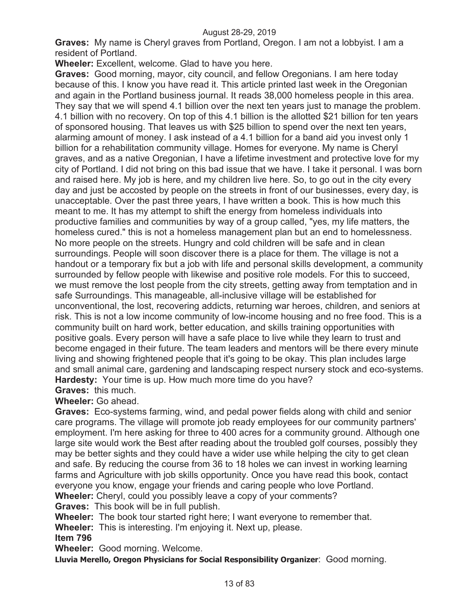**Graves:** My name is Cheryl graves from Portland, Oregon. I am not a lobbyist. I am a resident of Portland.

**Wheeler:** Excellent, welcome. Glad to have you here.

**Graves:** Good morning, mayor, city council, and fellow Oregonians. I am here today because of this. I know you have read it. This article printed last week in the Oregonian and again in the Portland business journal. It reads 38,000 homeless people in this area. They say that we will spend 4.1 billion over the next ten years just to manage the problem. 4.1 billion with no recovery. On top of this 4.1 billion is the allotted \$21 billion for ten years of sponsored housing. That leaves us with \$25 billion to spend over the next ten years, alarming amount of money. I ask instead of a 4.1 billion for a band aid you invest only 1 billion for a rehabilitation community village. Homes for everyone. My name is Cheryl graves, and as a native Oregonian, I have a lifetime investment and protective love for my city of Portland. I did not bring on this bad issue that we have. I take it personal. I was born and raised here. My job is here, and my children live here. So, to go out in the city every day and just be accosted by people on the streets in front of our businesses, every day, is unacceptable. Over the past three years, I have written a book. This is how much this meant to me. It has my attempt to shift the energy from homeless individuals into productive families and communities by way of a group called, "yes, my life matters, the homeless cured." this is not a homeless management plan but an end to homelessness. No more people on the streets. Hungry and cold children will be safe and in clean surroundings. People will soon discover there is a place for them. The village is not a handout or a temporary fix but a job with life and personal skills development, a community surrounded by fellow people with likewise and positive role models. For this to succeed, we must remove the lost people from the city streets, getting away from temptation and in safe Surroundings. This manageable, all-inclusive village will be established for unconventional, the lost, recovering addicts, returning war heroes, children, and seniors at risk. This is not a low income community of low-income housing and no free food. This is a community built on hard work, better education, and skills training opportunities with positive goals. Every person will have a safe place to live while they learn to trust and become engaged in their future. The team leaders and mentors will be there every minute living and showing frightened people that it's going to be okay. This plan includes large and small animal care, gardening and landscaping respect nursery stock and eco-systems. **Hardesty:** Your time is up. How much more time do you have?

**Graves:** this much.

**Wheeler:** Go ahead.

**Graves:** Eco-systems farming, wind, and pedal power fields along with child and senior care programs. The village will promote job ready employees for our community partners' employment. I'm here asking for three to 400 acres for a community ground. Although one large site would work the Best after reading about the troubled golf courses, possibly they may be better sights and they could have a wider use while helping the city to get clean and safe. By reducing the course from 36 to 18 holes we can invest in working learning farms and Agriculture with job skills opportunity. Once you have read this book, contact everyone you know, engage your friends and caring people who love Portland.

**Wheeler:** Cheryl, could you possibly leave a copy of your comments?

**Graves:** This book will be in full publish.

**Wheeler:** The book tour started right here; I want everyone to remember that.

**Wheeler:** This is interesting. I'm enjoying it. Next up, please.

# **Item 796**

**Wheeler:** Good morning. Welcome.

**Lluvia Merello, Oregon Physicians for Social Responsibility Organizer**: Good morning.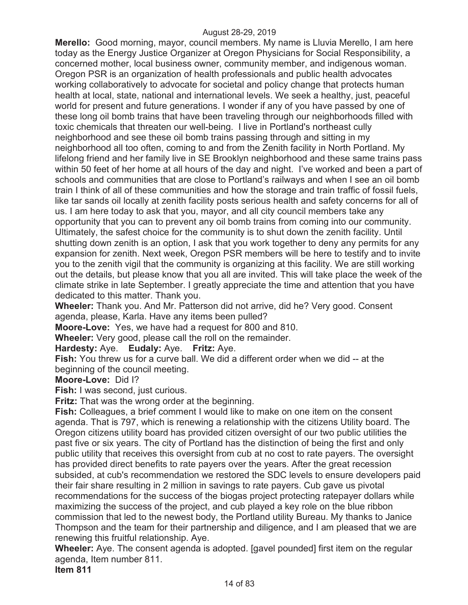**Merello:** Good morning, mayor, council members. My name is Lluvia Merello, I am here today as the Energy Justice Organizer at Oregon Physicians for Social Responsibility, a concerned mother, local business owner, community member, and indigenous woman. Oregon PSR is an organization of health professionals and public health advocates working collaboratively to advocate for societal and policy change that protects human health at local, state, national and international levels. We seek a healthy, just, peaceful world for present and future generations. I wonder if any of you have passed by one of these long oil bomb trains that have been traveling through our neighborhoods filled with toxic chemicals that threaten our well-being. I live in Portland's northeast cully neighborhood and see these oil bomb trains passing through and sitting in my neighborhood all too often, coming to and from the Zenith facility in North Portland. My lifelong friend and her family live in SE Brooklyn neighborhood and these same trains pass within 50 feet of her home at all hours of the day and night. I've worked and been a part of schools and communities that are close to Portland's railways and when I see an oil bomb train I think of all of these communities and how the storage and train traffic of fossil fuels, like tar sands oil locally at zenith facility posts serious health and safety concerns for all of us. I am here today to ask that you, mayor, and all city council members take any opportunity that you can to prevent any oil bomb trains from coming into our community. Ultimately, the safest choice for the community is to shut down the zenith facility. Until shutting down zenith is an option, I ask that you work together to deny any permits for any expansion for zenith. Next week, Oregon PSR members will be here to testify and to invite you to the zenith vigil that the community is organizing at this facility. We are still working out the details, but please know that you all are invited. This will take place the week of the climate strike in late September. I greatly appreciate the time and attention that you have dedicated to this matter. Thank you.

**Wheeler:** Thank you. And Mr. Patterson did not arrive, did he? Very good. Consent agenda, please, Karla. Have any items been pulled?

**Moore-Love:** Yes, we have had a request for 800 and 810.

**Wheeler:** Very good, please call the roll on the remainder.

**Hardesty:** Aye. **Eudaly:** Aye. **Fritz:** Aye.

**Fish:** You threw us for a curve ball. We did a different order when we did -- at the beginning of the council meeting.

#### **Moore-Love:** Did I?

**Fish:** I was second, just curious.

**Fritz:** That was the wrong order at the beginning.

**Fish:** Colleagues, a brief comment I would like to make on one item on the consent agenda. That is 797, which is renewing a relationship with the citizens Utility board. The Oregon citizens utility board has provided citizen oversight of our two public utilities the past five or six years. The city of Portland has the distinction of being the first and only public utility that receives this oversight from cub at no cost to rate payers. The oversight has provided direct benefits to rate payers over the years. After the great recession subsided, at cub's recommendation we restored the SDC levels to ensure developers paid their fair share resulting in 2 million in savings to rate payers. Cub gave us pivotal recommendations for the success of the biogas project protecting ratepayer dollars while maximizing the success of the project, and cub played a key role on the blue ribbon commission that led to the newest body, the Portland utility Bureau. My thanks to Janice Thompson and the team for their partnership and diligence, and I am pleased that we are renewing this fruitful relationship. Aye.

**Wheeler:** Aye. The consent agenda is adopted. [gavel pounded] first item on the regular agenda, Item number 811.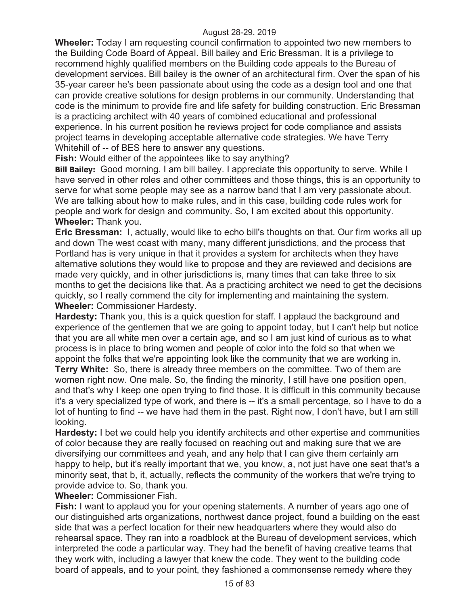**Wheeler:** Today I am requesting council confirmation to appointed two new members to the Building Code Board of Appeal. Bill bailey and Eric Bressman. It is a privilege to recommend highly qualified members on the Building code appeals to the Bureau of development services. Bill bailey is the owner of an architectural firm. Over the span of his 35-year career he's been passionate about using the code as a design tool and one that can provide creative solutions for design problems in our community. Understanding that code is the minimum to provide fire and life safety for building construction. Eric Bressman is a practicing architect with 40 years of combined educational and professional experience. In his current position he reviews project for code compliance and assists project teams in developing acceptable alternative code strategies. We have Terry Whitehill of -- of BES here to answer any questions.

**Fish:** Would either of the appointees like to say anything?

**Bill Bailey:** Good morning. I am bill bailey. I appreciate this opportunity to serve. While I have served in other roles and other committees and those things, this is an opportunity to serve for what some people may see as a narrow band that I am very passionate about. We are talking about how to make rules, and in this case, building code rules work for people and work for design and community. So, I am excited about this opportunity. **Wheeler:** Thank you.

**Eric Bressman:** I, actually, would like to echo bill's thoughts on that. Our firm works all up and down The west coast with many, many different jurisdictions, and the process that Portland has is very unique in that it provides a system for architects when they have alternative solutions they would like to propose and they are reviewed and decisions are made very quickly, and in other jurisdictions is, many times that can take three to six months to get the decisions like that. As a practicing architect we need to get the decisions quickly, so I really commend the city for implementing and maintaining the system. **Wheeler:** Commissioner Hardesty.

**Hardesty:** Thank you, this is a quick question for staff. I applaud the background and experience of the gentlemen that we are going to appoint today, but I can't help but notice that you are all white men over a certain age, and so I am just kind of curious as to what process is in place to bring women and people of color into the fold so that when we appoint the folks that we're appointing look like the community that we are working in.

**Terry White:** So, there is already three members on the committee. Two of them are women right now. One male. So, the finding the minority, I still have one position open, and that's why I keep one open trying to find those. It is difficult in this community because it's a very specialized type of work, and there is -- it's a small percentage, so I have to do a lot of hunting to find -- we have had them in the past. Right now, I don't have, but I am still looking.

**Hardesty:** I bet we could help you identify architects and other expertise and communities of color because they are really focused on reaching out and making sure that we are diversifying our committees and yeah, and any help that I can give them certainly am happy to help, but it's really important that we, you know, a, not just have one seat that's a minority seat, that b, it, actually, reflects the community of the workers that we're trying to provide advice to. So, thank you.

**Wheeler:** Commissioner Fish.

**Fish:** I want to applaud you for your opening statements. A number of years ago one of our distinguished arts organizations, northwest dance project, found a building on the east side that was a perfect location for their new headquarters where they would also do rehearsal space. They ran into a roadblock at the Bureau of development services, which interpreted the code a particular way. They had the benefit of having creative teams that they work with, including a lawyer that knew the code. They went to the building code board of appeals, and to your point, they fashioned a commonsense remedy where they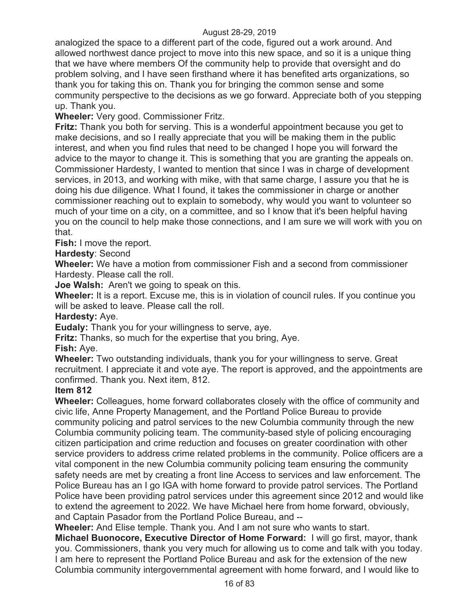analogized the space to a different part of the code, figured out a work around. And allowed northwest dance project to move into this new space, and so it is a unique thing that we have where members Of the community help to provide that oversight and do problem solving, and I have seen firsthand where it has benefited arts organizations, so thank you for taking this on. Thank you for bringing the common sense and some community perspective to the decisions as we go forward. Appreciate both of you stepping up. Thank you.

**Wheeler:** Very good. Commissioner Fritz.

**Fritz:** Thank you both for serving. This is a wonderful appointment because you get to make decisions, and so I really appreciate that you will be making them in the public interest, and when you find rules that need to be changed I hope you will forward the advice to the mayor to change it. This is something that you are granting the appeals on. Commissioner Hardesty, I wanted to mention that since I was in charge of development services, in 2013, and working with mike, with that same charge, I assure you that he is doing his due diligence. What I found, it takes the commissioner in charge or another commissioner reaching out to explain to somebody, why would you want to volunteer so much of your time on a city, on a committee, and so I know that it's been helpful having you on the council to help make those connections, and I am sure we will work with you on that.

**Fish:** I move the report.

**Hardesty**: Second

**Wheeler:** We have a motion from commissioner Fish and a second from commissioner Hardesty. Please call the roll.

**Joe Walsh:** Aren't we going to speak on this.

**Wheeler:** It is a report. Excuse me, this is in violation of council rules. If you continue you will be asked to leave. Please call the roll.

#### **Hardesty:** Aye.

**Eudaly:** Thank you for your willingness to serve, aye.

**Fritz:** Thanks, so much for the expertise that you bring, Aye.

**Fish:** Aye.

**Wheeler:** Two outstanding individuals, thank you for your willingness to serve. Great recruitment. I appreciate it and vote aye. The report is approved, and the appointments are confirmed. Thank you. Next item, 812.

#### **Item 812**

**Wheeler:** Colleagues, home forward collaborates closely with the office of community and civic life, Anne Property Management, and the Portland Police Bureau to provide community policing and patrol services to the new Columbia community through the new Columbia community policing team. The community-based style of policing encouraging citizen participation and crime reduction and focuses on greater coordination with other service providers to address crime related problems in the community. Police officers are a vital component in the new Columbia community policing team ensuring the community safety needs are met by creating a front line Access to services and law enforcement. The Police Bureau has an I go IGA with home forward to provide patrol services. The Portland Police have been providing patrol services under this agreement since 2012 and would like to extend the agreement to 2022. We have Michael here from home forward, obviously, and Captain Pasador from the Portland Police Bureau, and --

**Wheeler:** And Elise temple. Thank you. And I am not sure who wants to start.

**Michael Buonocore, Executive Director of Home Forward:** I will go first, mayor, thank you. Commissioners, thank you very much for allowing us to come and talk with you today. I am here to represent the Portland Police Bureau and ask for the extension of the new Columbia community intergovernmental agreement with home forward, and I would like to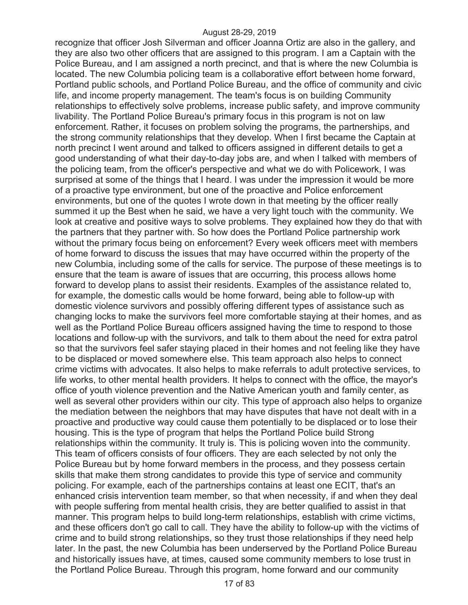recognize that officer Josh Silverman and officer Joanna Ortiz are also in the gallery, and they are also two other officers that are assigned to this program. I am a Captain with the Police Bureau, and I am assigned a north precinct, and that is where the new Columbia is located. The new Columbia policing team is a collaborative effort between home forward, Portland public schools, and Portland Police Bureau, and the office of community and civic life, and income property management. The team's focus is on building Community relationships to effectively solve problems, increase public safety, and improve community livability. The Portland Police Bureau's primary focus in this program is not on law enforcement. Rather, it focuses on problem solving the programs, the partnerships, and the strong community relationships that they develop. When I first became the Captain at north precinct I went around and talked to officers assigned in different details to get a good understanding of what their day-to-day jobs are, and when I talked with members of the policing team, from the officer's perspective and what we do with Policework, I was surprised at some of the things that I heard. I was under the impression it would be more of a proactive type environment, but one of the proactive and Police enforcement environments, but one of the quotes I wrote down in that meeting by the officer really summed it up the Best when he said, we have a very light touch with the community. We look at creative and positive ways to solve problems. They explained how they do that with the partners that they partner with. So how does the Portland Police partnership work without the primary focus being on enforcement? Every week officers meet with members of home forward to discuss the issues that may have occurred within the property of the new Columbia, including some of the calls for service. The purpose of these meetings is to ensure that the team is aware of issues that are occurring, this process allows home forward to develop plans to assist their residents. Examples of the assistance related to, for example, the domestic calls would be home forward, being able to follow-up with domestic violence survivors and possibly offering different types of assistance such as changing locks to make the survivors feel more comfortable staying at their homes, and as well as the Portland Police Bureau officers assigned having the time to respond to those locations and follow-up with the survivors, and talk to them about the need for extra patrol so that the survivors feel safer staying placed in their homes and not feeling like they have to be displaced or moved somewhere else. This team approach also helps to connect crime victims with advocates. It also helps to make referrals to adult protective services, to life works, to other mental health providers. It helps to connect with the office, the mayor's office of youth violence prevention and the Native American youth and family center, as well as several other providers within our city. This type of approach also helps to organize the mediation between the neighbors that may have disputes that have not dealt with in a proactive and productive way could cause them potentially to be displaced or to lose their housing. This is the type of program that helps the Portland Police build Strong relationships within the community. It truly is. This is policing woven into the community. This team of officers consists of four officers. They are each selected by not only the Police Bureau but by home forward members in the process, and they possess certain skills that make them strong candidates to provide this type of service and community policing. For example, each of the partnerships contains at least one ECIT, that's an enhanced crisis intervention team member, so that when necessity, if and when they deal with people suffering from mental health crisis, they are better qualified to assist in that manner. This program helps to build long-term relationships, establish with crime victims, and these officers don't go call to call. They have the ability to follow-up with the victims of crime and to build strong relationships, so they trust those relationships if they need help later. In the past, the new Columbia has been underserved by the Portland Police Bureau and historically issues have, at times, caused some community members to lose trust in the Portland Police Bureau. Through this program, home forward and our community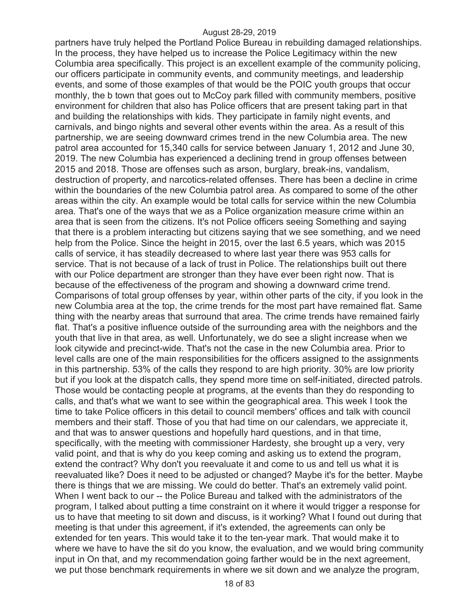partners have truly helped the Portland Police Bureau in rebuilding damaged relationships. In the process, they have helped us to increase the Police Legitimacy within the new Columbia area specifically. This project is an excellent example of the community policing, our officers participate in community events, and community meetings, and leadership events, and some of those examples of that would be the POIC youth groups that occur monthly, the b town that goes out to McCoy park filled with community members, positive environment for children that also has Police officers that are present taking part in that and building the relationships with kids. They participate in family night events, and carnivals, and bingo nights and several other events within the area. As a result of this partnership, we are seeing downward crimes trend in the new Columbia area. The new patrol area accounted for 15,340 calls for service between January 1, 2012 and June 30, 2019. The new Columbia has experienced a declining trend in group offenses between 2015 and 2018. Those are offenses such as arson, burglary, break-ins, vandalism, destruction of property, and narcotics-related offenses. There has been a decline in crime within the boundaries of the new Columbia patrol area. As compared to some of the other areas within the city. An example would be total calls for service within the new Columbia area. That's one of the ways that we as a Police organization measure crime within an area that is seen from the citizens. It's not Police officers seeing Something and saying that there is a problem interacting but citizens saying that we see something, and we need help from the Police. Since the height in 2015, over the last 6.5 years, which was 2015 calls of service, it has steadily decreased to where last year there was 953 calls for service. That is not because of a lack of trust in Police. The relationships built out there with our Police department are stronger than they have ever been right now. That is because of the effectiveness of the program and showing a downward crime trend. Comparisons of total group offenses by year, within other parts of the city, if you look in the new Columbia area at the top, the crime trends for the most part have remained flat. Same thing with the nearby areas that surround that area. The crime trends have remained fairly flat. That's a positive influence outside of the surrounding area with the neighbors and the youth that live in that area, as well. Unfortunately, we do see a slight increase when we look citywide and precinct-wide. That's not the case in the new Columbia area. Prior to level calls are one of the main responsibilities for the officers assigned to the assignments in this partnership. 53% of the calls they respond to are high priority. 30% are low priority but if you look at the dispatch calls, they spend more time on self-initiated, directed patrols. Those would be contacting people at programs, at the events than they do responding to calls, and that's what we want to see within the geographical area. This week I took the time to take Police officers in this detail to council members' offices and talk with council members and their staff. Those of you that had time on our calendars, we appreciate it, and that was to answer questions and hopefully hard questions, and in that time, specifically, with the meeting with commissioner Hardesty, she brought up a very, very valid point, and that is why do you keep coming and asking us to extend the program, extend the contract? Why don't you reevaluate it and come to us and tell us what it is reevaluated like? Does it need to be adjusted or changed? Maybe it's for the better. Maybe there is things that we are missing. We could do better. That's an extremely valid point. When I went back to our -- the Police Bureau and talked with the administrators of the program, I talked about putting a time constraint on it where it would trigger a response for us to have that meeting to sit down and discuss, is it working? What I found out during that meeting is that under this agreement, if it's extended, the agreements can only be extended for ten years. This would take it to the ten-year mark. That would make it to where we have to have the sit do you know, the evaluation, and we would bring community input in On that, and my recommendation going farther would be in the next agreement, we put those benchmark requirements in where we sit down and we analyze the program,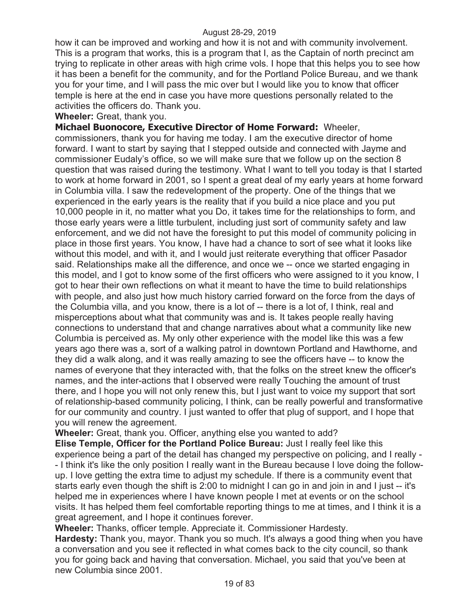how it can be improved and working and how it is not and with community involvement. This is a program that works, this is a program that I, as the Captain of north precinct am trying to replicate in other areas with high crime vols. I hope that this helps you to see how it has been a benefit for the community, and for the Portland Police Bureau, and we thank you for your time, and I will pass the mic over but I would like you to know that officer temple is here at the end in case you have more questions personally related to the activities the officers do. Thank you.

**Wheeler:** Great, thank you.

**Michael Buonocore, Executive Director of Home Forward:** Wheeler, commissioners, thank you for having me today. I am the executive director of home forward. I want to start by saying that I stepped outside and connected with Jayme and commissioner Eudaly's office, so we will make sure that we follow up on the section 8 question that was raised during the testimony. What I want to tell you today is that I started to work at home forward in 2001, so I spent a great deal of my early years at home forward in Columbia villa. I saw the redevelopment of the property. One of the things that we experienced in the early years is the reality that if you build a nice place and you put 10,000 people in it, no matter what you Do, it takes time for the relationships to form, and those early years were a little turbulent, including just sort of community safety and law enforcement, and we did not have the foresight to put this model of community policing in place in those first years. You know, I have had a chance to sort of see what it looks like without this model, and with it, and I would just reiterate everything that officer Pasador said. Relationships make all the difference, and once we -- once we started engaging in this model, and I got to know some of the first officers who were assigned to it you know, I got to hear their own reflections on what it meant to have the time to build relationships with people, and also just how much history carried forward on the force from the days of the Columbia villa, and you know, there is a lot of -- there is a lot of, I think, real and misperceptions about what that community was and is. It takes people really having connections to understand that and change narratives about what a community like new Columbia is perceived as. My only other experience with the model like this was a few years ago there was a, sort of a walking patrol in downtown Portland and Hawthorne, and they did a walk along, and it was really amazing to see the officers have -- to know the names of everyone that they interacted with, that the folks on the street knew the officer's names, and the inter-actions that I observed were really Touching the amount of trust there, and I hope you will not only renew this, but I just want to voice my support that sort of relationship-based community policing, I think, can be really powerful and transformative for our community and country. I just wanted to offer that plug of support, and I hope that you will renew the agreement.

**Wheeler:** Great, thank you. Officer, anything else you wanted to add?

**Elise Temple, Officer for the Portland Police Bureau:** Just I really feel like this experience being a part of the detail has changed my perspective on policing, and I really - - I think it's like the only position I really want in the Bureau because I love doing the followup. I love getting the extra time to adjust my schedule. If there is a community event that starts early even though the shift is 2:00 to midnight I can go in and join in and I just -- it's helped me in experiences where I have known people I met at events or on the school visits. It has helped them feel comfortable reporting things to me at times, and I think it is a great agreement, and I hope it continues forever.

**Wheeler:** Thanks, officer temple. Appreciate it. Commissioner Hardesty.

**Hardesty:** Thank you, mayor. Thank you so much. It's always a good thing when you have a conversation and you see it reflected in what comes back to the city council, so thank you for going back and having that conversation. Michael, you said that you've been at new Columbia since 2001.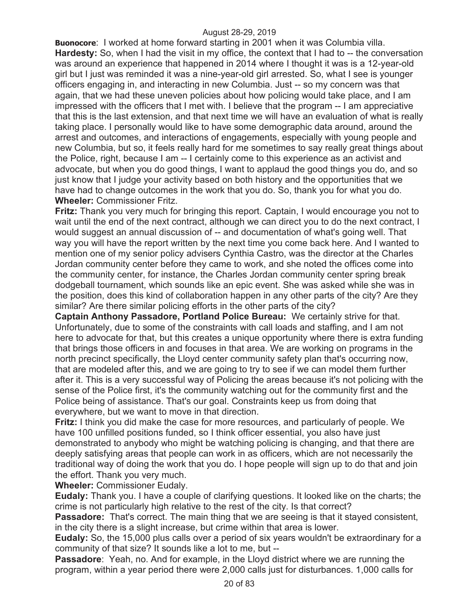**Buonocore**: I worked at home forward starting in 2001 when it was Columbia villa. **Hardesty:** So, when I had the visit in my office, the context that I had to -- the conversation was around an experience that happened in 2014 where I thought it was is a 12-year-old girl but I just was reminded it was a nine-year-old girl arrested. So, what I see is younger officers engaging in, and interacting in new Columbia. Just -- so my concern was that again, that we had these uneven policies about how policing would take place, and I am impressed with the officers that I met with. I believe that the program -- I am appreciative that this is the last extension, and that next time we will have an evaluation of what is really taking place. I personally would like to have some demographic data around, around the arrest and outcomes, and interactions of engagements, especially with young people and new Columbia, but so, it feels really hard for me sometimes to say really great things about the Police, right, because I am -- I certainly come to this experience as an activist and advocate, but when you do good things, I want to applaud the good things you do, and so just know that I judge your activity based on both history and the opportunities that we have had to change outcomes in the work that you do. So, thank you for what you do. **Wheeler:** Commissioner Fritz.

**Fritz:** Thank you very much for bringing this report. Captain, I would encourage you not to wait until the end of the next contract, although we can direct you to do the next contract, I would suggest an annual discussion of -- and documentation of what's going well. That way you will have the report written by the next time you come back here. And I wanted to mention one of my senior policy advisers Cynthia Castro, was the director at the Charles Jordan community center before they came to work, and she noted the offices come into the community center, for instance, the Charles Jordan community center spring break dodgeball tournament, which sounds like an epic event. She was asked while she was in the position, does this kind of collaboration happen in any other parts of the city? Are they similar? Are there similar policing efforts in the other parts of the city?

**Captain Anthony Passadore, Portland Police Bureau:** We certainly strive for that. Unfortunately, due to some of the constraints with call loads and staffing, and I am not here to advocate for that, but this creates a unique opportunity where there is extra funding that brings those officers in and focuses in that area. We are working on programs in the north precinct specifically, the Lloyd center community safety plan that's occurring now, that are modeled after this, and we are going to try to see if we can model them further after it. This is a very successful way of Policing the areas because it's not policing with the sense of the Police first, it's the community watching out for the community first and the Police being of assistance. That's our goal. Constraints keep us from doing that everywhere, but we want to move in that direction.

**Fritz:** I think you did make the case for more resources, and particularly of people. We have 100 unfilled positions funded, so I think officer essential, you also have just demonstrated to anybody who might be watching policing is changing, and that there are deeply satisfying areas that people can work in as officers, which are not necessarily the traditional way of doing the work that you do. I hope people will sign up to do that and join the effort. Thank you very much.

**Wheeler:** Commissioner Eudaly.

**Eudaly:** Thank you. I have a couple of clarifying questions. It looked like on the charts; the crime is not particularly high relative to the rest of the city. Is that correct?

**Passadore:** That's correct. The main thing that we are seeing is that it stayed consistent, in the city there is a slight increase, but crime within that area is lower.

**Eudaly:** So, the 15,000 plus calls over a period of six years wouldn't be extraordinary for a community of that size? It sounds like a lot to me, but --

**Passadore**: Yeah, no. And for example, in the Lloyd district where we are running the program, within a year period there were 2,000 calls just for disturbances. 1,000 calls for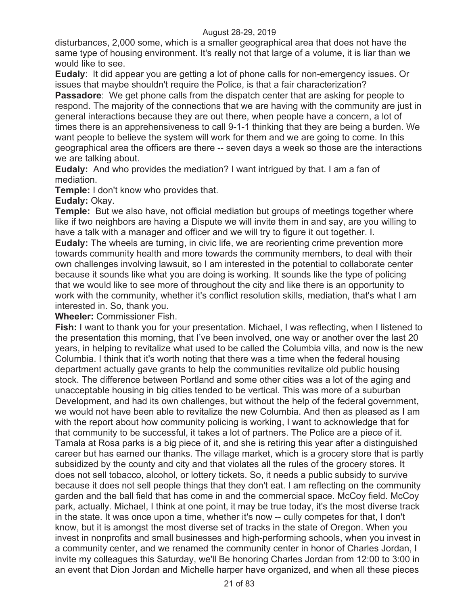disturbances, 2,000 some, which is a smaller geographical area that does not have the same type of housing environment. It's really not that large of a volume, it is liar than we would like to see.

**Eudaly**: It did appear you are getting a lot of phone calls for non-emergency issues. Or issues that maybe shouldn't require the Police, is that a fair characterization?

**Passadore**: We get phone calls from the dispatch center that are asking for people to respond. The majority of the connections that we are having with the community are just in general interactions because they are out there, when people have a concern, a lot of times there is an apprehensiveness to call 9-1-1 thinking that they are being a burden. We want people to believe the system will work for them and we are going to come. In this geographical area the officers are there -- seven days a week so those are the interactions we are talking about.

**Eudaly:** And who provides the mediation? I want intrigued by that. I am a fan of mediation.

**Temple:** I don't know who provides that.

**Eudaly:** Okay.

**Temple:** But we also have, not official mediation but groups of meetings together where like if two neighbors are having a Dispute we will invite them in and say, are you willing to have a talk with a manager and officer and we will try to figure it out together. I.

**Eudaly:** The wheels are turning, in civic life, we are reorienting crime prevention more towards community health and more towards the community members, to deal with their own challenges involving lawsuit, so I am interested in the potential to collaborate center because it sounds like what you are doing is working. It sounds like the type of policing that we would like to see more of throughout the city and like there is an opportunity to work with the community, whether it's conflict resolution skills, mediation, that's what I am interested in. So, thank you.

**Wheeler:** Commissioner Fish.

**Fish:** I want to thank you for your presentation. Michael, I was reflecting, when I listened to the presentation this morning, that I've been involved, one way or another over the last 20 years, in helping to revitalize what used to be called the Columbia villa, and now is the new Columbia. I think that it's worth noting that there was a time when the federal housing department actually gave grants to help the communities revitalize old public housing stock. The difference between Portland and some other cities was a lot of the aging and unacceptable housing in big cities tended to be vertical. This was more of a suburban Development, and had its own challenges, but without the help of the federal government, we would not have been able to revitalize the new Columbia. And then as pleased as I am with the report about how community policing is working, I want to acknowledge that for that community to be successful, it takes a lot of partners. The Police are a piece of it. Tamala at Rosa parks is a big piece of it, and she is retiring this year after a distinguished career but has earned our thanks. The village market, which is a grocery store that is partly subsidized by the county and city and that violates all the rules of the grocery stores. It does not sell tobacco, alcohol, or lottery tickets. So, it needs a public subsidy to survive because it does not sell people things that they don't eat. I am reflecting on the community garden and the ball field that has come in and the commercial space. McCoy field. McCoy park, actually. Michael, I think at one point, it may be true today, it's the most diverse track in the state. It was once upon a time, whether it's now -- cully competes for that, I don't know, but it is amongst the most diverse set of tracks in the state of Oregon. When you invest in nonprofits and small businesses and high-performing schools, when you invest in a community center, and we renamed the community center in honor of Charles Jordan, I invite my colleagues this Saturday, we'll Be honoring Charles Jordan from 12:00 to 3:00 in an event that Dion Jordan and Michelle harper have organized, and when all these pieces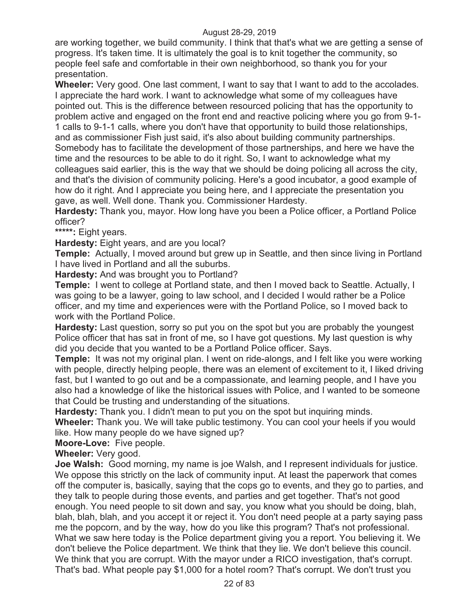are working together, we build community. I think that that's what we are getting a sense of progress. It's taken time. It is ultimately the goal is to knit together the community, so people feel safe and comfortable in their own neighborhood, so thank you for your presentation.

**Wheeler:** Very good. One last comment, I want to say that I want to add to the accolades. I appreciate the hard work. I want to acknowledge what some of my colleagues have pointed out. This is the difference between resourced policing that has the opportunity to problem active and engaged on the front end and reactive policing where you go from 9-1- 1 calls to 9-1-1 calls, where you don't have that opportunity to build those relationships, and as commissioner Fish just said, it's also about building community partnerships. Somebody has to facilitate the development of those partnerships, and here we have the time and the resources to be able to do it right. So, I want to acknowledge what my colleagues said earlier, this is the way that we should be doing policing all across the city, and that's the division of community policing. Here's a good incubator, a good example of how do it right. And I appreciate you being here, and I appreciate the presentation you gave, as well. Well done. Thank you. Commissioner Hardesty.

**Hardesty:** Thank you, mayor. How long have you been a Police officer, a Portland Police officer?

**\*\*\*\*\*:** Eight years.

**Hardesty:** Eight years, and are you local?

**Temple:** Actually, I moved around but grew up in Seattle, and then since living in Portland I have lived in Portland and all the suburbs.

**Hardesty:** And was brought you to Portland?

**Temple:** I went to college at Portland state, and then I moved back to Seattle. Actually, I was going to be a lawyer, going to law school, and I decided I would rather be a Police officer, and my time and experiences were with the Portland Police, so I moved back to work with the Portland Police.

**Hardesty:** Last question, sorry so put you on the spot but you are probably the youngest Police officer that has sat in front of me, so I have got questions. My last question is why did you decide that you wanted to be a Portland Police officer. Says.

**Temple:** It was not my original plan. I went on ride-alongs, and I felt like you were working with people, directly helping people, there was an element of excitement to it, I liked driving fast, but I wanted to go out and be a compassionate, and learning people, and I have you also had a knowledge of like the historical issues with Police, and I wanted to be someone that Could be trusting and understanding of the situations.

**Hardesty:** Thank you. I didn't mean to put you on the spot but inquiring minds.

**Wheeler:** Thank you. We will take public testimony. You can cool your heels if you would like. How many people do we have signed up?

**Moore-Love:** Five people.

**Wheeler:** Very good.

**Joe Walsh:** Good morning, my name is joe Walsh, and I represent individuals for justice. We oppose this strictly on the lack of community input. At least the paperwork that comes off the computer is, basically, saying that the cops go to events, and they go to parties, and they talk to people during those events, and parties and get together. That's not good enough. You need people to sit down and say, you know what you should be doing, blah, blah, blah, blah, and you accept it or reject it. You don't need people at a party saying pass me the popcorn, and by the way, how do you like this program? That's not professional. What we saw here today is the Police department giving you a report. You believing it. We don't believe the Police department. We think that they lie. We don't believe this council. We think that you are corrupt. With the mayor under a RICO investigation, that's corrupt. That's bad. What people pay \$1,000 for a hotel room? That's corrupt. We don't trust you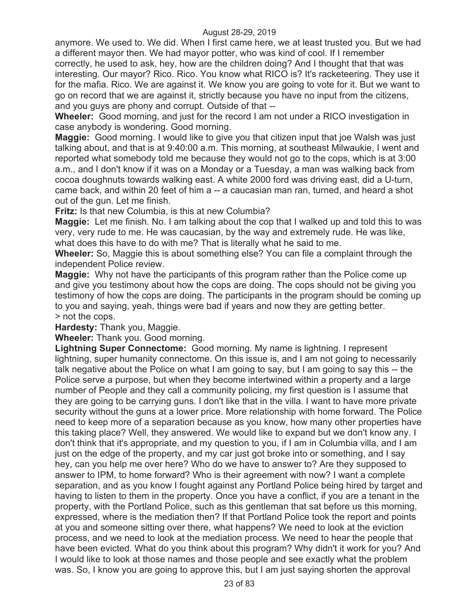anymore. We used to. We did. When I first came here, we at least trusted you. But we had a different mayor then. We had mayor potter, who was kind of cool. If I remember correctly, he used to ask, hey, how are the children doing? And I thought that that was interesting. Our mayor? Rico. Rico. You know what RICO is? It's racketeering. They use it for the mafia. Rico. We are against it. We know you are going to vote for it. But we want to go on record that we are against it, strictly because you have no input from the citizens, and you guys are phony and corrupt. Outside of that --

**Wheeler:** Good morning, and just for the record I am not under a RICO investigation in case anybody is wondering. Good morning.

**Maggie:** Good morning. I would like to give you that citizen input that joe Walsh was just talking about, and that is at 9:40:00 a.m. This morning, at southeast Milwaukie, I went and reported what somebody told me because they would not go to the cops, which is at 3:00 a.m., and I don't know if it was on a Monday or a Tuesday, a man was walking back from cocoa doughnuts towards walking east. A white 2000 ford was driving east, did a U-turn, came back, and within 20 feet of him a -- a caucasian man ran, turned, and heard a shot out of the gun. Let me finish.

**Fritz:** Is that new Columbia, is this at new Columbia?

**Maggie:** Let me finish. No. I am talking about the cop that I walked up and told this to was very, very rude to me. He was caucasian, by the way and extremely rude. He was like, what does this have to do with me? That is literally what he said to me.

**Wheeler:** So, Maggie this is about something else? You can file a complaint through the independent Police review.

**Maggie:** Why not have the participants of this program rather than the Police come up and give you testimony about how the cops are doing. The cops should not be giving you testimony of how the cops are doing. The participants in the program should be coming up to you and saying, yeah, things were bad if years and now they are getting better. > not the cops.

**Hardesty:** Thank you, Maggie.

**Wheeler:** Thank you. Good morning.

**Lightning Super Connectome:** Good morning. My name is lightning. I represent lightning, super humanity connectome. On this issue is, and I am not going to necessarily talk negative about the Police on what I am going to say, but I am going to say this -- the Police serve a purpose, but when they become intertwined within a property and a large number of People and they call a community policing, my first question is I assume that they are going to be carrying guns. I don't like that in the villa. I want to have more private security without the guns at a lower price. More relationship with home forward. The Police need to keep more of a separation because as you know, how many other properties have this taking place? Well, they answered. We would like to expand but we don't know any. I don't think that it's appropriate, and my question to you, if I am in Columbia villa, and I am just on the edge of the property, and my car just got broke into or something, and I say hey, can you help me over here? Who do we have to answer to? Are they supposed to answer to IPM, to home forward? Who is their agreement with now? I want a complete separation, and as you know I fought against any Portland Police being hired by target and having to listen to them in the property. Once you have a conflict, if you are a tenant in the property, with the Portland Police, such as this gentleman that sat before us this morning, expressed, where is the mediation then? If that Portland Police took the report and points at you and someone sitting over there, what happens? We need to look at the eviction process, and we need to look at the mediation process. We need to hear the people that have been evicted. What do you think about this program? Why didn't it work for you? And I would like to look at those names and those people and see exactly what the problem was. So, I know you are going to approve this, but I am just saying shorten the approval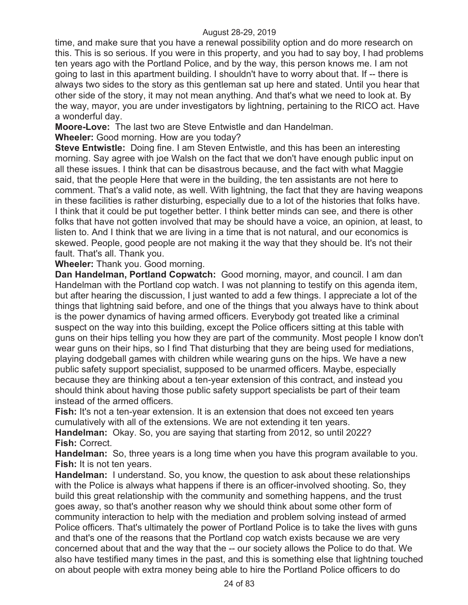time, and make sure that you have a renewal possibility option and do more research on this. This is so serious. If you were in this property, and you had to say boy, I had problems ten years ago with the Portland Police, and by the way, this person knows me. I am not going to last in this apartment building. I shouldn't have to worry about that. If -- there is always two sides to the story as this gentleman sat up here and stated. Until you hear that other side of the story, it may not mean anything. And that's what we need to look at. By the way, mayor, you are under investigators by lightning, pertaining to the RICO act. Have a wonderful day.

**Moore-Love:** The last two are Steve Entwistle and dan Handelman.

**Wheeler:** Good morning. How are you today?

**Steve Entwistle:** Doing fine. I am Steven Entwistle, and this has been an interesting morning. Say agree with joe Walsh on the fact that we don't have enough public input on all these issues. I think that can be disastrous because, and the fact with what Maggie said, that the people Here that were in the building, the ten assistants are not here to comment. That's a valid note, as well. With lightning, the fact that they are having weapons in these facilities is rather disturbing, especially due to a lot of the histories that folks have. I think that it could be put together better. I think better minds can see, and there is other folks that have not gotten involved that may be should have a voice, an opinion, at least, to listen to. And I think that we are living in a time that is not natural, and our economics is skewed. People, good people are not making it the way that they should be. It's not their fault. That's all. Thank you.

**Wheeler:** Thank you. Good morning.

**Dan Handelman, Portland Copwatch:** Good morning, mayor, and council. I am dan Handelman with the Portland cop watch. I was not planning to testify on this agenda item, but after hearing the discussion, I just wanted to add a few things. I appreciate a lot of the things that lightning said before, and one of the things that you always have to think about is the power dynamics of having armed officers. Everybody got treated like a criminal suspect on the way into this building, except the Police officers sitting at this table with guns on their hips telling you how they are part of the community. Most people I know don't wear guns on their hips, so I find That disturbing that they are being used for mediations, playing dodgeball games with children while wearing guns on the hips. We have a new public safety support specialist, supposed to be unarmed officers. Maybe, especially because they are thinking about a ten-year extension of this contract, and instead you should think about having those public safety support specialists be part of their team instead of the armed officers.

**Fish:** It's not a ten-year extension. It is an extension that does not exceed ten years cumulatively with all of the extensions. We are not extending it ten years.

**Handelman:** Okay. So, you are saying that starting from 2012, so until 2022? **Fish:** Correct.

**Handelman:** So, three years is a long time when you have this program available to you. **Fish:** It is not ten years.

**Handelman:** I understand. So, you know, the question to ask about these relationships with the Police is always what happens if there is an officer-involved shooting. So, they build this great relationship with the community and something happens, and the trust goes away, so that's another reason why we should think about some other form of community interaction to help with the mediation and problem solving instead of armed Police officers. That's ultimately the power of Portland Police is to take the lives with guns and that's one of the reasons that the Portland cop watch exists because we are very concerned about that and the way that the -- our society allows the Police to do that. We also have testified many times in the past, and this is something else that lightning touched on about people with extra money being able to hire the Portland Police officers to do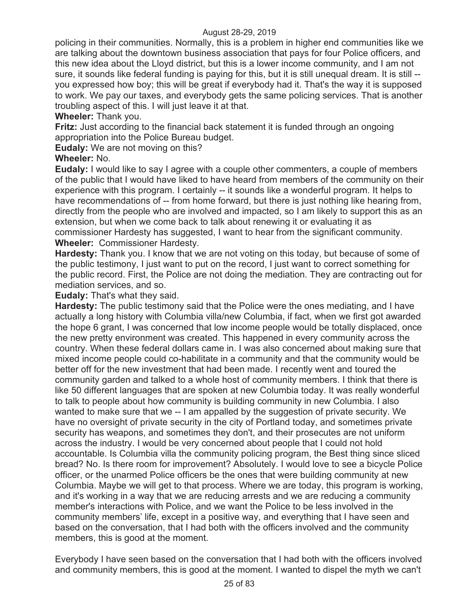policing in their communities. Normally, this is a problem in higher end communities like we are talking about the downtown business association that pays for four Police officers, and this new idea about the Lloyd district, but this is a lower income community, and I am not sure, it sounds like federal funding is paying for this, but it is still unequal dream. It is still - you expressed how boy; this will be great if everybody had it. That's the way it is supposed to work. We pay our taxes, and everybody gets the same policing services. That is another troubling aspect of this. I will just leave it at that.

# **Wheeler:** Thank you.

**Fritz:** Just according to the financial back statement it is funded through an ongoing appropriation into the Police Bureau budget.

**Eudaly:** We are not moving on this?

# **Wheeler:** No.

**Eudaly:** I would like to say I agree with a couple other commenters, a couple of members of the public that I would have liked to have heard from members of the community on their experience with this program. I certainly -- it sounds like a wonderful program. It helps to have recommendations of -- from home forward, but there is just nothing like hearing from, directly from the people who are involved and impacted, so I am likely to support this as an extension, but when we come back to talk about renewing it or evaluating it as commissioner Hardesty has suggested, I want to hear from the significant community. **Wheeler:** Commissioner Hardesty.

**Hardesty:** Thank you. I know that we are not voting on this today, but because of some of the public testimony, I just want to put on the record, I just want to correct something for the public record. First, the Police are not doing the mediation. They are contracting out for mediation services, and so.

# **Eudaly:** That's what they said.

**Hardesty:** The public testimony said that the Police were the ones mediating, and I have actually a long history with Columbia villa/new Columbia, if fact, when we first got awarded the hope 6 grant, I was concerned that low income people would be totally displaced, once the new pretty environment was created. This happened in every community across the country. When these federal dollars came in. I was also concerned about making sure that mixed income people could co-habilitate in a community and that the community would be better off for the new investment that had been made. I recently went and toured the community garden and talked to a whole host of community members. I think that there is like 50 different languages that are spoken at new Columbia today. It was really wonderful to talk to people about how community is building community in new Columbia. I also wanted to make sure that we -- I am appalled by the suggestion of private security. We have no oversight of private security in the city of Portland today, and sometimes private security has weapons, and sometimes they don't, and their prosecutes are not uniform across the industry. I would be very concerned about people that I could not hold accountable. Is Columbia villa the community policing program, the Best thing since sliced bread? No. Is there room for improvement? Absolutely. I would love to see a bicycle Police officer, or the unarmed Police officers be the ones that were building community at new Columbia. Maybe we will get to that process. Where we are today, this program is working, and it's working in a way that we are reducing arrests and we are reducing a community member's interactions with Police, and we want the Police to be less involved in the community members' life, except in a positive way, and everything that I have seen and based on the conversation, that I had both with the officers involved and the community members, this is good at the moment.

Everybody I have seen based on the conversation that I had both with the officers involved and community members, this is good at the moment. I wanted to dispel the myth we can't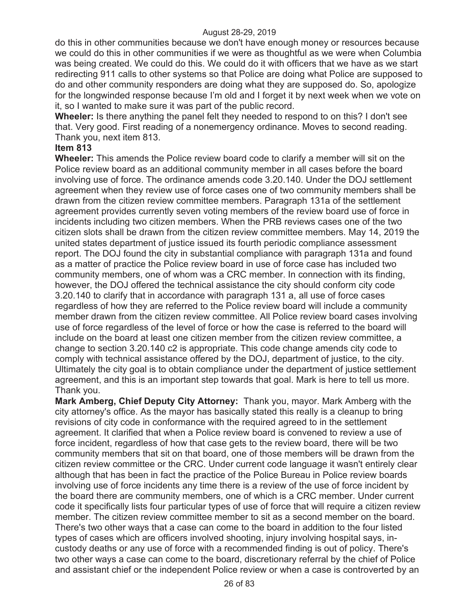do this in other communities because we don't have enough money or resources because we could do this in other communities if we were as thoughtful as we were when Columbia was being created. We could do this. We could do it with officers that we have as we start redirecting 911 calls to other systems so that Police are doing what Police are supposed to do and other community responders are doing what they are supposed do. So, apologize for the longwinded response because I'm old and I forget it by next week when we vote on it, so I wanted to make sure it was part of the public record.

**Wheeler:** Is there anything the panel felt they needed to respond to on this? I don't see that. Very good. First reading of a nonemergency ordinance. Moves to second reading. Thank you, next item 813.

### **Item 813**

**Wheeler:** This amends the Police review board code to clarify a member will sit on the Police review board as an additional community member in all cases before the board involving use of force. The ordinance amends code 3.20.140. Under the DOJ settlement agreement when they review use of force cases one of two community members shall be drawn from the citizen review committee members. Paragraph 131a of the settlement agreement provides currently seven voting members of the review board use of force in incidents including two citizen members. When the PRB reviews cases one of the two citizen slots shall be drawn from the citizen review committee members. May 14, 2019 the united states department of justice issued its fourth periodic compliance assessment report. The DOJ found the city in substantial compliance with paragraph 131a and found as a matter of practice the Police review board in use of force case has included two community members, one of whom was a CRC member. In connection with its finding, however, the DOJ offered the technical assistance the city should conform city code 3.20.140 to clarify that in accordance with paragraph 131 a, all use of force cases regardless of how they are referred to the Police review board will include a community member drawn from the citizen review committee. All Police review board cases involving use of force regardless of the level of force or how the case is referred to the board will include on the board at least one citizen member from the citizen review committee, a change to section 3.20.140 c2 is appropriate. This code change amends city code to comply with technical assistance offered by the DOJ, department of justice, to the city. Ultimately the city goal is to obtain compliance under the department of justice settlement agreement, and this is an important step towards that goal. Mark is here to tell us more. Thank you.

**Mark Amberg, Chief Deputy City Attorney:** Thank you, mayor. Mark Amberg with the city attorney's office. As the mayor has basically stated this really is a cleanup to bring revisions of city code in conformance with the required agreed to in the settlement agreement. It clarified that when a Police review board is convened to review a use of force incident, regardless of how that case gets to the review board, there will be two community members that sit on that board, one of those members will be drawn from the citizen review committee or the CRC. Under current code language it wasn't entirely clear although that has been in fact the practice of the Police Bureau in Police review boards involving use of force incidents any time there is a review of the use of force incident by the board there are community members, one of which is a CRC member. Under current code it specifically lists four particular types of use of force that will require a citizen review member. The citizen review committee member to sit as a second member on the board. There's two other ways that a case can come to the board in addition to the four listed types of cases which are officers involved shooting, injury involving hospital says, incustody deaths or any use of force with a recommended finding is out of policy. There's two other ways a case can come to the board, discretionary referral by the chief of Police and assistant chief or the independent Police review or when a case is controverted by an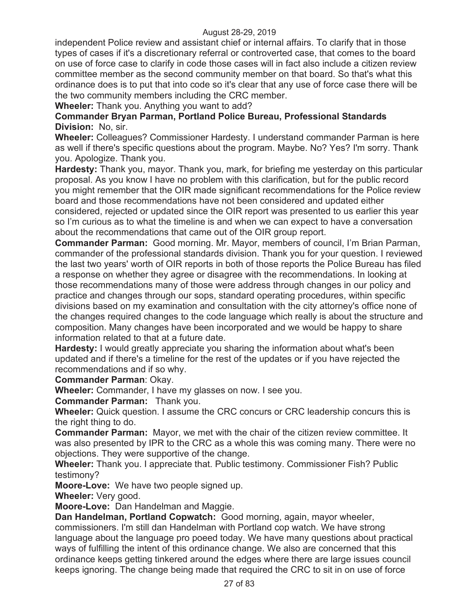independent Police review and assistant chief or internal affairs. To clarify that in those types of cases if it's a discretionary referral or controverted case, that comes to the board on use of force case to clarify in code those cases will in fact also include a citizen review committee member as the second community member on that board. So that's what this ordinance does is to put that into code so it's clear that any use of force case there will be the two community members including the CRC member.

**Wheeler:** Thank you. Anything you want to add?

# **Commander Bryan Parman, Portland Police Bureau, Professional Standards Division:** No, sir.

**Wheeler:** Colleagues? Commissioner Hardesty. I understand commander Parman is here as well if there's specific questions about the program. Maybe. No? Yes? I'm sorry. Thank you. Apologize. Thank you.

**Hardesty:** Thank you, mayor. Thank you, mark, for briefing me yesterday on this particular proposal. As you know I have no problem with this clarification, but for the public record you might remember that the OIR made significant recommendations for the Police review board and those recommendations have not been considered and updated either considered, rejected or updated since the OIR report was presented to us earlier this year so I'm curious as to what the timeline is and when we can expect to have a conversation about the recommendations that came out of the OIR group report.

**Commander Parman:** Good morning. Mr. Mayor, members of council, I'm Brian Parman, commander of the professional standards division. Thank you for your question. I reviewed the last two years' worth of OIR reports in both of those reports the Police Bureau has filed a response on whether they agree or disagree with the recommendations. In looking at those recommendations many of those were address through changes in our policy and practice and changes through our sops, standard operating procedures, within specific divisions based on my examination and consultation with the city attorney's office none of the changes required changes to the code language which really is about the structure and composition. Many changes have been incorporated and we would be happy to share information related to that at a future date.

**Hardesty:** I would greatly appreciate you sharing the information about what's been updated and if there's a timeline for the rest of the updates or if you have rejected the recommendations and if so why.

**Commander Parman**: Okay.

**Wheeler:** Commander, I have my glasses on now. I see you.

**Commander Parman:** Thank you.

**Wheeler:** Quick question. I assume the CRC concurs or CRC leadership concurs this is the right thing to do.

**Commander Parman:** Mayor, we met with the chair of the citizen review committee. It was also presented by IPR to the CRC as a whole this was coming many. There were no objections. They were supportive of the change.

**Wheeler:** Thank you. I appreciate that. Public testimony. Commissioner Fish? Public testimony?

**Moore-Love:** We have two people signed up.

**Wheeler:** Very good.

**Moore-Love:** Dan Handelman and Maggie.

**Dan Handelman, Portland Copwatch:** Good morning, again, mayor wheeler, commissioners. I'm still dan Handelman with Portland cop watch. We have strong language about the language pro poeed today. We have many questions about practical ways of fulfilling the intent of this ordinance change. We also are concerned that this ordinance keeps getting tinkered around the edges where there are large issues council keeps ignoring. The change being made that required the CRC to sit in on use of force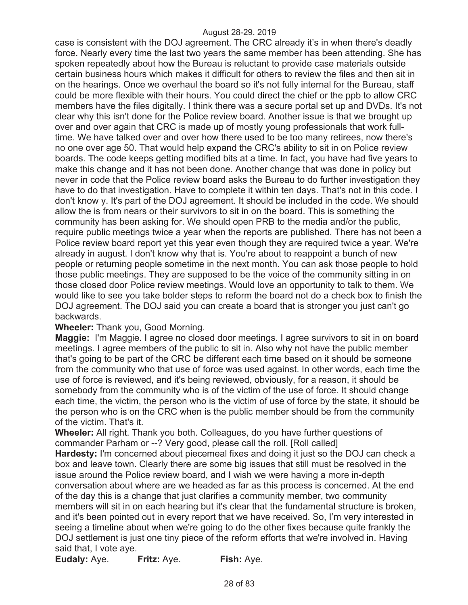case is consistent with the DOJ agreement. The CRC already it's in when there's deadly force. Nearly every time the last two years the same member has been attending. She has spoken repeatedly about how the Bureau is reluctant to provide case materials outside certain business hours which makes it difficult for others to review the files and then sit in on the hearings. Once we overhaul the board so it's not fully internal for the Bureau, staff could be more flexible with their hours. You could direct the chief or the ppb to allow CRC members have the files digitally. I think there was a secure portal set up and DVDs. It's not clear why this isn't done for the Police review board. Another issue is that we brought up over and over again that CRC is made up of mostly young professionals that work fulltime. We have talked over and over how there used to be too many retirees, now there's no one over age 50. That would help expand the CRC's ability to sit in on Police review boards. The code keeps getting modified bits at a time. In fact, you have had five years to make this change and it has not been done. Another change that was done in policy but never in code that the Police review board asks the Bureau to do further investigation they have to do that investigation. Have to complete it within ten days. That's not in this code. I don't know y. It's part of the DOJ agreement. It should be included in the code. We should allow the is from nears or their survivors to sit in on the board. This is something the community has been asking for. We should open PRB to the media and/or the public, require public meetings twice a year when the reports are published. There has not been a Police review board report yet this year even though they are required twice a year. We're already in august. I don't know why that is. You're about to reappoint a bunch of new people or returning people sometime in the next month. You can ask those people to hold those public meetings. They are supposed to be the voice of the community sitting in on those closed door Police review meetings. Would love an opportunity to talk to them. We would like to see you take bolder steps to reform the board not do a check box to finish the DOJ agreement. The DOJ said you can create a board that is stronger you just can't go backwards.

#### **Wheeler:** Thank you, Good Morning.

**Maggie:** I'm Maggie. I agree no closed door meetings. I agree survivors to sit in on board meetings. I agree members of the public to sit in. Also why not have the public member that's going to be part of the CRC be different each time based on it should be someone from the community who that use of force was used against. In other words, each time the use of force is reviewed, and it's being reviewed, obviously, for a reason, it should be somebody from the community who is of the victim of the use of force. It should change each time, the victim, the person who is the victim of use of force by the state, it should be the person who is on the CRC when is the public member should be from the community of the victim. That's it.

**Wheeler:** All right. Thank you both. Colleagues, do you have further questions of commander Parham or --? Very good, please call the roll. [Roll called]

**Hardesty:** I'm concerned about piecemeal fixes and doing it just so the DOJ can check a box and leave town. Clearly there are some big issues that still must be resolved in the issue around the Police review board, and I wish we were having a more in-depth conversation about where are we headed as far as this process is concerned. At the end of the day this is a change that just clarifies a community member, two community members will sit in on each hearing but it's clear that the fundamental structure is broken, and it's been pointed out in every report that we have received. So, I'm very interested in seeing a timeline about when we're going to do the other fixes because quite frankly the DOJ settlement is just one tiny piece of the reform efforts that we're involved in. Having said that, I vote aye.

**Eudaly:** Aye. **Fritz:** Aye. **Fish:** Aye.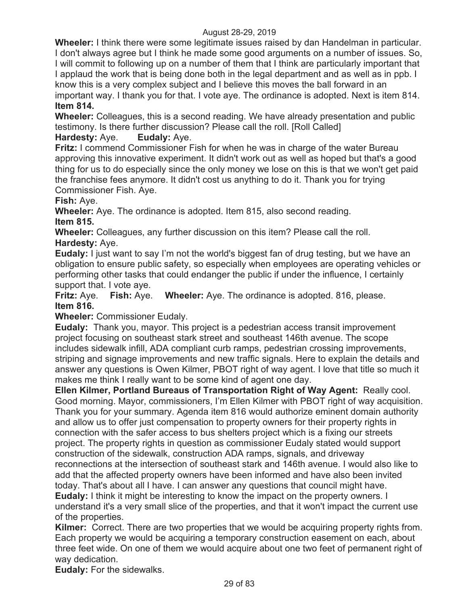**Wheeler:** I think there were some legitimate issues raised by dan Handelman in particular. I don't always agree but I think he made some good arguments on a number of issues. So, I will commit to following up on a number of them that I think are particularly important that I applaud the work that is being done both in the legal department and as well as in ppb. I know this is a very complex subject and I believe this moves the ball forward in an important way. I thank you for that. I vote aye. The ordinance is adopted. Next is item 814. **Item 814.** 

**Wheeler:** Colleagues, this is a second reading. We have already presentation and public testimony. Is there further discussion? Please call the roll. [Roll Called] **Hardesty:** Aye. **Eudaly:** Aye.

**Fritz:** I commend Commissioner Fish for when he was in charge of the water Bureau approving this innovative experiment. It didn't work out as well as hoped but that's a good thing for us to do especially since the only money we lose on this is that we won't get paid the franchise fees anymore. It didn't cost us anything to do it. Thank you for trying Commissioner Fish. Aye.

**Fish:** Aye.

**Wheeler:** Aye. The ordinance is adopted. Item 815, also second reading. **Item 815.** 

**Wheeler:** Colleagues, any further discussion on this item? Please call the roll. **Hardesty:** Aye.

**Eudaly:** I just want to say I'm not the world's biggest fan of drug testing, but we have an obligation to ensure public safety, so especially when employees are operating vehicles or performing other tasks that could endanger the public if under the influence, I certainly support that. I vote aye.

**Fritz:** Aye. **Fish:** Aye. **Wheeler:** Aye. The ordinance is adopted. 816, please. **Item 816.** 

**Wheeler:** Commissioner Eudaly.

**Eudaly:** Thank you, mayor. This project is a pedestrian access transit improvement project focusing on southeast stark street and southeast 146th avenue. The scope includes sidewalk infill, ADA compliant curb ramps, pedestrian crossing improvements, striping and signage improvements and new traffic signals. Here to explain the details and answer any questions is Owen Kilmer, PBOT right of way agent. I love that title so much it makes me think I really want to be some kind of agent one day.

**Ellen Kilmer, Portland Bureaus of Transportation Right of Way Agent:** Really cool. Good morning. Mayor, commissioners, I'm Ellen Kilmer with PBOT right of way acquisition. Thank you for your summary. Agenda item 816 would authorize eminent domain authority and allow us to offer just compensation to property owners for their property rights in connection with the safer access to bus shelters project which is a fixing our streets project. The property rights in question as commissioner Eudaly stated would support construction of the sidewalk, construction ADA ramps, signals, and driveway reconnections at the intersection of southeast stark and 146th avenue. I would also like to add that the affected property owners have been informed and have also been invited today. That's about all I have. I can answer any questions that council might have.

**Eudaly:** I think it might be interesting to know the impact on the property owners. I understand it's a very small slice of the properties, and that it won't impact the current use of the properties.

**Kilmer:** Correct. There are two properties that we would be acquiring property rights from. Each property we would be acquiring a temporary construction easement on each, about three feet wide. On one of them we would acquire about one two feet of permanent right of way dedication.

**Eudaly:** For the sidewalks.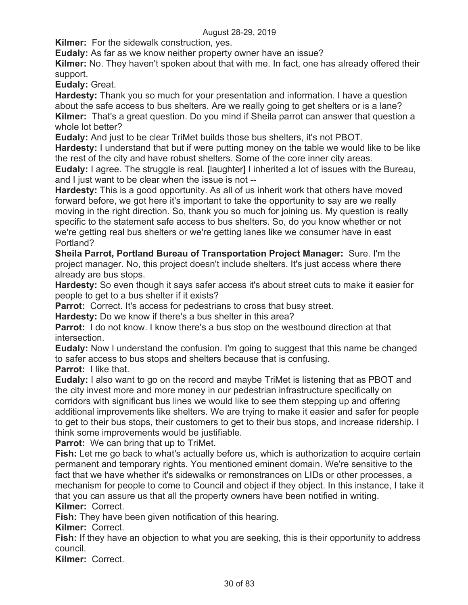**Kilmer:** For the sidewalk construction, yes.

**Eudaly:** As far as we know neither property owner have an issue?

**Kilmer:** No. They haven't spoken about that with me. In fact, one has already offered their support.

**Eudaly:** Great.

**Hardesty:** Thank you so much for your presentation and information. I have a question about the safe access to bus shelters. Are we really going to get shelters or is a lane? **Kilmer:** That's a great question. Do you mind if Sheila parrot can answer that question a whole lot better?

**Eudaly:** And just to be clear TriMet builds those bus shelters, it's not PBOT.

**Hardesty:** I understand that but if were putting money on the table we would like to be like the rest of the city and have robust shelters. Some of the core inner city areas.

**Eudaly:** I agree. The struggle is real. [laughter] I inherited a lot of issues with the Bureau, and I just want to be clear when the issue is not --

**Hardesty:** This is a good opportunity. As all of us inherit work that others have moved forward before, we got here it's important to take the opportunity to say are we really moving in the right direction. So, thank you so much for joining us. My question is really specific to the statement safe access to bus shelters. So, do you know whether or not we're getting real bus shelters or we're getting lanes like we consumer have in east Portland?

**Sheila Parrot, Portland Bureau of Transportation Project Manager:** Sure. I'm the project manager. No, this project doesn't include shelters. It's just access where there already are bus stops.

**Hardesty:** So even though it says safer access it's about street cuts to make it easier for people to get to a bus shelter if it exists?

**Parrot:** Correct. It's access for pedestrians to cross that busy street.

**Hardesty:** Do we know if there's a bus shelter in this area?

**Parrot:** I do not know. I know there's a bus stop on the westbound direction at that intersection.

**Eudaly:** Now I understand the confusion. I'm going to suggest that this name be changed to safer access to bus stops and shelters because that is confusing.

**Parrot:** I like that.

**Eudaly:** I also want to go on the record and maybe TriMet is listening that as PBOT and the city invest more and more money in our pedestrian infrastructure specifically on corridors with significant bus lines we would like to see them stepping up and offering additional improvements like shelters. We are trying to make it easier and safer for people to get to their bus stops, their customers to get to their bus stops, and increase ridership. I think some improvements would be justifiable.

**Parrot:** We can bring that up to TriMet.

**Fish:** Let me go back to what's actually before us, which is authorization to acquire certain permanent and temporary rights. You mentioned eminent domain. We're sensitive to the fact that we have whether it's sidewalks or remonstrances on LIDs or other processes, a mechanism for people to come to Council and object if they object. In this instance, I take it that you can assure us that all the property owners have been notified in writing. **Kilmer:** Correct.

**Fish:** They have been given notification of this hearing.

**Kilmer:** Correct.

**Fish:** If they have an objection to what you are seeking, this is their opportunity to address council.

**Kilmer:** Correct.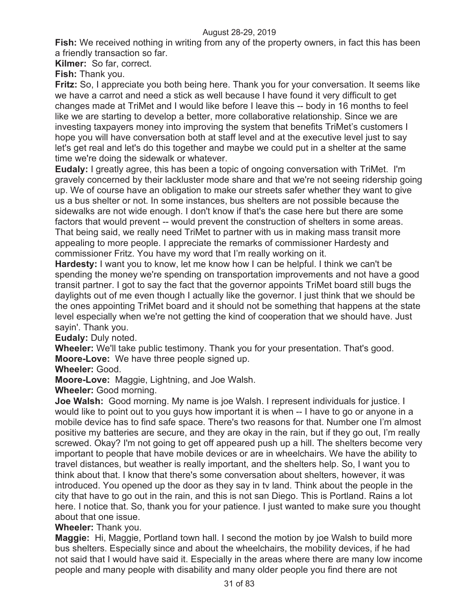**Fish:** We received nothing in writing from any of the property owners, in fact this has been a friendly transaction so far.

**Kilmer:** So far, correct.

**Fish:** Thank you.

**Fritz:** So, I appreciate you both being here. Thank you for your conversation. It seems like we have a carrot and need a stick as well because I have found it very difficult to get changes made at TriMet and I would like before I leave this -- body in 16 months to feel like we are starting to develop a better, more collaborative relationship. Since we are investing taxpayers money into improving the system that benefits TriMet's customers I hope you will have conversation both at staff level and at the executive level just to say let's get real and let's do this together and maybe we could put in a shelter at the same time we're doing the sidewalk or whatever.

**Eudaly:** I greatly agree, this has been a topic of ongoing conversation with TriMet. I'm gravely concerned by their lackluster mode share and that we're not seeing ridership going up. We of course have an obligation to make our streets safer whether they want to give us a bus shelter or not. In some instances, bus shelters are not possible because the sidewalks are not wide enough. I don't know if that's the case here but there are some factors that would prevent -- would prevent the construction of shelters in some areas. That being said, we really need TriMet to partner with us in making mass transit more appealing to more people. I appreciate the remarks of commissioner Hardesty and commissioner Fritz. You have my word that I'm really working on it.

**Hardesty:** I want you to know, let me know how I can be helpful. I think we can't be spending the money we're spending on transportation improvements and not have a good transit partner. I got to say the fact that the governor appoints TriMet board still bugs the daylights out of me even though I actually like the governor. I just think that we should be the ones appointing TriMet board and it should not be something that happens at the state level especially when we're not getting the kind of cooperation that we should have. Just sayin'. Thank you.

**Eudaly:** Duly noted.

**Wheeler:** We'll take public testimony. Thank you for your presentation. That's good. **Moore-Love:** We have three people signed up.

**Wheeler:** Good.

**Moore-Love:** Maggie, Lightning, and Joe Walsh.

**Wheeler:** Good morning.

**Joe Walsh:** Good morning. My name is joe Walsh. I represent individuals for justice. I would like to point out to you guys how important it is when -- I have to go or anyone in a mobile device has to find safe space. There's two reasons for that. Number one I'm almost positive my batteries are secure, and they are okay in the rain, but if they go out, I'm really screwed. Okay? I'm not going to get off appeared push up a hill. The shelters become very important to people that have mobile devices or are in wheelchairs. We have the ability to travel distances, but weather is really important, and the shelters help. So, I want you to think about that. I know that there's some conversation about shelters, however, it was introduced. You opened up the door as they say in tv land. Think about the people in the city that have to go out in the rain, and this is not san Diego. This is Portland. Rains a lot here. I notice that. So, thank you for your patience. I just wanted to make sure you thought about that one issue.

**Wheeler:** Thank you.

**Maggie:** Hi, Maggie, Portland town hall. I second the motion by joe Walsh to build more bus shelters. Especially since and about the wheelchairs, the mobility devices, if he had not said that I would have said it. Especially in the areas where there are many low income people and many people with disability and many older people you find there are not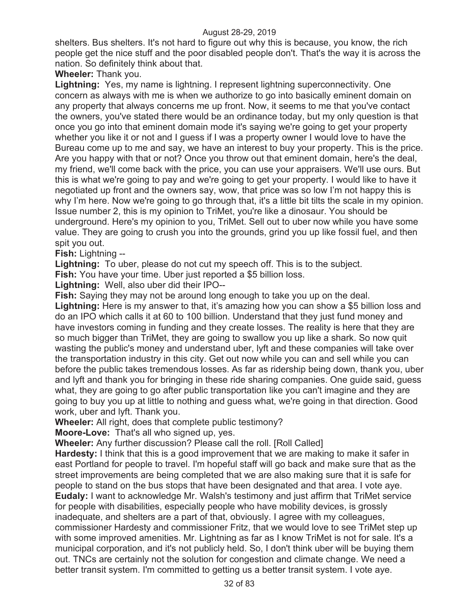shelters. Bus shelters. It's not hard to figure out why this is because, you know, the rich people get the nice stuff and the poor disabled people don't. That's the way it is across the nation. So definitely think about that.

**Wheeler:** Thank you.

**Lightning:** Yes, my name is lightning. I represent lightning superconnectivity. One concern as always with me is when we authorize to go into basically eminent domain on any property that always concerns me up front. Now, it seems to me that you've contact the owners, you've stated there would be an ordinance today, but my only question is that once you go into that eminent domain mode it's saying we're going to get your property whether you like it or not and I guess if I was a property owner I would love to have the Bureau come up to me and say, we have an interest to buy your property. This is the price. Are you happy with that or not? Once you throw out that eminent domain, here's the deal, my friend, we'll come back with the price, you can use your appraisers. We'll use ours. But this is what we're going to pay and we're going to get your property. I would like to have it negotiated up front and the owners say, wow, that price was so low I'm not happy this is why I'm here. Now we're going to go through that, it's a little bit tilts the scale in my opinion. Issue number 2, this is my opinion to TriMet, you're like a dinosaur. You should be underground. Here's my opinion to you, TriMet. Sell out to uber now while you have some value. They are going to crush you into the grounds, grind you up like fossil fuel, and then spit you out.

**Fish:** Lightning --

**Lightning:** To uber, please do not cut my speech off. This is to the subject.

**Fish:** You have your time. Uber just reported a \$5 billion loss.

**Lightning:** Well, also uber did their IPO--

**Fish:** Saying they may not be around long enough to take you up on the deal.

Lightning: Here is my answer to that, it's amazing how you can show a \$5 billion loss and do an IPO which calls it at 60 to 100 billion. Understand that they just fund money and have investors coming in funding and they create losses. The reality is here that they are so much bigger than TriMet, they are going to swallow you up like a shark. So now quit wasting the public's money and understand uber, lyft and these companies will take over the transportation industry in this city. Get out now while you can and sell while you can before the public takes tremendous losses. As far as ridership being down, thank you, uber and lyft and thank you for bringing in these ride sharing companies. One guide said, guess what, they are going to go after public transportation like you can't imagine and they are going to buy you up at little to nothing and guess what, we're going in that direction. Good work, uber and lyft. Thank you.

**Wheeler:** All right, does that complete public testimony?

**Moore-Love:** That's all who signed up, yes.

**Wheeler:** Any further discussion? Please call the roll. [Roll Called]

**Hardesty:** I think that this is a good improvement that we are making to make it safer in east Portland for people to travel. I'm hopeful staff will go back and make sure that as the street improvements are being completed that we are also making sure that it is safe for people to stand on the bus stops that have been designated and that area. I vote aye. **Eudaly:** I want to acknowledge Mr. Walsh's testimony and just affirm that TriMet service for people with disabilities, especially people who have mobility devices, is grossly inadequate, and shelters are a part of that, obviously. I agree with my colleagues, commissioner Hardesty and commissioner Fritz, that we would love to see TriMet step up with some improved amenities. Mr. Lightning as far as I know TriMet is not for sale. It's a municipal corporation, and it's not publicly held. So, I don't think uber will be buying them out. TNCs are certainly not the solution for congestion and climate change. We need a better transit system. I'm committed to getting us a better transit system. I vote aye.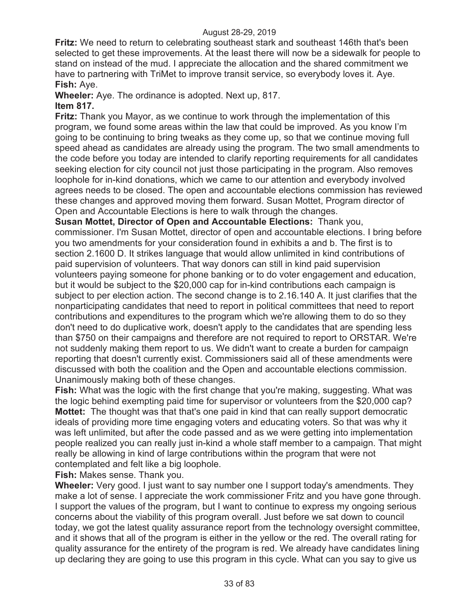**Fritz:** We need to return to celebrating southeast stark and southeast 146th that's been selected to get these improvements. At the least there will now be a sidewalk for people to stand on instead of the mud. I appreciate the allocation and the shared commitment we have to partnering with TriMet to improve transit service, so everybody loves it. Aye. **Fish:** Aye.

**Wheeler:** Aye. The ordinance is adopted. Next up, 817. **Item 817.** 

**Fritz:** Thank you Mayor, as we continue to work through the implementation of this program, we found some areas within the law that could be improved. As you know I'm going to be continuing to bring tweaks as they come up, so that we continue moving full speed ahead as candidates are already using the program. The two small amendments to the code before you today are intended to clarify reporting requirements for all candidates seeking election for city council not just those participating in the program. Also removes loophole for in-kind donations, which we came to our attention and everybody involved agrees needs to be closed. The open and accountable elections commission has reviewed these changes and approved moving them forward. Susan Mottet, Program director of Open and Accountable Elections is here to walk through the changes.

**Susan Mottet, Director of Open and Accountable Elections:** Thank you, commissioner. I'm Susan Mottet, director of open and accountable elections. I bring before you two amendments for your consideration found in exhibits a and b. The first is to section 2.1600 D. It strikes language that would allow unlimited in kind contributions of paid supervision of volunteers. That way donors can still in kind paid supervision volunteers paying someone for phone banking or to do voter engagement and education, but it would be subject to the \$20,000 cap for in-kind contributions each campaign is subject to per election action. The second change is to 2.16.140 A. It just clarifies that the nonparticipating candidates that need to report in political committees that need to report contributions and expenditures to the program which we're allowing them to do so they don't need to do duplicative work, doesn't apply to the candidates that are spending less than \$750 on their campaigns and therefore are not required to report to ORSTAR. We're not suddenly making them report to us. We didn't want to create a burden for campaign reporting that doesn't currently exist. Commissioners said all of these amendments were discussed with both the coalition and the Open and accountable elections commission. Unanimously making both of these changes.

**Fish:** What was the logic with the first change that you're making, suggesting. What was the logic behind exempting paid time for supervisor or volunteers from the \$20,000 cap? **Mottet:** The thought was that that's one paid in kind that can really support democratic ideals of providing more time engaging voters and educating voters. So that was why it was left unlimited, but after the code passed and as we were getting into implementation people realized you can really just in-kind a whole staff member to a campaign. That might really be allowing in kind of large contributions within the program that were not contemplated and felt like a big loophole.

**Fish:** Makes sense. Thank you.

**Wheeler:** Very good. I just want to say number one I support today's amendments. They make a lot of sense. I appreciate the work commissioner Fritz and you have gone through. I support the values of the program, but I want to continue to express my ongoing serious concerns about the viability of this program overall. Just before we sat down to council today, we got the latest quality assurance report from the technology oversight committee, and it shows that all of the program is either in the yellow or the red. The overall rating for quality assurance for the entirety of the program is red. We already have candidates lining up declaring they are going to use this program in this cycle. What can you say to give us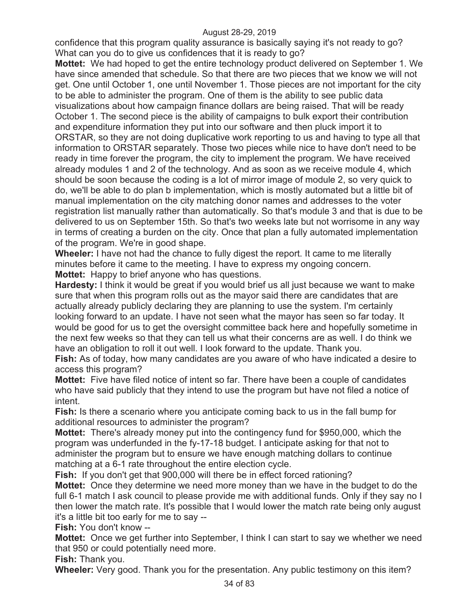confidence that this program quality assurance is basically saying it's not ready to go? What can you do to give us confidences that it is ready to go?

**Mottet:** We had hoped to get the entire technology product delivered on September 1. We have since amended that schedule. So that there are two pieces that we know we will not get. One until October 1, one until November 1. Those pieces are not important for the city to be able to administer the program. One of them is the ability to see public data visualizations about how campaign finance dollars are being raised. That will be ready October 1. The second piece is the ability of campaigns to bulk export their contribution and expenditure information they put into our software and then pluck import it to ORSTAR, so they are not doing duplicative work reporting to us and having to type all that information to ORSTAR separately. Those two pieces while nice to have don't need to be ready in time forever the program, the city to implement the program. We have received already modules 1 and 2 of the technology. And as soon as we receive module 4, which should be soon because the coding is a lot of mirror image of module 2, so very quick to do, we'll be able to do plan b implementation, which is mostly automated but a little bit of manual implementation on the city matching donor names and addresses to the voter registration list manually rather than automatically. So that's module 3 and that is due to be delivered to us on September 15th. So that's two weeks late but not worrisome in any way in terms of creating a burden on the city. Once that plan a fully automated implementation of the program. We're in good shape.

**Wheeler:** I have not had the chance to fully digest the report. It came to me literally minutes before it came to the meeting. I have to express my ongoing concern. **Mottet:** Happy to brief anyone who has questions.

**Hardesty:** I think it would be great if you would brief us all just because we want to make sure that when this program rolls out as the mayor said there are candidates that are actually already publicly declaring they are planning to use the system. I'm certainly looking forward to an update. I have not seen what the mayor has seen so far today. It would be good for us to get the oversight committee back here and hopefully sometime in the next few weeks so that they can tell us what their concerns are as well. I do think we have an obligation to roll it out well. I look forward to the update. Thank you.

**Fish:** As of today, how many candidates are you aware of who have indicated a desire to access this program?

**Mottet:** Five have filed notice of intent so far. There have been a couple of candidates who have said publicly that they intend to use the program but have not filed a notice of intent.

**Fish:** Is there a scenario where you anticipate coming back to us in the fall bump for additional resources to administer the program?

**Mottet:** There's already money put into the contingency fund for \$950,000, which the program was underfunded in the fy-17-18 budget. I anticipate asking for that not to administer the program but to ensure we have enough matching dollars to continue matching at a 6-1 rate throughout the entire election cycle.

**Fish:** If you don't get that 900,000 will there be in effect forced rationing?

**Mottet:** Once they determine we need more money than we have in the budget to do the full 6-1 match I ask council to please provide me with additional funds. Only if they say no I then lower the match rate. It's possible that I would lower the match rate being only august it's a little bit too early for me to say --

**Fish:** You don't know --

**Mottet:** Once we get further into September, I think I can start to say we whether we need that 950 or could potentially need more.

**Fish:** Thank you.

**Wheeler:** Very good. Thank you for the presentation. Any public testimony on this item?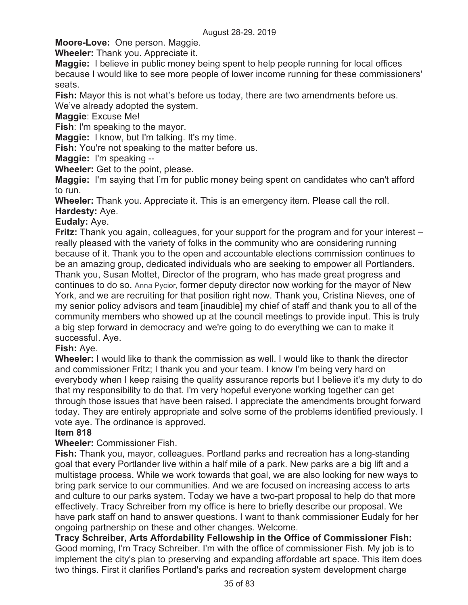**Moore-Love:** One person. Maggie.

**Wheeler:** Thank you. Appreciate it.

**Maggie:** I believe in public money being spent to help people running for local offices because I would like to see more people of lower income running for these commissioners' seats.

**Fish:** Mayor this is not what's before us today, there are two amendments before us. We've already adopted the system.

**Maggie**: Excuse Me!

**Fish**: I'm speaking to the mayor.

**Maggie:** I know, but I'm talking. It's my time.

**Fish:** You're not speaking to the matter before us.

**Maggie:** I'm speaking --

**Wheeler:** Get to the point, please.

**Maggie:** I'm saying that I'm for public money being spent on candidates who can't afford to run.

**Wheeler:** Thank you. Appreciate it. This is an emergency item. Please call the roll. **Hardesty:** Aye.

### **Eudaly:** Aye.

**Fritz:** Thank you again, colleagues, for your support for the program and for your interest – really pleased with the variety of folks in the community who are considering running because of it. Thank you to the open and accountable elections commission continues to be an amazing group, dedicated individuals who are seeking to empower all Portlanders. Thank you, Susan Mottet, Director of the program, who has made great progress and continues to do so. Anna Pycior, former deputy director now working for the mayor of New York, and we are recruiting for that position right now. Thank you, Cristina Nieves, one of my senior policy advisors and team [inaudible] my chief of staff and thank you to all of the community members who showed up at the council meetings to provide input. This is truly a big step forward in democracy and we're going to do everything we can to make it successful. Aye.

# **Fish:** Aye.

**Wheeler:** I would like to thank the commission as well. I would like to thank the director and commissioner Fritz; I thank you and your team. I know I'm being very hard on everybody when I keep raising the quality assurance reports but I believe it's my duty to do that my responsibility to do that. I'm very hopeful everyone working together can get through those issues that have been raised. I appreciate the amendments brought forward today. They are entirely appropriate and solve some of the problems identified previously. I vote aye. The ordinance is approved.

#### **Item 818**

# **Wheeler:** Commissioner Fish.

**Fish:** Thank you, mayor, colleagues. Portland parks and recreation has a long-standing goal that every Portlander live within a half mile of a park. New parks are a big lift and a multistage process. While we work towards that goal, we are also looking for new ways to bring park service to our communities. And we are focused on increasing access to arts and culture to our parks system. Today we have a two-part proposal to help do that more effectively. Tracy Schreiber from my office is here to briefly describe our proposal. We have park staff on hand to answer questions. I want to thank commissioner Eudaly for her ongoing partnership on these and other changes. Welcome.

**Tracy Schreiber, Arts Affordability Fellowship in the Office of Commissioner Fish:**  Good morning, I'm Tracy Schreiber. I'm with the office of commissioner Fish. My job is to implement the city's plan to preserving and expanding affordable art space. This item does two things. First it clarifies Portland's parks and recreation system development charge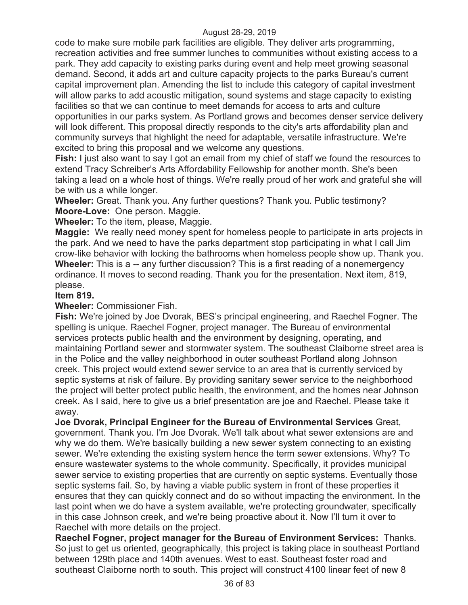code to make sure mobile park facilities are eligible. They deliver arts programming, recreation activities and free summer lunches to communities without existing access to a park. They add capacity to existing parks during event and help meet growing seasonal demand. Second, it adds art and culture capacity projects to the parks Bureau's current capital improvement plan. Amending the list to include this category of capital investment will allow parks to add acoustic mitigation, sound systems and stage capacity to existing facilities so that we can continue to meet demands for access to arts and culture opportunities in our parks system. As Portland grows and becomes denser service delivery will look different. This proposal directly responds to the city's arts affordability plan and community surveys that highlight the need for adaptable, versatile infrastructure. We're excited to bring this proposal and we welcome any questions.

**Fish:** I just also want to say I got an email from my chief of staff we found the resources to extend Tracy Schreiber's Arts Affordability Fellowship for another month. She's been taking a lead on a whole host of things. We're really proud of her work and grateful she will be with us a while longer.

**Wheeler:** Great. Thank you. Any further questions? Thank you. Public testimony? **Moore-Love:** One person. Maggie.

**Wheeler:** To the item, please, Maggie.

**Maggie:** We really need money spent for homeless people to participate in arts projects in the park. And we need to have the parks department stop participating in what I call Jim crow-like behavior with locking the bathrooms when homeless people show up. Thank you. **Wheeler:** This is a -- any further discussion? This is a first reading of a nonemergency ordinance. It moves to second reading. Thank you for the presentation. Next item, 819, please.

# **Item 819.**

**Wheeler:** Commissioner Fish.

**Fish:** We're joined by Joe Dvorak, BES's principal engineering, and Raechel Fogner. The spelling is unique. Raechel Fogner, project manager. The Bureau of environmental services protects public health and the environment by designing, operating, and maintaining Portland sewer and stormwater system. The southeast Claiborne street area is in the Police and the valley neighborhood in outer southeast Portland along Johnson creek. This project would extend sewer service to an area that is currently serviced by septic systems at risk of failure. By providing sanitary sewer service to the neighborhood the project will better protect public health, the environment, and the homes near Johnson creek. As I said, here to give us a brief presentation are joe and Raechel. Please take it away.

**Joe Dvorak, Principal Engineer for the Bureau of Environmental Services** Great, government. Thank you. I'm Joe Dvorak. We'll talk about what sewer extensions are and why we do them. We're basically building a new sewer system connecting to an existing sewer. We're extending the existing system hence the term sewer extensions. Why? To ensure wastewater systems to the whole community. Specifically, it provides municipal sewer service to existing properties that are currently on septic systems. Eventually those septic systems fail. So, by having a viable public system in front of these properties it ensures that they can quickly connect and do so without impacting the environment. In the last point when we do have a system available, we're protecting groundwater, specifically in this case Johnson creek, and we're being proactive about it. Now I'll turn it over to Raechel with more details on the project.

**Raechel Fogner, project manager for the Bureau of Environment Services:** Thanks. So just to get us oriented, geographically, this project is taking place in southeast Portland between 129th place and 140th avenues. West to east. Southeast foster road and southeast Claiborne north to south. This project will construct 4100 linear feet of new 8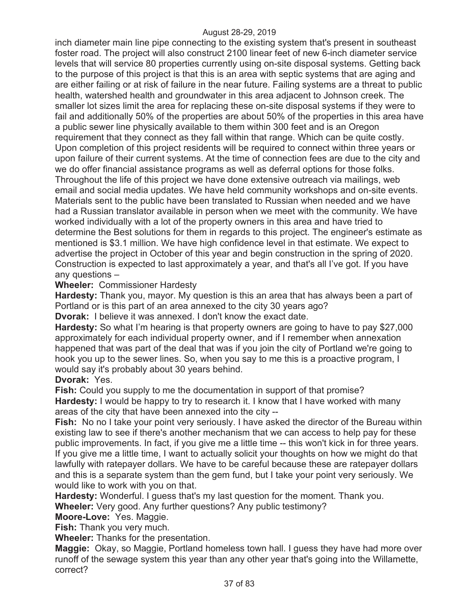inch diameter main line pipe connecting to the existing system that's present in southeast foster road. The project will also construct 2100 linear feet of new 6-inch diameter service levels that will service 80 properties currently using on-site disposal systems. Getting back to the purpose of this project is that this is an area with septic systems that are aging and are either failing or at risk of failure in the near future. Failing systems are a threat to public health, watershed health and groundwater in this area adjacent to Johnson creek. The smaller lot sizes limit the area for replacing these on-site disposal systems if they were to fail and additionally 50% of the properties are about 50% of the properties in this area have a public sewer line physically available to them within 300 feet and is an Oregon requirement that they connect as they fall within that range. Which can be quite costly. Upon completion of this project residents will be required to connect within three years or upon failure of their current systems. At the time of connection fees are due to the city and we do offer financial assistance programs as well as deferral options for those folks. Throughout the life of this project we have done extensive outreach via mailings, web email and social media updates. We have held community workshops and on-site events. Materials sent to the public have been translated to Russian when needed and we have had a Russian translator available in person when we meet with the community. We have worked individually with a lot of the property owners in this area and have tried to determine the Best solutions for them in regards to this project. The engineer's estimate as mentioned is \$3.1 million. We have high confidence level in that estimate. We expect to advertise the project in October of this year and begin construction in the spring of 2020. Construction is expected to last approximately a year, and that's all I've got. If you have any questions –

# **Wheeler:** Commissioner Hardesty

**Hardesty:** Thank you, mayor. My question is this an area that has always been a part of Portland or is this part of an area annexed to the city 30 years ago?

**Dvorak:** I believe it was annexed. I don't know the exact date.

**Hardesty:** So what I'm hearing is that property owners are going to have to pay \$27,000 approximately for each individual property owner, and if I remember when annexation happened that was part of the deal that was if you join the city of Portland we're going to hook you up to the sewer lines. So, when you say to me this is a proactive program, I would say it's probably about 30 years behind.

# **Dvorak:** Yes.

**Fish:** Could you supply to me the documentation in support of that promise? **Hardesty:** I would be happy to try to research it. I know that I have worked with many areas of the city that have been annexed into the city --

**Fish:** No no I take your point very seriously. I have asked the director of the Bureau within existing law to see if there's another mechanism that we can access to help pay for these public improvements. In fact, if you give me a little time -- this won't kick in for three years. If you give me a little time, I want to actually solicit your thoughts on how we might do that lawfully with ratepayer dollars. We have to be careful because these are ratepayer dollars and this is a separate system than the gem fund, but I take your point very seriously. We would like to work with you on that.

**Hardesty:** Wonderful. I guess that's my last question for the moment. Thank you.

**Wheeler:** Very good. Any further questions? Any public testimony?

**Moore-Love:** Yes. Maggie.

**Fish:** Thank you very much.

**Wheeler:** Thanks for the presentation.

**Maggie:** Okay, so Maggie, Portland homeless town hall. I guess they have had more over runoff of the sewage system this year than any other year that's going into the Willamette, correct?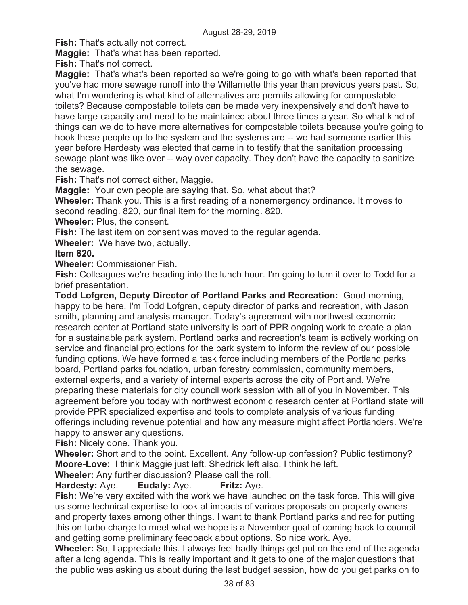**Fish:** That's actually not correct.

**Maggie:** That's what has been reported.

**Fish:** That's not correct.

**Maggie:** That's what's been reported so we're going to go with what's been reported that you've had more sewage runoff into the Willamette this year than previous years past. So, what I'm wondering is what kind of alternatives are permits allowing for compostable toilets? Because compostable toilets can be made very inexpensively and don't have to have large capacity and need to be maintained about three times a year. So what kind of things can we do to have more alternatives for compostable toilets because you're going to hook these people up to the system and the systems are -- we had someone earlier this year before Hardesty was elected that came in to testify that the sanitation processing sewage plant was like over -- way over capacity. They don't have the capacity to sanitize the sewage.

**Fish:** That's not correct either, Maggie.

**Maggie:** Your own people are saying that. So, what about that?

**Wheeler:** Thank you. This is a first reading of a nonemergency ordinance. It moves to second reading. 820, our final item for the morning. 820.

**Wheeler:** Plus, the consent.

**Fish:** The last item on consent was moved to the regular agenda.

**Wheeler:** We have two, actually.

# **Item 820.**

**Wheeler:** Commissioner Fish.

**Fish:** Colleagues we're heading into the lunch hour. I'm going to turn it over to Todd for a brief presentation.

**Todd Lofgren, Deputy Director of Portland Parks and Recreation:** Good morning, happy to be here. I'm Todd Lofgren, deputy director of parks and recreation, with Jason smith, planning and analysis manager. Today's agreement with northwest economic research center at Portland state university is part of PPR ongoing work to create a plan for a sustainable park system. Portland parks and recreation's team is actively working on service and financial projections for the park system to inform the review of our possible funding options. We have formed a task force including members of the Portland parks board, Portland parks foundation, urban forestry commission, community members, external experts, and a variety of internal experts across the city of Portland. We're preparing these materials for city council work session with all of you in November. This agreement before you today with northwest economic research center at Portland state will provide PPR specialized expertise and tools to complete analysis of various funding offerings including revenue potential and how any measure might affect Portlanders. We're happy to answer any questions.

**Fish:** Nicely done. Thank you.

**Wheeler:** Short and to the point. Excellent. Any follow-up confession? Public testimony? **Moore-Love:** I think Maggie just left. Shedrick left also. I think he left.

**Wheeler:** Any further discussion? Please call the roll.

# **Hardesty:** Aye. **Eudaly:** Aye. **Fritz:** Aye.

**Fish:** We're very excited with the work we have launched on the task force. This will give us some technical expertise to look at impacts of various proposals on property owners and property taxes among other things. I want to thank Portland parks and rec for putting this on turbo charge to meet what we hope is a November goal of coming back to council and getting some preliminary feedback about options. So nice work. Aye.

**Wheeler:** So, I appreciate this. I always feel badly things get put on the end of the agenda after a long agenda. This is really important and it gets to one of the major questions that the public was asking us about during the last budget session, how do you get parks on to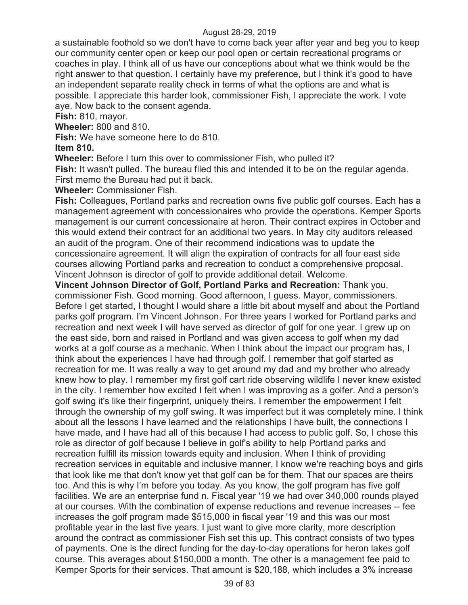a sustainable foothold so we don't have to come back year after year and beg you to keep our community center open or keep our pool open or certain recreational programs or coaches in play. I think all of us have our conceptions about what we think would be the right answer to that question. I certainly have my preference, but I think it's good to have an independent separate reality check in terms of what the options are and what is possible. I appreciate this harder look, commissioner Fish, I appreciate the work. I vote aye. Now back to the consent agenda.

**Fish:** 810, mayor.

**Wheeler:** 800 and 810.

**Fish:** We have someone here to do 810.

# **Item 810.**

**Wheeler:** Before I turn this over to commissioner Fish, who pulled it?

**Fish:** It wasn't pulled. The bureau filed this and intended it to be on the regular agenda. First memo the Bureau had put it back.

**Wheeler:** Commissioner Fish.

**Fish:** Colleagues, Portland parks and recreation owns five public golf courses. Each has a management agreement with concessionaires who provide the operations. Kemper Sports management is our current concessionaire at heron. Their contract expires in October and this would extend their contract for an additional two years. In May city auditors released an audit of the program. One of their recommend indications was to update the concessionaire agreement. It will align the expiration of contracts for all four east side courses allowing Portland parks and recreation to conduct a comprehensive proposal. Vincent Johnson is director of golf to provide additional detail. Welcome.

**Vincent Johnson Director of Golf, Portland Parks and Recreation:** Thank you, commissioner Fish. Good morning. Good afternoon, I guess. Mayor, commissioners. Before I get started, I thought I would share a little bit about myself and about the Portland parks golf program. I'm Vincent Johnson. For three years I worked for Portland parks and recreation and next week I will have served as director of golf for one year. I grew up on the east side, born and raised in Portland and was given access to golf when my dad works at a golf course as a mechanic. When I think about the impact our program has, I think about the experiences I have had through golf. I remember that golf started as recreation for me. It was really a way to get around my dad and my brother who already knew how to play. I remember my first golf cart ride observing wildlife I never knew existed in the city. I remember how excited I felt when I was improving as a golfer. And a person's golf swing it's like their fingerprint, uniquely theirs. I remember the empowerment I felt through the ownership of my golf swing. It was imperfect but it was completely mine. I think about all the lessons I have learned and the relationships I have built, the connections I have made, and I have had all of this because I had access to public golf. So, I chose this role as director of golf because I believe in golf's ability to help Portland parks and recreation fulfill its mission towards equity and inclusion. When I think of providing recreation services in equitable and inclusive manner, I know we're reaching boys and girls that look like me that don't know yet that golf can be for them. That our spaces are theirs too. And this is why I'm before you today. As you know, the golf program has five golf facilities. We are an enterprise fund n. Fiscal year '19 we had over 340,000 rounds played at our courses. With the combination of expense reductions and revenue increases -- fee increases the golf program made \$515,000 in fiscal year '19 and this was our most profitable year in the last five years. I just want to give more clarity, more description around the contract as commissioner Fish set this up. This contract consists of two types of payments. One is the direct funding for the day-to-day operations for heron lakes golf course. This averages about \$150,000 a month. The other is a management fee paid to Kemper Sports for their services. That amount is \$20,188, which includes a 3% increase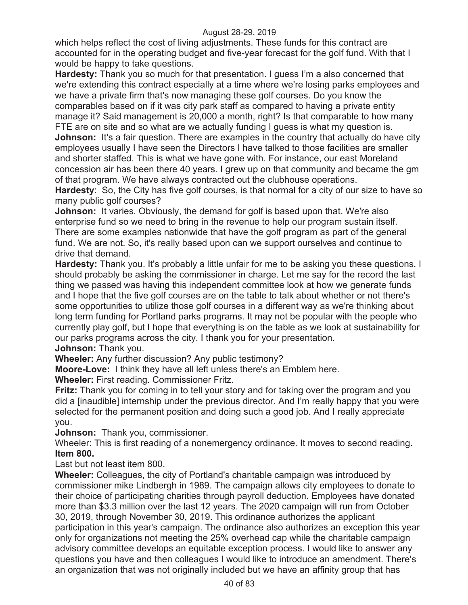which helps reflect the cost of living adjustments. These funds for this contract are accounted for in the operating budget and five-year forecast for the golf fund. With that I would be happy to take questions.

**Hardesty:** Thank you so much for that presentation. I guess I'm a also concerned that we're extending this contract especially at a time where we're losing parks employees and we have a private firm that's now managing these golf courses. Do you know the comparables based on if it was city park staff as compared to having a private entity manage it? Said management is 20,000 a month, right? Is that comparable to how many FTE are on site and so what are we actually funding I guess is what my question is. **Johnson:** It's a fair question. There are examples in the country that actually do have city employees usually I have seen the Directors I have talked to those facilities are smaller and shorter staffed. This is what we have gone with. For instance, our east Moreland concession air has been there 40 years. I grew up on that community and became the gm of that program. We have always contracted out the clubhouse operations.

**Hardesty**: So, the City has five golf courses, is that normal for a city of our size to have so many public golf courses?

**Johnson:** It varies. Obviously, the demand for golf is based upon that. We're also enterprise fund so we need to bring in the revenue to help our program sustain itself. There are some examples nationwide that have the golf program as part of the general fund. We are not. So, it's really based upon can we support ourselves and continue to drive that demand.

**Hardesty:** Thank you. It's probably a little unfair for me to be asking you these questions. I should probably be asking the commissioner in charge. Let me say for the record the last thing we passed was having this independent committee look at how we generate funds and I hope that the five golf courses are on the table to talk about whether or not there's some opportunities to utilize those golf courses in a different way as we're thinking about long term funding for Portland parks programs. It may not be popular with the people who currently play golf, but I hope that everything is on the table as we look at sustainability for our parks programs across the city. I thank you for your presentation.

**Johnson:** Thank you.

**Wheeler:** Any further discussion? Any public testimony?

**Moore-Love:** I think they have all left unless there's an Emblem here.

**Wheeler:** First reading. Commissioner Fritz.

**Fritz:** Thank you for coming in to tell your story and for taking over the program and you did a [inaudible] internship under the previous director. And I'm really happy that you were selected for the permanent position and doing such a good job. And I really appreciate you.

**Johnson:** Thank you, commissioner.

Wheeler: This is first reading of a nonemergency ordinance. It moves to second reading. **Item 800.**

Last but not least item 800.

**Wheeler:** Colleagues, the city of Portland's charitable campaign was introduced by commissioner mike Lindbergh in 1989. The campaign allows city employees to donate to their choice of participating charities through payroll deduction. Employees have donated more than \$3.3 million over the last 12 years. The 2020 campaign will run from October 30, 2019, through November 30, 2019. This ordinance authorizes the applicant participation in this year's campaign. The ordinance also authorizes an exception this year only for organizations not meeting the 25% overhead cap while the charitable campaign advisory committee develops an equitable exception process. I would like to answer any questions you have and then colleagues I would like to introduce an amendment. There's an organization that was not originally included but we have an affinity group that has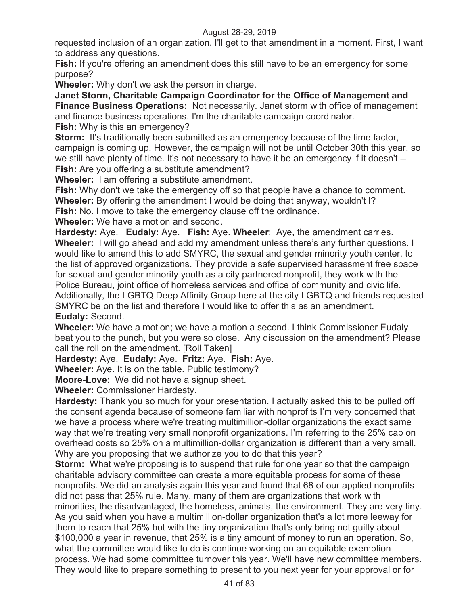requested inclusion of an organization. I'll get to that amendment in a moment. First, I want to address any questions.

**Fish:** If you're offering an amendment does this still have to be an emergency for some purpose?

**Wheeler:** Why don't we ask the person in charge.

**Janet Storm, Charitable Campaign Coordinator for the Office of Management and Finance Business Operations:** Not necessarily. Janet storm with office of management and finance business operations. I'm the charitable campaign coordinator. **Fish:** Why is this an emergency?

**Storm:** It's traditionally been submitted as an emergency because of the time factor, campaign is coming up. However, the campaign will not be until October 30th this year, so we still have plenty of time. It's not necessary to have it be an emergency if it doesn't -- **Fish:** Are you offering a substitute amendment?

**Wheeler:** I am offering a substitute amendment.

**Fish:** Why don't we take the emergency off so that people have a chance to comment.

**Wheeler:** By offering the amendment I would be doing that anyway, wouldn't I?

**Fish:** No. I move to take the emergency clause off the ordinance.

**Wheeler:** We have a motion and second.

**Hardesty:** Aye. **Eudaly:** Aye. **Fish:** Aye. **Wheeler**: Aye, the amendment carries. **Wheeler:** I will go ahead and add my amendment unless there's any further questions. I would like to amend this to add SMYRC, the sexual and gender minority youth center, to the list of approved organizations. They provide a safe supervised harassment free space for sexual and gender minority youth as a city partnered nonprofit, they work with the Police Bureau, joint office of homeless services and office of community and civic life. Additionally, the LGBTQ Deep Affinity Group here at the city LGBTQ and friends requested SMYRC be on the list and therefore I would like to offer this as an amendment. **Eudaly:** Second.

**Wheeler:** We have a motion; we have a motion a second. I think Commissioner Eudaly beat you to the punch, but you were so close. Any discussion on the amendment? Please call the roll on the amendment. [Roll Taken]

**Hardesty:** Aye. **Eudaly:** Aye. **Fritz:** Aye. **Fish:** Aye.

**Wheeler:** Aye. It is on the table. Public testimony?

**Moore-Love:** We did not have a signup sheet.

**Wheeler:** Commissioner Hardesty.

**Hardesty:** Thank you so much for your presentation. I actually asked this to be pulled off the consent agenda because of someone familiar with nonprofits I'm very concerned that we have a process where we're treating multimillion-dollar organizations the exact same way that we're treating very small nonprofit organizations. I'm referring to the 25% cap on overhead costs so 25% on a multimillion-dollar organization is different than a very small. Why are you proposing that we authorize you to do that this year?

**Storm:** What we're proposing is to suspend that rule for one year so that the campaign charitable advisory committee can create a more equitable process for some of these nonprofits. We did an analysis again this year and found that 68 of our applied nonprofits did not pass that 25% rule. Many, many of them are organizations that work with minorities, the disadvantaged, the homeless, animals, the environment. They are very tiny. As you said when you have a multimillion-dollar organization that's a lot more leeway for them to reach that 25% but with the tiny organization that's only bring not guilty about \$100,000 a year in revenue, that 25% is a tiny amount of money to run an operation. So, what the committee would like to do is continue working on an equitable exemption process. We had some committee turnover this year. We'll have new committee members. They would like to prepare something to present to you next year for your approval or for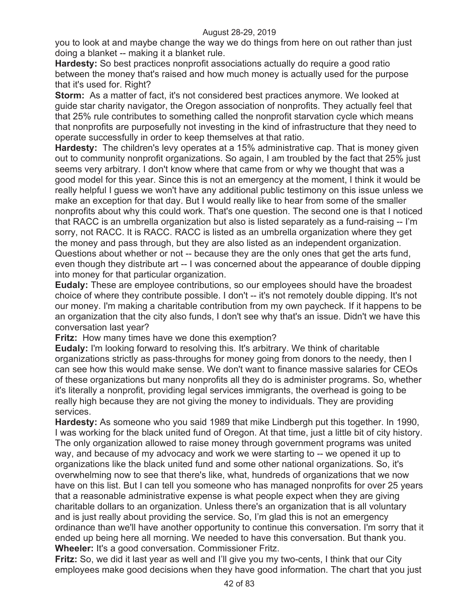you to look at and maybe change the way we do things from here on out rather than just doing a blanket -- making it a blanket rule.

**Hardesty:** So best practices nonprofit associations actually do require a good ratio between the money that's raised and how much money is actually used for the purpose that it's used for. Right?

**Storm:** As a matter of fact, it's not considered best practices anymore. We looked at guide star charity navigator, the Oregon association of nonprofits. They actually feel that that 25% rule contributes to something called the nonprofit starvation cycle which means that nonprofits are purposefully not investing in the kind of infrastructure that they need to operate successfully in order to keep themselves at that ratio.

**Hardesty:** The children's levy operates at a 15% administrative cap. That is money given out to community nonprofit organizations. So again, I am troubled by the fact that 25% just seems very arbitrary. I don't know where that came from or why we thought that was a good model for this year. Since this is not an emergency at the moment, I think it would be really helpful I guess we won't have any additional public testimony on this issue unless we make an exception for that day. But I would really like to hear from some of the smaller nonprofits about why this could work. That's one question. The second one is that I noticed that RACC is an umbrella organization but also is listed separately as a fund-raising -- I'm sorry, not RACC. It is RACC. RACC is listed as an umbrella organization where they get the money and pass through, but they are also listed as an independent organization. Questions about whether or not -- because they are the only ones that get the arts fund, even though they distribute art -- I was concerned about the appearance of double dipping into money for that particular organization.

**Eudaly:** These are employee contributions, so our employees should have the broadest choice of where they contribute possible. I don't -- it's not remotely double dipping. It's not our money. I'm making a charitable contribution from my own paycheck. If it happens to be an organization that the city also funds, I don't see why that's an issue. Didn't we have this conversation last year?

**Fritz:** How many times have we done this exemption?

**Eudaly:** I'm looking forward to resolving this. It's arbitrary. We think of charitable organizations strictly as pass-throughs for money going from donors to the needy, then I can see how this would make sense. We don't want to finance massive salaries for CEOs of these organizations but many nonprofits all they do is administer programs. So, whether it's literally a nonprofit, providing legal services immigrants, the overhead is going to be really high because they are not giving the money to individuals. They are providing services.

**Hardesty:** As someone who you said 1989 that mike Lindbergh put this together. In 1990, I was working for the black united fund of Oregon. At that time, just a little bit of city history. The only organization allowed to raise money through government programs was united way, and because of my advocacy and work we were starting to -- we opened it up to organizations like the black united fund and some other national organizations. So, it's overwhelming now to see that there's like, what, hundreds of organizations that we now have on this list. But I can tell you someone who has managed nonprofits for over 25 years that a reasonable administrative expense is what people expect when they are giving charitable dollars to an organization. Unless there's an organization that is all voluntary and is just really about providing the service. So, I'm glad this is not an emergency ordinance than we'll have another opportunity to continue this conversation. I'm sorry that it ended up being here all morning. We needed to have this conversation. But thank you. **Wheeler:** It's a good conversation. Commissioner Fritz.

**Fritz:** So, we did it last year as well and I'll give you my two-cents, I think that our City employees make good decisions when they have good information. The chart that you just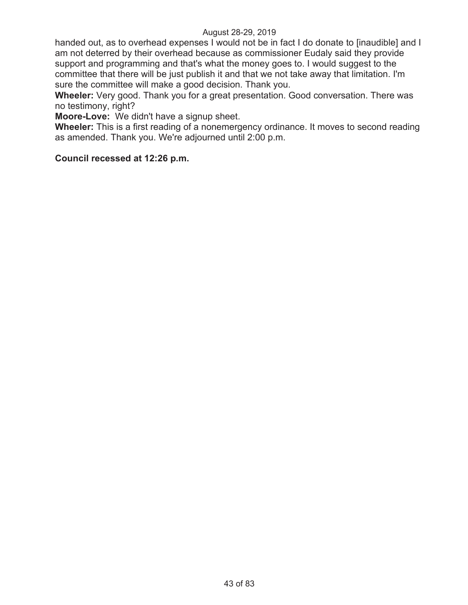handed out, as to overhead expenses I would not be in fact I do donate to [inaudible] and I am not deterred by their overhead because as commissioner Eudaly said they provide support and programming and that's what the money goes to. I would suggest to the committee that there will be just publish it and that we not take away that limitation. I'm sure the committee will make a good decision. Thank you.

**Wheeler:** Very good. Thank you for a great presentation. Good conversation. There was no testimony, right?

**Moore-Love:** We didn't have a signup sheet.

**Wheeler:** This is a first reading of a nonemergency ordinance. It moves to second reading as amended. Thank you. We're adjourned until 2:00 p.m.

### **Council recessed at 12:26 p.m.**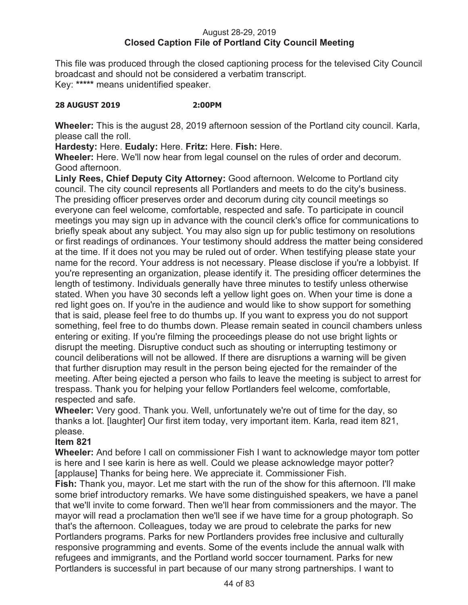# August 28-29, 2019 **Closed Caption File of Portland City Council Meeting**

This file was produced through the closed captioning process for the televised City Council broadcast and should not be considered a verbatim transcript. Key: **\*\*\*\*\*** means unidentified speaker.

## **28 AUGUST 2019 2:00PM**

**Wheeler:** This is the august 28, 2019 afternoon session of the Portland city council. Karla, please call the roll.

**Hardesty:** Here. **Eudaly:** Here. **Fritz:** Here. **Fish:** Here.

**Wheeler:** Here. We'll now hear from legal counsel on the rules of order and decorum. Good afternoon.

**Linly Rees, Chief Deputy City Attorney:** Good afternoon. Welcome to Portland city council. The city council represents all Portlanders and meets to do the city's business. The presiding officer preserves order and decorum during city council meetings so everyone can feel welcome, comfortable, respected and safe. To participate in council meetings you may sign up in advance with the council clerk's office for communications to briefly speak about any subject. You may also sign up for public testimony on resolutions or first readings of ordinances. Your testimony should address the matter being considered at the time. If it does not you may be ruled out of order. When testifying please state your name for the record. Your address is not necessary. Please disclose if you're a lobbyist. If you're representing an organization, please identify it. The presiding officer determines the length of testimony. Individuals generally have three minutes to testify unless otherwise stated. When you have 30 seconds left a yellow light goes on. When your time is done a red light goes on. If you're in the audience and would like to show support for something that is said, please feel free to do thumbs up. If you want to express you do not support something, feel free to do thumbs down. Please remain seated in council chambers unless entering or exiting. If you're filming the proceedings please do not use bright lights or disrupt the meeting. Disruptive conduct such as shouting or interrupting testimony or council deliberations will not be allowed. If there are disruptions a warning will be given that further disruption may result in the person being ejected for the remainder of the meeting. After being ejected a person who fails to leave the meeting is subject to arrest for trespass. Thank you for helping your fellow Portlanders feel welcome, comfortable, respected and safe.

**Wheeler:** Very good. Thank you. Well, unfortunately we're out of time for the day, so thanks a lot. [laughter] Our first item today, very important item. Karla, read item 821, please.

# **Item 821**

**Wheeler:** And before I call on commissioner Fish I want to acknowledge mayor tom potter is here and I see karin is here as well. Could we please acknowledge mayor potter? [applause] Thanks for being here. We appreciate it. Commissioner Fish.

**Fish:** Thank you, mayor. Let me start with the run of the show for this afternoon. I'll make some brief introductory remarks. We have some distinguished speakers, we have a panel that we'll invite to come forward. Then we'll hear from commissioners and the mayor. The mayor will read a proclamation then we'll see if we have time for a group photograph. So that's the afternoon. Colleagues, today we are proud to celebrate the parks for new Portlanders programs. Parks for new Portlanders provides free inclusive and culturally responsive programming and events. Some of the events include the annual walk with refugees and immigrants, and the Portland world soccer tournament. Parks for new Portlanders is successful in part because of our many strong partnerships. I want to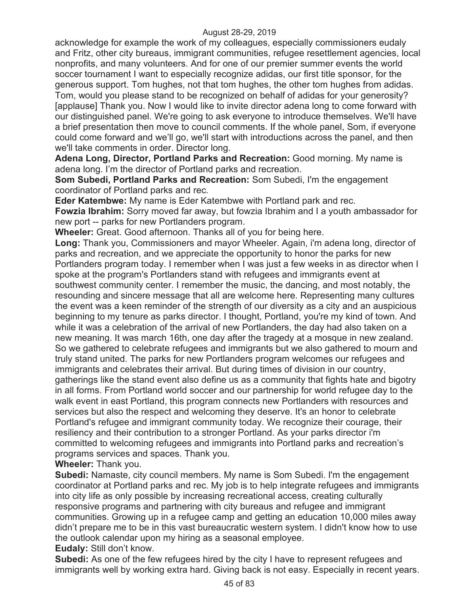acknowledge for example the work of my colleagues, especially commissioners eudaly and Fritz, other city bureaus, immigrant communities, refugee resettlement agencies, local nonprofits, and many volunteers. And for one of our premier summer events the world soccer tournament I want to especially recognize adidas, our first title sponsor, for the generous support. Tom hughes, not that tom hughes, the other tom hughes from adidas. Tom, would you please stand to be recognized on behalf of adidas for your generosity? [applause] Thank you. Now I would like to invite director adena long to come forward with our distinguished panel. We're going to ask everyone to introduce themselves. We'll have a brief presentation then move to council comments. If the whole panel, Som, if everyone could come forward and we'll go, we'll start with introductions across the panel, and then we'll take comments in order. Director long.

**Adena Long, Director, Portland Parks and Recreation:** Good morning. My name is adena long. I'm the director of Portland parks and recreation.

**Som Subedi, Portland Parks and Recreation:** Som Subedi, I'm the engagement coordinator of Portland parks and rec.

**Eder Katembwe:** My name is Eder Katembwe with Portland park and rec.

**Fowzia Ibrahim:** Sorry moved far away, but fowzia Ibrahim and I a youth ambassador for new port -- parks for new Portlanders program.

**Wheeler:** Great. Good afternoon. Thanks all of you for being here.

**Long:** Thank you, Commissioners and mayor Wheeler. Again, i'm adena long, director of parks and recreation, and we appreciate the opportunity to honor the parks for new Portlanders program today. I remember when I was just a few weeks in as director when I spoke at the program's Portlanders stand with refugees and immigrants event at southwest community center. I remember the music, the dancing, and most notably, the resounding and sincere message that all are welcome here. Representing many cultures the event was a keen reminder of the strength of our diversity as a city and an auspicious beginning to my tenure as parks director. I thought, Portland, you're my kind of town. And while it was a celebration of the arrival of new Portlanders, the day had also taken on a new meaning. It was march 16th, one day after the tragedy at a mosque in new zealand. So we gathered to celebrate refugees and immigrants but we also gathered to mourn and truly stand united. The parks for new Portlanders program welcomes our refugees and immigrants and celebrates their arrival. But during times of division in our country, gatherings like the stand event also define us as a community that fights hate and bigotry in all forms. From Portland world soccer and our partnership for world refugee day to the walk event in east Portland, this program connects new Portlanders with resources and services but also the respect and welcoming they deserve. It's an honor to celebrate Portland's refugee and immigrant community today. We recognize their courage, their resiliency and their contribution to a stronger Portland. As your parks director i'm committed to welcoming refugees and immigrants into Portland parks and recreation's programs services and spaces. Thank you.

**Wheeler:** Thank you.

**Subedi:** Namaste, city council members. My name is Som Subedi. I'm the engagement coordinator at Portland parks and rec. My job is to help integrate refugees and immigrants into city life as only possible by increasing recreational access, creating culturally responsive programs and partnering with city bureaus and refugee and immigrant communities. Growing up in a refugee camp and getting an education 10,000 miles away didn't prepare me to be in this vast bureaucratic western system. I didn't know how to use the outlook calendar upon my hiring as a seasonal employee. **Eudaly:** Still don't know.

**Subedi:** As one of the few refugees hired by the city I have to represent refugees and immigrants well by working extra hard. Giving back is not easy. Especially in recent years.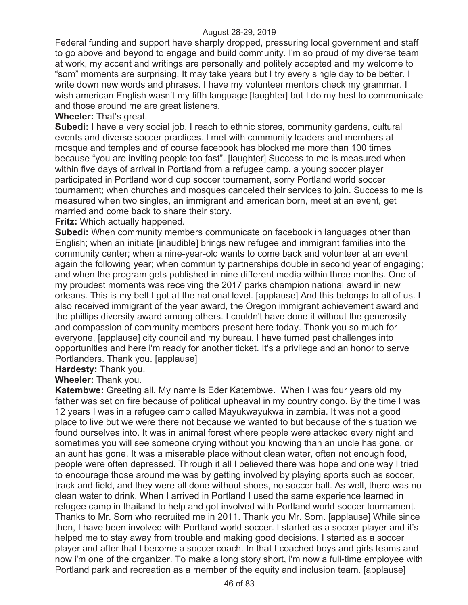Federal funding and support have sharply dropped, pressuring local government and staff to go above and beyond to engage and build community. I'm so proud of my diverse team at work, my accent and writings are personally and politely accepted and my welcome to "som" moments are surprising. It may take years but I try every single day to be better. I write down new words and phrases. I have my volunteer mentors check my grammar. I wish american English wasn't my fifth language [laughter] but I do my best to communicate and those around me are great listeners.

# **Wheeler:** That's great.

**Subedi:** I have a very social job. I reach to ethnic stores, community gardens, cultural events and diverse soccer practices. I met with community leaders and members at mosque and temples and of course facebook has blocked me more than 100 times because "you are inviting people too fast". [laughter] Success to me is measured when within five days of arrival in Portland from a refugee camp, a young soccer player participated in Portland world cup soccer tournament, sorry Portland world soccer tournament; when churches and mosques canceled their services to join. Success to me is measured when two singles, an immigrant and american born, meet at an event, get married and come back to share their story.

**Fritz:** Which actually happened.

**Subedi:** When community members communicate on facebook in languages other than English; when an initiate [inaudible] brings new refugee and immigrant families into the community center; when a nine-year-old wants to come back and volunteer at an event again the following year; when community partnerships double in second year of engaging; and when the program gets published in nine different media within three months. One of my proudest moments was receiving the 2017 parks champion national award in new orleans. This is my belt I got at the national level. [applause] And this belongs to all of us. I also received immigrant of the year award, the Oregon immigrant achievement award and the phillips diversity award among others. I couldn't have done it without the generosity and compassion of community members present here today. Thank you so much for everyone, [applause] city council and my bureau. I have turned past challenges into opportunities and here i'm ready for another ticket. It's a privilege and an honor to serve Portlanders. Thank you. [applause]

**Hardesty:** Thank you.

**Wheeler:** Thank you.

**Katembwe:** Greeting all. My name is Eder Katembwe. When I was four years old my father was set on fire because of political upheaval in my country congo. By the time I was 12 years I was in a refugee camp called Mayukwayukwa in zambia. It was not a good place to live but we were there not because we wanted to but because of the situation we found ourselves into. It was in animal forest where people were attacked every night and sometimes you will see someone crying without you knowing than an uncle has gone, or an aunt has gone. It was a miserable place without clean water, often not enough food, people were often depressed. Through it all I believed there was hope and one way I tried to encourage those around me was by getting involved by playing sports such as soccer, track and field, and they were all done without shoes, no soccer ball. As well, there was no clean water to drink. When I arrived in Portland I used the same experience learned in refugee camp in thailand to help and got involved with Portland world soccer tournament. Thanks to Mr. Som who recruited me in 2011. Thank you Mr. Som. [applause] While since then, I have been involved with Portland world soccer. I started as a soccer player and it's helped me to stay away from trouble and making good decisions. I started as a soccer player and after that I become a soccer coach. In that I coached boys and girls teams and now i'm one of the organizer. To make a long story short, i'm now a full-time employee with Portland park and recreation as a member of the equity and inclusion team. [applause]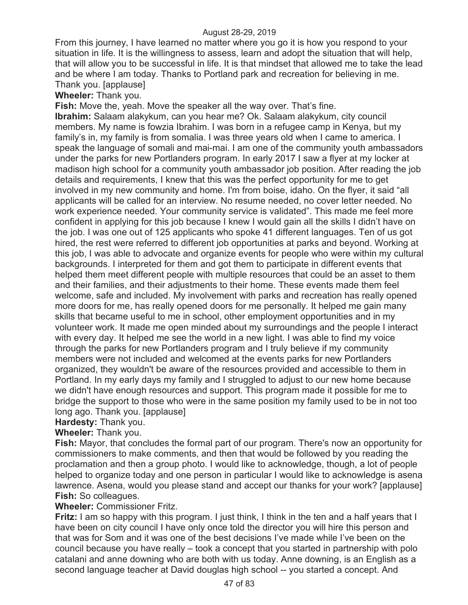From this journey, I have learned no matter where you go it is how you respond to your situation in life. It is the willingness to assess, learn and adopt the situation that will help, that will allow you to be successful in life. It is that mindset that allowed me to take the lead and be where I am today. Thanks to Portland park and recreation for believing in me. Thank you. [applause]

## **Wheeler:** Thank you.

**Fish:** Move the, yeah. Move the speaker all the way over. That's fine.

**Ibrahim:** Salaam alakykum, can you hear me? Ok. Salaam alakykum, city council members. My name is fowzia Ibrahim. I was born in a refugee camp in Kenya, but my family's in, my family is from somalia. I was three years old when I came to america. I speak the language of somali and mai-mai. I am one of the community youth ambassadors under the parks for new Portlanders program. In early 2017 I saw a flyer at my locker at madison high school for a community youth ambassador job position. After reading the job details and requirements, I knew that this was the perfect opportunity for me to get involved in my new community and home. I'm from boise, idaho. On the flyer, it said "all applicants will be called for an interview. No resume needed, no cover letter needed. No work experience needed. Your community service is validated". This made me feel more confident in applying for this job because I knew I would gain all the skills I didn't have on the job. I was one out of 125 applicants who spoke 41 different languages. Ten of us got hired, the rest were referred to different job opportunities at parks and beyond. Working at this job, I was able to advocate and organize events for people who were within my cultural backgrounds. I interpreted for them and got them to participate in different events that helped them meet different people with multiple resources that could be an asset to them and their families, and their adjustments to their home. These events made them feel welcome, safe and included. My involvement with parks and recreation has really opened more doors for me, has really opened doors for me personally. It helped me gain many skills that became useful to me in school, other employment opportunities and in my volunteer work. It made me open minded about my surroundings and the people I interact with every day. It helped me see the world in a new light. I was able to find my voice through the parks for new Portlanders program and I truly believe if my community members were not included and welcomed at the events parks for new Portlanders organized, they wouldn't be aware of the resources provided and accessible to them in Portland. In my early days my family and I struggled to adjust to our new home because we didn't have enough resources and support. This program made it possible for me to bridge the support to those who were in the same position my family used to be in not too long ago. Thank you. [applause]

# **Hardesty:** Thank you.

## **Wheeler:** Thank you.

**Fish:** Mayor, that concludes the formal part of our program. There's now an opportunity for commissioners to make comments, and then that would be followed by you reading the proclamation and then a group photo. I would like to acknowledge, though, a lot of people helped to organize today and one person in particular I would like to acknowledge is asena lawrence. Asena, would you please stand and accept our thanks for your work? [applause] **Fish:** So colleagues.

## **Wheeler:** Commissioner Fritz.

**Fritz:** I am so happy with this program. I just think, I think in the ten and a half years that I have been on city council I have only once told the director you will hire this person and that was for Som and it was one of the best decisions I've made while I've been on the council because you have really – took a concept that you started in partnership with polo catalani and anne downing who are both with us today. Anne downing, is an English as a second language teacher at David douglas high school -- you started a concept. And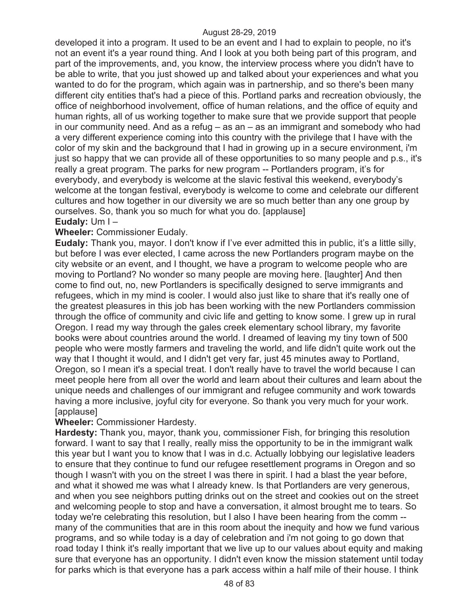developed it into a program. It used to be an event and I had to explain to people, no it's not an event it's a year round thing. And I look at you both being part of this program, and part of the improvements, and, you know, the interview process where you didn't have to be able to write, that you just showed up and talked about your experiences and what you wanted to do for the program, which again was in partnership, and so there's been many different city entities that's had a piece of this. Portland parks and recreation obviously, the office of neighborhood involvement, office of human relations, and the office of equity and human rights, all of us working together to make sure that we provide support that people in our community need. And as a refug  $-$  as an  $-$  as an immigrant and somebody who had a very different experience coming into this country with the privilege that I have with the color of my skin and the background that I had in growing up in a secure environment, i'm just so happy that we can provide all of these opportunities to so many people and p.s., it's really a great program. The parks for new program -- Portlanders program, it's for everybody, and everybody is welcome at the slavic festival this weekend, everybody's welcome at the tongan festival, everybody is welcome to come and celebrate our different cultures and how together in our diversity we are so much better than any one group by ourselves. So, thank you so much for what you do. [applause]

# **Eudaly:** Um I –

## **Wheeler:** Commissioner Eudaly.

**Eudaly:** Thank you, mayor. I don't know if I've ever admitted this in public, it's a little silly, but before I was ever elected, I came across the new Portlanders program maybe on the city website or an event, and I thought, we have a program to welcome people who are moving to Portland? No wonder so many people are moving here. [laughter] And then come to find out, no, new Portlanders is specifically designed to serve immigrants and refugees, which in my mind is cooler. I would also just like to share that it's really one of the greatest pleasures in this job has been working with the new Portlanders commission through the office of community and civic life and getting to know some. I grew up in rural Oregon. I read my way through the gales creek elementary school library, my favorite books were about countries around the world. I dreamed of leaving my tiny town of 500 people who were mostly farmers and traveling the world, and life didn't quite work out the way that I thought it would, and I didn't get very far, just 45 minutes away to Portland, Oregon, so I mean it's a special treat. I don't really have to travel the world because I can meet people here from all over the world and learn about their cultures and learn about the unique needs and challenges of our immigrant and refugee community and work towards having a more inclusive, joyful city for everyone. So thank you very much for your work. [applause]

## **Wheeler:** Commissioner Hardesty.

**Hardesty:** Thank you, mayor, thank you, commissioner Fish, for bringing this resolution forward. I want to say that I really, really miss the opportunity to be in the immigrant walk this year but I want you to know that I was in d.c. Actually lobbying our legislative leaders to ensure that they continue to fund our refugee resettlement programs in Oregon and so though I wasn't with you on the street I was there in spirit. I had a blast the year before, and what it showed me was what I already knew. Is that Portlanders are very generous, and when you see neighbors putting drinks out on the street and cookies out on the street and welcoming people to stop and have a conversation, it almost brought me to tears. So today we're celebrating this resolution, but I also I have been hearing from the comm - many of the communities that are in this room about the inequity and how we fund various programs, and so while today is a day of celebration and i'm not going to go down that road today I think it's really important that we live up to our values about equity and making sure that everyone has an opportunity. I didn't even know the mission statement until today for parks which is that everyone has a park access within a half mile of their house. I think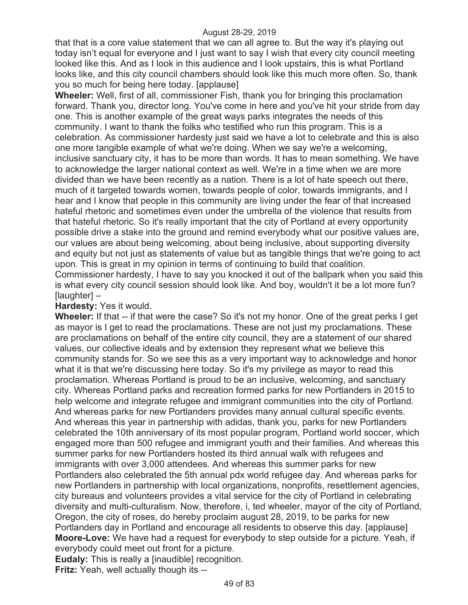that that is a core value statement that we can all agree to. But the way it's playing out today isn't equal for everyone and I just want to say I wish that every city council meeting looked like this. And as I look in this audience and I look upstairs, this is what Portland looks like, and this city council chambers should look like this much more often. So, thank you so much for being here today. [applause]

**Wheeler:** Well, first of all, commissioner Fish, thank you for bringing this proclamation forward. Thank you, director long. You've come in here and you've hit your stride from day one. This is another example of the great ways parks integrates the needs of this community. I want to thank the folks who testified who run this program. This is a celebration. As commissioner hardesty just said we have a lot to celebrate and this is also one more tangible example of what we're doing. When we say we're a welcoming, inclusive sanctuary city, it has to be more than words. It has to mean something. We have to acknowledge the larger national context as well. We're in a time when we are more divided than we have been recently as a nation. There is a lot of hate speech out there, much of it targeted towards women, towards people of color, towards immigrants, and I hear and I know that people in this community are living under the fear of that increased hateful rhetoric and sometimes even under the umbrella of the violence that results from that hateful rhetoric. So it's really important that the city of Portland at every opportunity possible drive a stake into the ground and remind everybody what our positive values are, our values are about being welcoming, about being inclusive, about supporting diversity and equity but not just as statements of value but as tangible things that we're going to act upon. This is great in my opinion in terms of continuing to build that coalition. Commissioner hardesty, I have to say you knocked it out of the ballpark when you said this is what every city council session should look like. And boy, wouldn't it be a lot more fun? [laughter] –

# **Hardesty:** Yes it would.

**Wheeler:** If that -- if that were the case? So it's not my honor. One of the great perks I get as mayor is I get to read the proclamations. These are not just my proclamations. These are proclamations on behalf of the entire city council, they are a statement of our shared values, our collective ideals and by extension they represent what we believe this community stands for. So we see this as a very important way to acknowledge and honor what it is that we're discussing here today. So it's my privilege as mayor to read this proclamation. Whereas Portland is proud to be an inclusive, welcoming, and sanctuary city. Whereas Portland parks and recreation formed parks for new Portlanders in 2015 to help welcome and integrate refugee and immigrant communities into the city of Portland. And whereas parks for new Portlanders provides many annual cultural specific events. And whereas this year in partnership with adidas, thank you, parks for new Portlanders celebrated the 10th anniversary of its most popular program, Portland world soccer, which engaged more than 500 refugee and immigrant youth and their families. And whereas this summer parks for new Portlanders hosted its third annual walk with refugees and immigrants with over 3,000 attendees. And whereas this summer parks for new Portlanders also celebrated the 5th annual pdx world refugee day. And whereas parks for new Portlanders in partnership with local organizations, nonprofits, resettlement agencies, city bureaus and volunteers provides a vital service for the city of Portland in celebrating diversity and multi-culturalism. Now, therefore, i, ted wheeler, mayor of the city of Portland, Oregon, the city of roses, do hereby proclaim august 28, 2019, to be parks for new Portlanders day in Portland and encourage all residents to observe this day. [applause] **Moore-Love:** We have had a request for everybody to step outside for a picture. Yeah, if everybody could meet out front for a picture.

**Eudaly:** This is really a [inaudible] recognition.

**Fritz:** Yeah, well actually though its --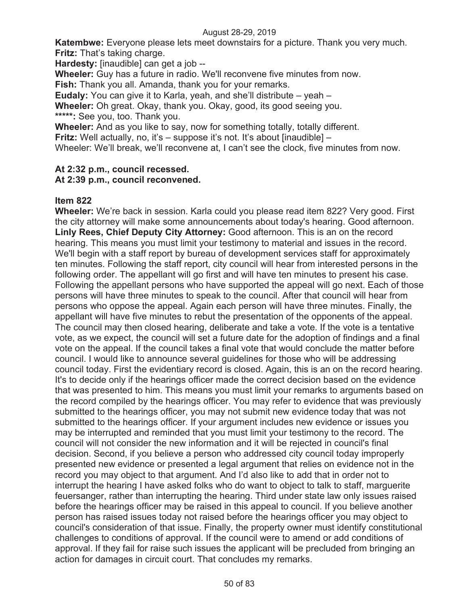**Katembwe:** Everyone please lets meet downstairs for a picture. Thank you very much. **Fritz:** That's taking charge.

**Hardesty:** [inaudible] can get a job --

**Wheeler:** Guy has a future in radio. We'll reconvene five minutes from now.

**Fish:** Thank you all. Amanda, thank you for your remarks.

**Eudaly:** You can give it to Karla, yeah, and she'll distribute – yeah –

**Wheeler:** Oh great. Okay, thank you. Okay, good, its good seeing you. **\*\*\*\*\*:** See you, too. Thank you.

**Wheeler:** And as you like to say, now for something totally, totally different.

**Fritz:** Well actually, no, it's – suppose it's not. It's about [inaudible] –

Wheeler: We'll break, we'll reconvene at, I can't see the clock, five minutes from now.

# **At 2:32 p.m., council recessed.**

# **At 2:39 p.m., council reconvened.**

# **Item 822**

**Wheeler:** We're back in session. Karla could you please read item 822? Very good. First the city attorney will make some announcements about today's hearing. Good afternoon. **Linly Rees, Chief Deputy City Attorney:** Good afternoon. This is an on the record hearing. This means you must limit your testimony to material and issues in the record. We'll begin with a staff report by bureau of development services staff for approximately ten minutes. Following the staff report, city council will hear from interested persons in the following order. The appellant will go first and will have ten minutes to present his case. Following the appellant persons who have supported the appeal will go next. Each of those persons will have three minutes to speak to the council. After that council will hear from persons who oppose the appeal. Again each person will have three minutes. Finally, the appellant will have five minutes to rebut the presentation of the opponents of the appeal. The council may then closed hearing, deliberate and take a vote. If the vote is a tentative vote, as we expect, the council will set a future date for the adoption of findings and a final vote on the appeal. If the council takes a final vote that would conclude the matter before council. I would like to announce several guidelines for those who will be addressing council today. First the evidentiary record is closed. Again, this is an on the record hearing. It's to decide only if the hearings officer made the correct decision based on the evidence that was presented to him. This means you must limit your remarks to arguments based on the record compiled by the hearings officer. You may refer to evidence that was previously submitted to the hearings officer, you may not submit new evidence today that was not submitted to the hearings officer. If your argument includes new evidence or issues you may be interrupted and reminded that you must limit your testimony to the record. The council will not consider the new information and it will be rejected in council's final decision. Second, if you believe a person who addressed city council today improperly presented new evidence or presented a legal argument that relies on evidence not in the record you may object to that argument. And I'd also like to add that in order not to interrupt the hearing I have asked folks who do want to object to talk to staff, marguerite feuersanger, rather than interrupting the hearing. Third under state law only issues raised before the hearings officer may be raised in this appeal to council. If you believe another person has raised issues today not raised before the hearings officer you may object to council's consideration of that issue. Finally, the property owner must identify constitutional challenges to conditions of approval. If the council were to amend or add conditions of approval. If they fail for raise such issues the applicant will be precluded from bringing an action for damages in circuit court. That concludes my remarks.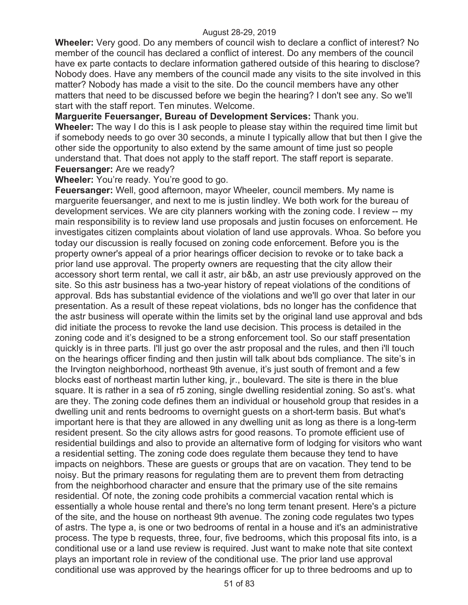**Wheeler:** Very good. Do any members of council wish to declare a conflict of interest? No member of the council has declared a conflict of interest. Do any members of the council have ex parte contacts to declare information gathered outside of this hearing to disclose? Nobody does. Have any members of the council made any visits to the site involved in this matter? Nobody has made a visit to the site. Do the council members have any other matters that need to be discussed before we begin the hearing? I don't see any. So we'll start with the staff report. Ten minutes. Welcome.

**Marguerite Feuersanger, Bureau of Development Services:** Thank you.

**Wheeler:** The way I do this is I ask people to please stay within the required time limit but if somebody needs to go over 30 seconds, a minute I typically allow that but then I give the other side the opportunity to also extend by the same amount of time just so people understand that. That does not apply to the staff report. The staff report is separate. **Feuersanger:** Are we ready?

## **Wheeler:** You're ready. You're good to go.

**Feuersanger:** Well, good afternoon, mayor Wheeler, council members. My name is marguerite feuersanger, and next to me is justin lindley. We both work for the bureau of development services. We are city planners working with the zoning code. I review -- my main responsibility is to review land use proposals and justin focuses on enforcement. He investigates citizen complaints about violation of land use approvals. Whoa. So before you today our discussion is really focused on zoning code enforcement. Before you is the property owner's appeal of a prior hearings officer decision to revoke or to take back a prior land use approval. The property owners are requesting that the city allow their accessory short term rental, we call it astr, air b&b, an astr use previously approved on the site. So this astr business has a two-year history of repeat violations of the conditions of approval. Bds has substantial evidence of the violations and we'll go over that later in our presentation. As a result of these repeat violations, bds no longer has the confidence that the astr business will operate within the limits set by the original land use approval and bds did initiate the process to revoke the land use decision. This process is detailed in the zoning code and it's designed to be a strong enforcement tool. So our staff presentation quickly is in three parts. I'll just go over the astr proposal and the rules, and then i'll touch on the hearings officer finding and then justin will talk about bds compliance. The site's in the Irvington neighborhood, northeast 9th avenue, it's just south of fremont and a few blocks east of northeast martin luther king, jr., boulevard. The site is there in the blue square. It is rather in a sea of r5 zoning, single dwelling residential zoning. So ast's. what are they. The zoning code defines them an individual or household group that resides in a dwelling unit and rents bedrooms to overnight guests on a short-term basis. But what's important here is that they are allowed in any dwelling unit as long as there is a long-term resident present. So the city allows astrs for good reasons. To promote efficient use of residential buildings and also to provide an alternative form of lodging for visitors who want a residential setting. The zoning code does regulate them because they tend to have impacts on neighbors. These are guests or groups that are on vacation. They tend to be noisy. But the primary reasons for regulating them are to prevent them from detracting from the neighborhood character and ensure that the primary use of the site remains residential. Of note, the zoning code prohibits a commercial vacation rental which is essentially a whole house rental and there's no long term tenant present. Here's a picture of the site, and the house on northeast 9th avenue. The zoning code regulates two types of astrs. The type a, is one or two bedrooms of rental in a house and it's an administrative process. The type b requests, three, four, five bedrooms, which this proposal fits into, is a conditional use or a land use review is required. Just want to make note that site context plays an important role in review of the conditional use. The prior land use approval conditional use was approved by the hearings officer for up to three bedrooms and up to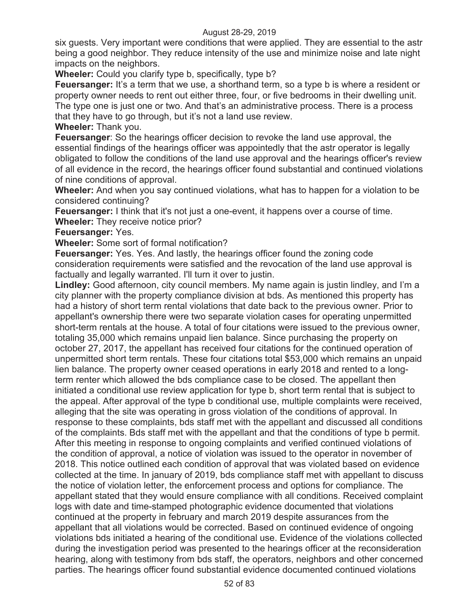six guests. Very important were conditions that were applied. They are essential to the astr being a good neighbor. They reduce intensity of the use and minimize noise and late night impacts on the neighbors.

**Wheeler:** Could you clarify type b, specifically, type b?

**Feuersanger:** It's a term that we use, a shorthand term, so a type b is where a resident or property owner needs to rent out either three, four, or five bedrooms in their dwelling unit. The type one is just one or two. And that's an administrative process. There is a process that they have to go through, but it's not a land use review.

**Wheeler:** Thank you.

**Feuersanger**: So the hearings officer decision to revoke the land use approval, the essential findings of the hearings officer was appointedly that the astr operator is legally obligated to follow the conditions of the land use approval and the hearings officer's review of all evidence in the record, the hearings officer found substantial and continued violations of nine conditions of approval.

**Wheeler:** And when you say continued violations, what has to happen for a violation to be considered continuing?

**Feuersanger:** I think that it's not just a one-event, it happens over a course of time. **Wheeler:** They receive notice prior?

**Feuersanger:** Yes.

**Wheeler:** Some sort of formal notification?

**Feuersanger:** Yes. Yes. And lastly, the hearings officer found the zoning code consideration requirements were satisfied and the revocation of the land use approval is factually and legally warranted. I'll turn it over to justin.

**Lindley:** Good afternoon, city council members. My name again is justin lindley, and I'm a city planner with the property compliance division at bds. As mentioned this property has had a history of short term rental violations that date back to the previous owner. Prior to appellant's ownership there were two separate violation cases for operating unpermitted short-term rentals at the house. A total of four citations were issued to the previous owner, totaling 35,000 which remains unpaid lien balance. Since purchasing the property on october 27, 2017, the appellant has received four citations for the continued operation of unpermitted short term rentals. These four citations total \$53,000 which remains an unpaid lien balance. The property owner ceased operations in early 2018 and rented to a longterm renter which allowed the bds compliance case to be closed. The appellant then initiated a conditional use review application for type b, short term rental that is subject to the appeal. After approval of the type b conditional use, multiple complaints were received, alleging that the site was operating in gross violation of the conditions of approval. In response to these complaints, bds staff met with the appellant and discussed all conditions of the complaints. Bds staff met with the appellant and that the conditions of type b permit. After this meeting in response to ongoing complaints and verified continued violations of the condition of approval, a notice of violation was issued to the operator in november of 2018. This notice outlined each condition of approval that was violated based on evidence collected at the time. In january of 2019, bds compliance staff met with appellant to discuss the notice of violation letter, the enforcement process and options for compliance. The appellant stated that they would ensure compliance with all conditions. Received complaint logs with date and time-stamped photographic evidence documented that violations continued at the property in february and march 2019 despite assurances from the appellant that all violations would be corrected. Based on continued evidence of ongoing violations bds initiated a hearing of the conditional use. Evidence of the violations collected during the investigation period was presented to the hearings officer at the reconsideration hearing, along with testimony from bds staff, the operators, neighbors and other concerned parties. The hearings officer found substantial evidence documented continued violations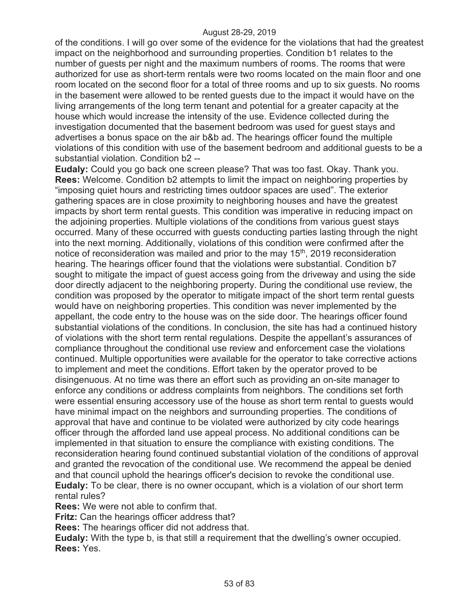of the conditions. I will go over some of the evidence for the violations that had the greatest impact on the neighborhood and surrounding properties. Condition b1 relates to the number of guests per night and the maximum numbers of rooms. The rooms that were authorized for use as short-term rentals were two rooms located on the main floor and one room located on the second floor for a total of three rooms and up to six guests. No rooms in the basement were allowed to be rented guests due to the impact it would have on the living arrangements of the long term tenant and potential for a greater capacity at the house which would increase the intensity of the use. Evidence collected during the investigation documented that the basement bedroom was used for guest stays and advertises a bonus space on the air b&b ad. The hearings officer found the multiple violations of this condition with use of the basement bedroom and additional guests to be a substantial violation. Condition b2 --

**Eudaly:** Could you go back one screen please? That was too fast. Okay. Thank you. **Rees:** Welcome. Condition b2 attempts to limit the impact on neighboring properties by "imposing quiet hours and restricting times outdoor spaces are used". The exterior gathering spaces are in close proximity to neighboring houses and have the greatest impacts by short term rental guests. This condition was imperative in reducing impact on the adjoining properties. Multiple violations of the conditions from various guest stays occurred. Many of these occurred with guests conducting parties lasting through the night into the next morning. Additionally, violations of this condition were confirmed after the notice of reconsideration was mailed and prior to the may 15<sup>th</sup>, 2019 reconsideration hearing. The hearings officer found that the violations were substantial. Condition b7 sought to mitigate the impact of guest access going from the driveway and using the side door directly adjacent to the neighboring property. During the conditional use review, the condition was proposed by the operator to mitigate impact of the short term rental guests would have on neighboring properties. This condition was never implemented by the appellant, the code entry to the house was on the side door. The hearings officer found substantial violations of the conditions. In conclusion, the site has had a continued history of violations with the short term rental regulations. Despite the appellant's assurances of compliance throughout the conditional use review and enforcement case the violations continued. Multiple opportunities were available for the operator to take corrective actions to implement and meet the conditions. Effort taken by the operator proved to be disingenuous. At no time was there an effort such as providing an on-site manager to enforce any conditions or address complaints from neighbors. The conditions set forth were essential ensuring accessory use of the house as short term rental to guests would have minimal impact on the neighbors and surrounding properties. The conditions of approval that have and continue to be violated were authorized by city code hearings officer through the afforded land use appeal process. No additional conditions can be implemented in that situation to ensure the compliance with existing conditions. The reconsideration hearing found continued substantial violation of the conditions of approval and granted the revocation of the conditional use. We recommend the appeal be denied and that council uphold the hearings officer's decision to revoke the conditional use. **Eudaly:** To be clear, there is no owner occupant, which is a violation of our short term rental rules?

**Rees:** We were not able to confirm that.

**Fritz:** Can the hearings officer address that?

**Rees:** The hearings officer did not address that.

**Eudaly:** With the type b, is that still a requirement that the dwelling's owner occupied. **Rees:** Yes.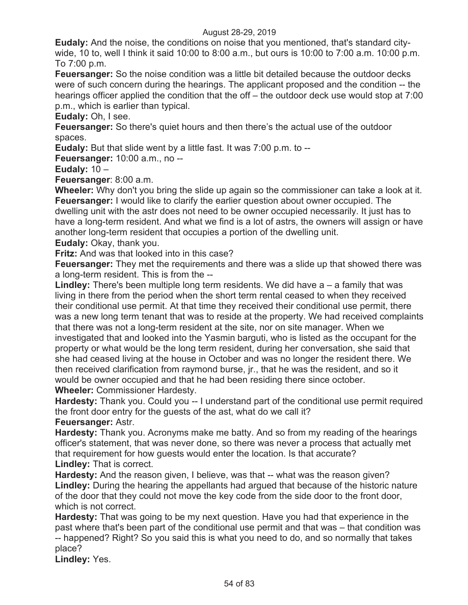**Eudaly:** And the noise, the conditions on noise that you mentioned, that's standard citywide, 10 to, well I think it said 10:00 to 8:00 a.m., but ours is 10:00 to 7:00 a.m. 10:00 p.m. To 7:00 p.m.

**Feuersanger:** So the noise condition was a little bit detailed because the outdoor decks were of such concern during the hearings. The applicant proposed and the condition -- the hearings officer applied the condition that the off – the outdoor deck use would stop at 7:00 p.m., which is earlier than typical.

**Eudaly:** Oh, I see.

**Feuersanger:** So there's quiet hours and then there's the actual use of the outdoor spaces.

**Eudaly:** But that slide went by a little fast. It was 7:00 p.m. to --

**Feuersanger:** 10:00 a.m., no --

# **Eudaly:** 10 –

**Feuersanger**: 8:00 a.m.

**Wheeler:** Why don't you bring the slide up again so the commissioner can take a look at it. **Feuersanger:** I would like to clarify the earlier question about owner occupied. The dwelling unit with the astr does not need to be owner occupied necessarily. It just has to have a long-term resident. And what we find is a lot of astrs, the owners will assign or have another long-term resident that occupies a portion of the dwelling unit.

**Eudaly:** Okay, thank you.

**Fritz:** And was that looked into in this case?

**Feuersanger:** They met the requirements and there was a slide up that showed there was a long-term resident. This is from the --

**Lindley:** There's been multiple long term residents. We did have a – a family that was living in there from the period when the short term rental ceased to when they received their conditional use permit. At that time they received their conditional use permit, there was a new long term tenant that was to reside at the property. We had received complaints that there was not a long-term resident at the site, nor on site manager. When we investigated that and looked into the Yasmin barguti, who is listed as the occupant for the property or what would be the long term resident, during her conversation, she said that she had ceased living at the house in October and was no longer the resident there. We then received clarification from raymond burse, jr., that he was the resident, and so it would be owner occupied and that he had been residing there since october. **Wheeler:** Commissioner Hardesty.

**Hardesty:** Thank you. Could you -- I understand part of the conditional use permit required the front door entry for the guests of the ast, what do we call it?

# **Feuersanger:** Astr.

**Hardesty:** Thank you. Acronyms make me batty. And so from my reading of the hearings officer's statement, that was never done, so there was never a process that actually met that requirement for how guests would enter the location. Is that accurate? **Lindley:** That is correct.

**Hardesty:** And the reason given, I believe, was that -- what was the reason given? **Lindley:** During the hearing the appellants had argued that because of the historic nature of the door that they could not move the key code from the side door to the front door, which is not correct.

**Hardesty:** That was going to be my next question. Have you had that experience in the past where that's been part of the conditional use permit and that was – that condition was -- happened? Right? So you said this is what you need to do, and so normally that takes place?

**Lindley:** Yes.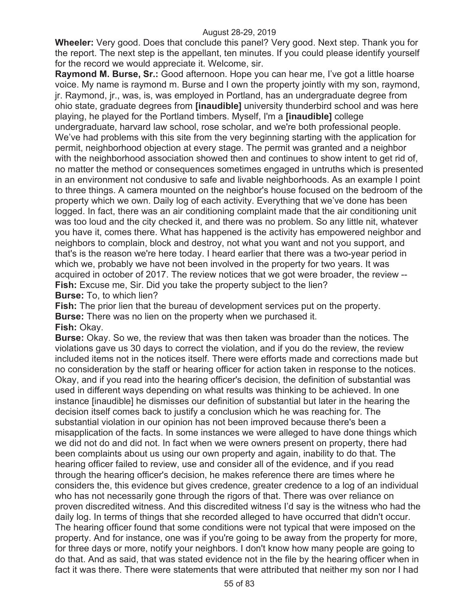**Wheeler:** Very good. Does that conclude this panel? Very good. Next step. Thank you for the report. The next step is the appellant, ten minutes. If you could please identify yourself for the record we would appreciate it. Welcome, sir.

**Raymond M. Burse, Sr.:** Good afternoon. Hope you can hear me, I've got a little hoarse voice. My name is raymond m. Burse and I own the property jointly with my son, raymond, jr. Raymond, jr., was, is, was employed in Portland, has an undergraduate degree from ohio state, graduate degrees from **[inaudible]** university thunderbird school and was here playing, he played for the Portland timbers. Myself, I'm a **[inaudible]** college undergraduate, harvard law school, rose scholar, and we're both professional people. We've had problems with this site from the very beginning starting with the application for permit, neighborhood objection at every stage. The permit was granted and a neighbor with the neighborhood association showed then and continues to show intent to get rid of, no matter the method or consequences sometimes engaged in untruths which is presented in an environment not condusive to safe and livable neighborhoods. As an example I point to three things. A camera mounted on the neighbor's house focused on the bedroom of the property which we own. Daily log of each activity. Everything that we've done has been logged. In fact, there was an air conditioning complaint made that the air conditioning unit was too loud and the city checked it, and there was no problem. So any little nit, whatever you have it, comes there. What has happened is the activity has empowered neighbor and neighbors to complain, block and destroy, not what you want and not you support, and that's is the reason we're here today. I heard earlier that there was a two-year period in which we, probably we have not been involved in the property for two years. It was acquired in october of 2017. The review notices that we got were broader, the review -- **Fish:** Excuse me, Sir. Did you take the property subject to the lien? **Burse:** To, to which lien?

**Fish:** The prior lien that the bureau of development services put on the property. **Burse:** There was no lien on the property when we purchased it. **Fish:** Okay.

**Burse:** Okay. So we, the review that was then taken was broader than the notices. The violations gave us 30 days to correct the violation, and if you do the review, the review included items not in the notices itself. There were efforts made and corrections made but no consideration by the staff or hearing officer for action taken in response to the notices. Okay, and if you read into the hearing officer's decision, the definition of substantial was used in different ways depending on what results was thinking to be achieved. In one instance [inaudible] he dismisses our definition of substantial but later in the hearing the decision itself comes back to justify a conclusion which he was reaching for. The substantial violation in our opinion has not been improved because there's been a misapplication of the facts. In some instances we were alleged to have done things which we did not do and did not. In fact when we were owners present on property, there had been complaints about us using our own property and again, inability to do that. The hearing officer failed to review, use and consider all of the evidence, and if you read through the hearing officer's decision, he makes reference there are times where he considers the, this evidence but gives credence, greater credence to a log of an individual who has not necessarily gone through the rigors of that. There was over reliance on proven discredited witness. And this discredited witness I'd say is the witness who had the daily log. In terms of things that she recorded alleged to have occurred that didn't occur. The hearing officer found that some conditions were not typical that were imposed on the property. And for instance, one was if you're going to be away from the property for more, for three days or more, notify your neighbors. I don't know how many people are going to do that. And as said, that was stated evidence not in the file by the hearing officer when in fact it was there. There were statements that were attributed that neither my son nor I had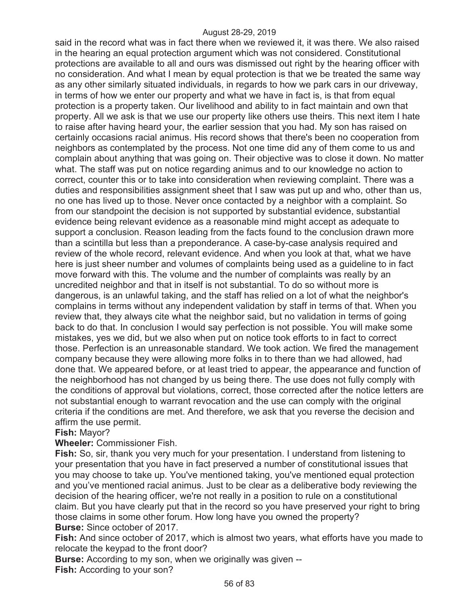said in the record what was in fact there when we reviewed it, it was there. We also raised in the hearing an equal protection argument which was not considered. Constitutional protections are available to all and ours was dismissed out right by the hearing officer with no consideration. And what I mean by equal protection is that we be treated the same way as any other similarly situated individuals, in regards to how we park cars in our driveway, in terms of how we enter our property and what we have in fact is, is that from equal protection is a property taken. Our livelihood and ability to in fact maintain and own that property. All we ask is that we use our property like others use theirs. This next item I hate to raise after having heard your, the earlier session that you had. My son has raised on certainly occasions racial animus. His record shows that there's been no cooperation from neighbors as contemplated by the process. Not one time did any of them come to us and complain about anything that was going on. Their objective was to close it down. No matter what. The staff was put on notice regarding animus and to our knowledge no action to correct, counter this or to take into consideration when reviewing complaint. There was a duties and responsibilities assignment sheet that I saw was put up and who, other than us, no one has lived up to those. Never once contacted by a neighbor with a complaint. So from our standpoint the decision is not supported by substantial evidence, substantial evidence being relevant evidence as a reasonable mind might accept as adequate to support a conclusion. Reason leading from the facts found to the conclusion drawn more than a scintilla but less than a preponderance. A case-by-case analysis required and review of the whole record, relevant evidence. And when you look at that, what we have here is just sheer number and volumes of complaints being used as a guideline to in fact move forward with this. The volume and the number of complaints was really by an uncredited neighbor and that in itself is not substantial. To do so without more is dangerous, is an unlawful taking, and the staff has relied on a lot of what the neighbor's complains in terms without any independent validation by staff in terms of that. When you review that, they always cite what the neighbor said, but no validation in terms of going back to do that. In conclusion I would say perfection is not possible. You will make some mistakes, yes we did, but we also when put on notice took efforts to in fact to correct those. Perfection is an unreasonable standard. We took action. We fired the management company because they were allowing more folks in to there than we had allowed, had done that. We appeared before, or at least tried to appear, the appearance and function of the neighborhood has not changed by us being there. The use does not fully comply with the conditions of approval but violations, correct, those corrected after the notice letters are not substantial enough to warrant revocation and the use can comply with the original criteria if the conditions are met. And therefore, we ask that you reverse the decision and affirm the use permit.

## **Fish:** Mayor?

**Wheeler:** Commissioner Fish.

**Fish:** So, sir, thank you very much for your presentation. I understand from listening to your presentation that you have in fact preserved a number of constitutional issues that you may choose to take up. You've mentioned taking, you've mentioned equal protection and you've mentioned racial animus. Just to be clear as a deliberative body reviewing the decision of the hearing officer, we're not really in a position to rule on a constitutional claim. But you have clearly put that in the record so you have preserved your right to bring those claims in some other forum. How long have you owned the property? **Burse:** Since october of 2017.

**Fish:** And since october of 2017, which is almost two years, what efforts have you made to relocate the keypad to the front door?

**Burse:** According to my son, when we originally was given -- **Fish:** According to your son?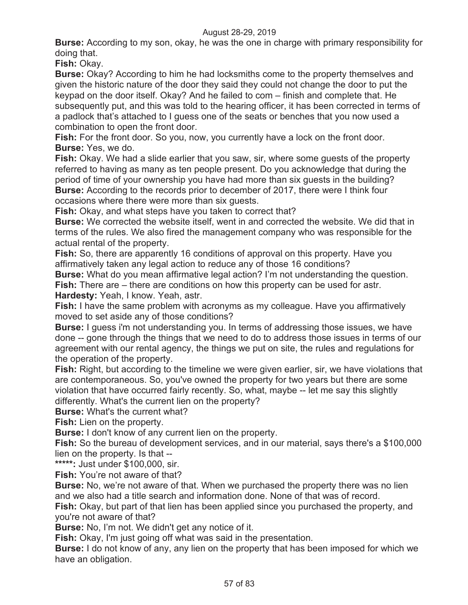**Burse:** According to my son, okay, he was the one in charge with primary responsibility for doing that.

**Fish:** Okay.

**Burse:** Okay? According to him he had locksmiths come to the property themselves and given the historic nature of the door they said they could not change the door to put the keypad on the door itself. Okay? And he failed to com – finish and complete that. He subsequently put, and this was told to the hearing officer, it has been corrected in terms of a padlock that's attached to I guess one of the seats or benches that you now used a combination to open the front door.

**Fish:** For the front door. So you, now, you currently have a lock on the front door. **Burse:** Yes, we do.

**Fish:** Okay. We had a slide earlier that you saw, sir, where some guests of the property referred to having as many as ten people present. Do you acknowledge that during the period of time of your ownership you have had more than six guests in the building? **Burse:** According to the records prior to december of 2017, there were I think four occasions where there were more than six guests.

**Fish:** Okay, and what steps have you taken to correct that?

**Burse:** We corrected the website itself, went in and corrected the website. We did that in terms of the rules. We also fired the management company who was responsible for the actual rental of the property.

**Fish:** So, there are apparently 16 conditions of approval on this property. Have you affirmatively taken any legal action to reduce any of those 16 conditions?

**Burse:** What do you mean affirmative legal action? I'm not understanding the question. **Fish:** There are – there are conditions on how this property can be used for astr.

**Hardesty:** Yeah, I know. Yeah, astr.

**Fish:** I have the same problem with acronyms as my colleague. Have you affirmatively moved to set aside any of those conditions?

**Burse:** I guess i'm not understanding you. In terms of addressing those issues, we have done -- gone through the things that we need to do to address those issues in terms of our agreement with our rental agency, the things we put on site, the rules and regulations for the operation of the property.

**Fish:** Right, but according to the timeline we were given earlier, sir, we have violations that are contemporaneous. So, you've owned the property for two years but there are some violation that have occurred fairly recently. So, what, maybe -- let me say this slightly differently. What's the current lien on the property?

**Burse:** What's the current what?

**Fish:** Lien on the property.

**Burse:** I don't know of any current lien on the property.

**Fish:** So the bureau of development services, and in our material, says there's a \$100,000 lien on the property. Is that --

**\*\*\*\*\*:** Just under \$100,000, sir.

**Fish:** You're not aware of that?

**Burse:** No, we're not aware of that. When we purchased the property there was no lien and we also had a title search and information done. None of that was of record.

**Fish:** Okay, but part of that lien has been applied since you purchased the property, and you're not aware of that?

**Burse:** No, I'm not. We didn't get any notice of it.

**Fish:** Okay, I'm just going off what was said in the presentation.

**Burse:** I do not know of any, any lien on the property that has been imposed for which we have an obligation.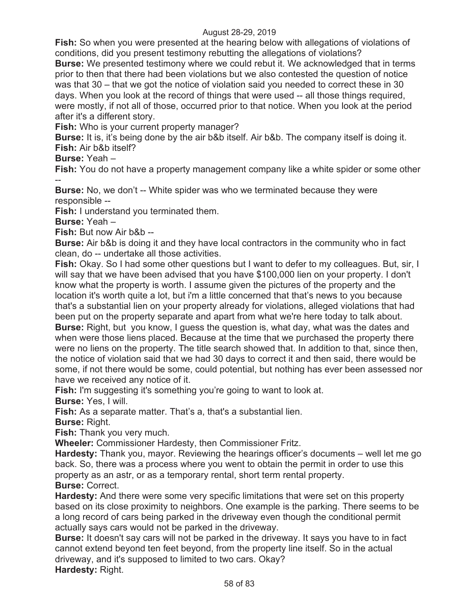**Fish:** So when you were presented at the hearing below with allegations of violations of conditions, did you present testimony rebutting the allegations of violations?

**Burse:** We presented testimony where we could rebut it. We acknowledged that in terms prior to then that there had been violations but we also contested the question of notice was that 30 – that we got the notice of violation said you needed to correct these in 30 days. When you look at the record of things that were used -- all those things required, were mostly, if not all of those, occurred prior to that notice. When you look at the period after it's a different story.

**Fish:** Who is your current property manager?

**Burse:** It is, it's being done by the air b&b itself. Air b&b. The company itself is doing it. **Fish:** Air b&b itself?

**Burse:** Yeah –

**Fish:** You do not have a property management company like a white spider or some other --

**Burse:** No, we don't -- White spider was who we terminated because they were responsible --

**Fish:** I understand you terminated them.

**Burse:** Yeah –

**Fish:** But now Air b&b --

**Burse:** Air b&b is doing it and they have local contractors in the community who in fact clean, do -- undertake all those activities.

**Fish:** Okay. So I had some other questions but I want to defer to my colleagues. But, sir, I will say that we have been advised that you have \$100,000 lien on your property. I don't know what the property is worth. I assume given the pictures of the property and the location it's worth quite a lot, but i'm a little concerned that that's news to you because that's a substantial lien on your property already for violations, alleged violations that had been put on the property separate and apart from what we're here today to talk about. **Burse:** Right, but you know, I guess the question is, what day, what was the dates and when were those liens placed. Because at the time that we purchased the property there were no liens on the property. The title search showed that. In addition to that, since then, the notice of violation said that we had 30 days to correct it and then said, there would be some, if not there would be some, could potential, but nothing has ever been assessed nor have we received any notice of it.

**Fish:** I'm suggesting it's something you're going to want to look at.

**Burse:** Yes, I will.

Fish: As a separate matter. That's a, that's a substantial lien.

**Burse:** Right.

**Fish:** Thank you very much.

**Wheeler:** Commissioner Hardesty, then Commissioner Fritz.

**Hardesty:** Thank you, mayor. Reviewing the hearings officer's documents – well let me go back. So, there was a process where you went to obtain the permit in order to use this property as an astr, or as a temporary rental, short term rental property. **Burse:** Correct.

**Hardesty:** And there were some very specific limitations that were set on this property based on its close proximity to neighbors. One example is the parking. There seems to be a long record of cars being parked in the driveway even though the conditional permit actually says cars would not be parked in the driveway.

**Burse:** It doesn't say cars will not be parked in the driveway. It says you have to in fact cannot extend beyond ten feet beyond, from the property line itself. So in the actual driveway, and it's supposed to limited to two cars. Okay? **Hardesty:** Right.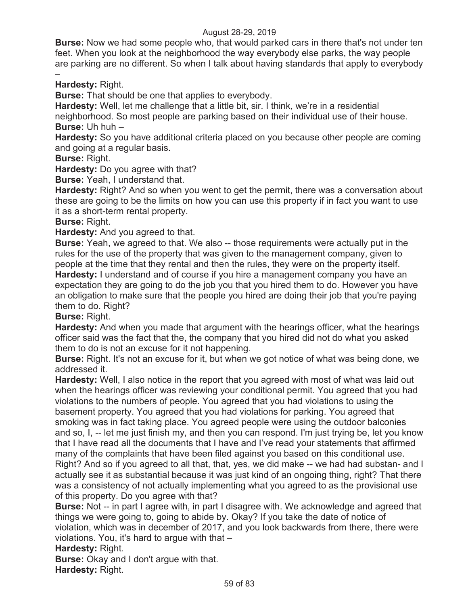**Burse:** Now we had some people who, that would parked cars in there that's not under ten feet. When you look at the neighborhood the way everybody else parks, the way people are parking are no different. So when I talk about having standards that apply to everybody

– **Hardesty:** Right.

**Burse:** That should be one that applies to everybody.

**Hardesty:** Well, let me challenge that a little bit, sir. I think, we're in a residential

neighborhood. So most people are parking based on their individual use of their house. **Burse:** Uh huh –

**Hardesty:** So you have additional criteria placed on you because other people are coming and going at a regular basis.

**Burse:** Right.

**Hardesty:** Do you agree with that?

**Burse:** Yeah, I understand that.

**Hardesty:** Right? And so when you went to get the permit, there was a conversation about these are going to be the limits on how you can use this property if in fact you want to use it as a short-term rental property.

**Burse:** Right.

**Hardesty:** And you agreed to that.

**Burse:** Yeah, we agreed to that. We also -- those requirements were actually put in the rules for the use of the property that was given to the management company, given to people at the time that they rental and then the rules, they were on the property itself. **Hardesty:** I understand and of course if you hire a management company you have an expectation they are going to do the job you that you hired them to do. However you have an obligation to make sure that the people you hired are doing their job that you're paying them to do. Right?

# **Burse:** Right.

**Hardesty:** And when you made that argument with the hearings officer, what the hearings officer said was the fact that the, the company that you hired did not do what you asked them to do is not an excuse for it not happening.

**Burse:** Right. It's not an excuse for it, but when we got notice of what was being done, we addressed it.

**Hardesty:** Well, I also notice in the report that you agreed with most of what was laid out when the hearings officer was reviewing your conditional permit. You agreed that you had violations to the numbers of people. You agreed that you had violations to using the basement property. You agreed that you had violations for parking. You agreed that smoking was in fact taking place. You agreed people were using the outdoor balconies and so, I, -- let me just finish my, and then you can respond. I'm just trying be, let you know that I have read all the documents that I have and I've read your statements that affirmed many of the complaints that have been filed against you based on this conditional use. Right? And so if you agreed to all that, that, yes, we did make -- we had had substan- and I actually see it as substantial because it was just kind of an ongoing thing, right? That there was a consistency of not actually implementing what you agreed to as the provisional use of this property. Do you agree with that?

**Burse:** Not -- in part I agree with, in part I disagree with. We acknowledge and agreed that things we were going to, going to abide by. Okay? If you take the date of notice of violation, which was in december of 2017, and you look backwards from there, there were violations. You, it's hard to argue with that –

# **Hardesty:** Right.

**Burse:** Okay and I don't argue with that. **Hardesty:** Right.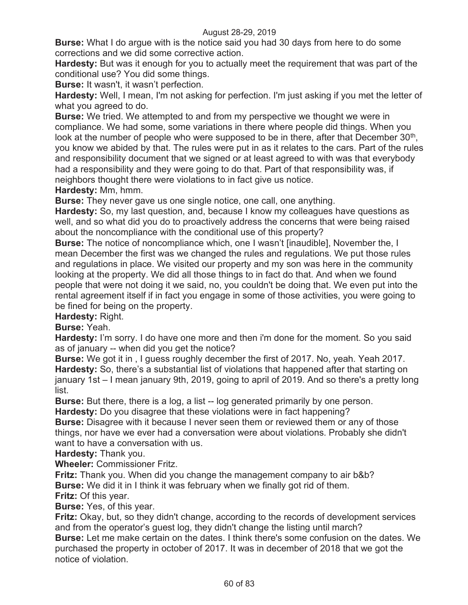**Burse:** What I do argue with is the notice said you had 30 days from here to do some corrections and we did some corrective action.

**Hardesty:** But was it enough for you to actually meet the requirement that was part of the conditional use? You did some things.

**Burse:** It wasn't, it wasn't perfection.

**Hardesty:** Well, I mean, I'm not asking for perfection. I'm just asking if you met the letter of what you agreed to do.

**Burse:** We tried. We attempted to and from my perspective we thought we were in compliance. We had some, some variations in there where people did things. When you look at the number of people who were supposed to be in there, after that December  $30<sup>th</sup>$ , you know we abided by that. The rules were put in as it relates to the cars. Part of the rules and responsibility document that we signed or at least agreed to with was that everybody had a responsibility and they were going to do that. Part of that responsibility was, if neighbors thought there were violations to in fact give us notice. **Hardesty:** Mm, hmm.

**Burse:** They never gave us one single notice, one call, one anything.

**Hardesty:** So, my last question, and, because I know my colleagues have questions as well, and so what did you do to proactively address the concerns that were being raised about the noncompliance with the conditional use of this property?

**Burse:** The notice of noncompliance which, one I wasn't [inaudible], November the, I mean December the first was we changed the rules and regulations. We put those rules and regulations in place. We visited our property and my son was here in the community looking at the property. We did all those things to in fact do that. And when we found people that were not doing it we said, no, you couldn't be doing that. We even put into the rental agreement itself if in fact you engage in some of those activities, you were going to be fined for being on the property.

**Hardesty:** Right.

**Burse:** Yeah.

**Hardesty:** I'm sorry. I do have one more and then i'm done for the moment. So you said as of january -- when did you get the notice?

**Burse:** We got it in , I guess roughly december the first of 2017. No, yeah. Yeah 2017. **Hardesty:** So, there's a substantial list of violations that happened after that starting on january 1st – I mean january 9th, 2019, going to april of 2019. And so there's a pretty long list.

**Burse:** But there, there is a log, a list -- log generated primarily by one person. **Hardesty:** Do you disagree that these violations were in fact happening?

**Burse:** Disagree with it because I never seen them or reviewed them or any of those things, nor have we ever had a conversation were about violations. Probably she didn't want to have a conversation with us.

**Hardesty:** Thank you.

**Wheeler:** Commissioner Fritz.

**Fritz:** Thank you. When did you change the management company to air b&b? **Burse:** We did it in I think it was february when we finally got rid of them.

**Fritz:** Of this year.

**Burse:** Yes, of this year.

**Fritz:** Okay, but, so they didn't change, according to the records of development services and from the operator's guest log, they didn't change the listing until march?

**Burse:** Let me make certain on the dates. I think there's some confusion on the dates. We purchased the property in october of 2017. It was in december of 2018 that we got the notice of violation.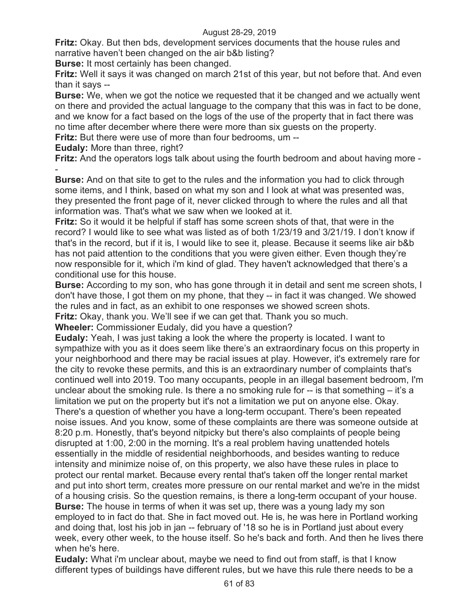**Fritz:** Okay. But then bds, development services documents that the house rules and narrative haven't been changed on the air b&b listing?

**Burse:** It most certainly has been changed.

**Fritz:** Well it says it was changed on march 21st of this year, but not before that. And even than it says --

**Burse:** We, when we got the notice we requested that it be changed and we actually went on there and provided the actual language to the company that this was in fact to be done, and we know for a fact based on the logs of the use of the property that in fact there was no time after december where there were more than six guests on the property.

**Fritz:** But there were use of more than four bedrooms, um --

**Eudaly:** More than three, right?

**Fritz:** And the operators logs talk about using the fourth bedroom and about having more -

- **Burse:** And on that site to get to the rules and the information you had to click through some items, and I think, based on what my son and I look at what was presented was, they presented the front page of it, never clicked through to where the rules and all that information was. That's what we saw when we looked at it.

**Fritz:** So it would it be helpful if staff has some screen shots of that, that were in the record? I would like to see what was listed as of both 1/23/19 and 3/21/19. I don't know if that's in the record, but if it is, I would like to see it, please. Because it seems like air b&b has not paid attention to the conditions that you were given either. Even though they're now responsible for it, which i'm kind of glad. They haven't acknowledged that there's a conditional use for this house.

**Burse:** According to my son, who has gone through it in detail and sent me screen shots, I don't have those, I got them on my phone, that they -- in fact it was changed. We showed the rules and in fact, as an exhibit to one responses we showed screen shots.

**Fritz:** Okay, thank you. We'll see if we can get that. Thank you so much.

**Wheeler:** Commissioner Eudaly, did you have a question?

**Eudaly:** Yeah, I was just taking a look the where the property is located. I want to sympathize with you as it does seem like there's an extraordinary focus on this property in your neighborhood and there may be racial issues at play. However, it's extremely rare for the city to revoke these permits, and this is an extraordinary number of complaints that's continued well into 2019. Too many occupants, people in an illegal basement bedroom, I'm unclear about the smoking rule. Is there a no smoking rule for  $-$  is that something  $-$  it's a limitation we put on the property but it's not a limitation we put on anyone else. Okay. There's a question of whether you have a long-term occupant. There's been repeated noise issues. And you know, some of these complaints are there was someone outside at 8:20 p.m. Honestly, that's beyond nitpicky but there's also complaints of people being disrupted at 1:00, 2:00 in the morning. It's a real problem having unattended hotels essentially in the middle of residential neighborhoods, and besides wanting to reduce intensity and minimize noise of, on this property, we also have these rules in place to protect our rental market. Because every rental that's taken off the longer rental market and put into short term, creates more pressure on our rental market and we're in the midst of a housing crisis. So the question remains, is there a long-term occupant of your house. **Burse:** The house in terms of when it was set up, there was a young lady my son employed to in fact do that. She in fact moved out. He is, he was here in Portland working and doing that, lost his job in jan -- february of '18 so he is in Portland just about every week, every other week, to the house itself. So he's back and forth. And then he lives there when he's here.

**Eudaly:** What i'm unclear about, maybe we need to find out from staff, is that I know different types of buildings have different rules, but we have this rule there needs to be a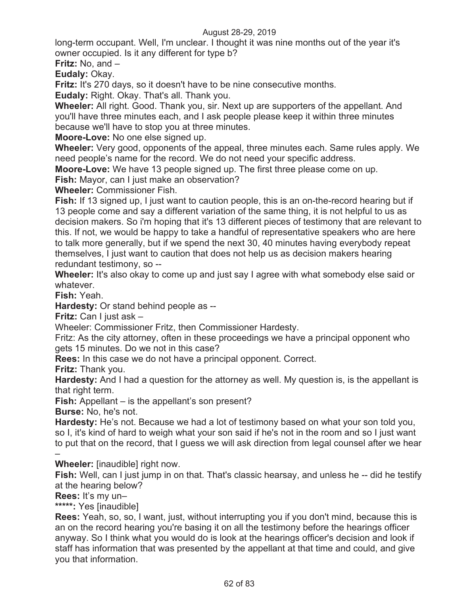long-term occupant. Well, I'm unclear. I thought it was nine months out of the year it's owner occupied. Is it any different for type b?

**Fritz:** No, and –

**Eudaly:** Okay.

**Fritz:** It's 270 days, so it doesn't have to be nine consecutive months.

**Eudaly:** Right. Okay. That's all. Thank you.

**Wheeler:** All right. Good. Thank you, sir. Next up are supporters of the appellant. And you'll have three minutes each, and I ask people please keep it within three minutes because we'll have to stop you at three minutes.

**Moore-Love:** No one else signed up.

**Wheeler:** Very good, opponents of the appeal, three minutes each. Same rules apply. We need people's name for the record. We do not need your specific address.

**Moore-Love:** We have 13 people signed up. The first three please come on up.

**Fish:** Mayor, can I just make an observation?

**Wheeler:** Commissioner Fish.

**Fish:** If 13 signed up, I just want to caution people, this is an on-the-record hearing but if 13 people come and say a different variation of the same thing, it is not helpful to us as decision makers. So i'm hoping that it's 13 different pieces of testimony that are relevant to this. If not, we would be happy to take a handful of representative speakers who are here to talk more generally, but if we spend the next 30, 40 minutes having everybody repeat themselves, I just want to caution that does not help us as decision makers hearing redundant testimony, so --

**Wheeler:** It's also okay to come up and just say I agree with what somebody else said or whatever.

**Fish:** Yeah.

**Hardesty:** Or stand behind people as --

**Fritz:** Can I just ask –

Wheeler: Commissioner Fritz, then Commissioner Hardesty.

Fritz: As the city attorney, often in these proceedings we have a principal opponent who gets 15 minutes. Do we not in this case?

**Rees:** In this case we do not have a principal opponent. Correct.

**Fritz:** Thank you.

**Hardesty:** And I had a question for the attorney as well. My question is, is the appellant is that right term.

**Fish:** Appellant – is the appellant's son present?

**Burse:** No, he's not.

**Hardesty:** He's not. Because we had a lot of testimony based on what your son told you, so I, it's kind of hard to weigh what your son said if he's not in the room and so I just want to put that on the record, that I guess we will ask direction from legal counsel after we hear

– **Wheeler:** [inaudible] right now.

**Fish:** Well, can I just jump in on that. That's classic hearsay, and unless he -- did he testify at the hearing below?

**Rees:** It's my un–

**\*\*\*\*\*:** Yes [inaudible]

**Rees:** Yeah, so, so, I want, just, without interrupting you if you don't mind, because this is an on the record hearing you're basing it on all the testimony before the hearings officer anyway. So I think what you would do is look at the hearings officer's decision and look if staff has information that was presented by the appellant at that time and could, and give you that information.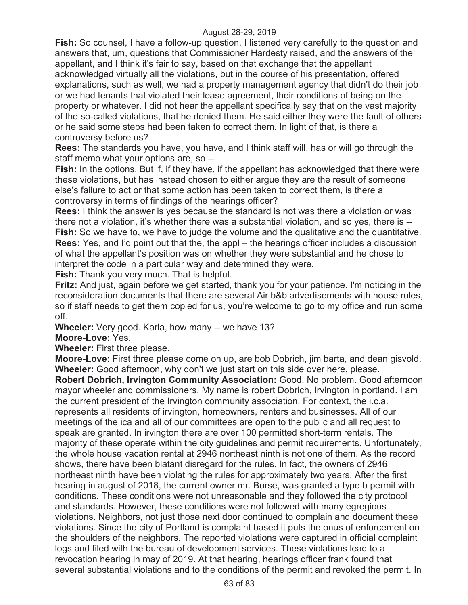**Fish:** So counsel, I have a follow-up question. I listened very carefully to the question and answers that, um, questions that Commissioner Hardesty raised, and the answers of the appellant, and I think it's fair to say, based on that exchange that the appellant acknowledged virtually all the violations, but in the course of his presentation, offered explanations, such as well, we had a property management agency that didn't do their job or we had tenants that violated their lease agreement, their conditions of being on the property or whatever. I did not hear the appellant specifically say that on the vast majority of the so-called violations, that he denied them. He said either they were the fault of others or he said some steps had been taken to correct them. In light of that, is there a controversy before us?

**Rees:** The standards you have, you have, and I think staff will, has or will go through the staff memo what your options are, so --

**Fish:** In the options. But if, if they have, if the appellant has acknowledged that there were these violations, but has instead chosen to either argue they are the result of someone else's failure to act or that some action has been taken to correct them, is there a controversy in terms of findings of the hearings officer?

**Rees:** I think the answer is yes because the standard is not was there a violation or was there not a violation, it's whether there was a substantial violation, and so yes, there is -- **Fish:** So we have to, we have to judge the volume and the qualitative and the quantitative. **Rees:** Yes, and I'd point out that the, the appl – the hearings officer includes a discussion of what the appellant's position was on whether they were substantial and he chose to interpret the code in a particular way and determined they were.

**Fish:** Thank you very much. That is helpful.

**Fritz:** And just, again before we get started, thank you for your patience. I'm noticing in the reconsideration documents that there are several Air b&b advertisements with house rules, so if staff needs to get them copied for us, you're welcome to go to my office and run some off.

**Wheeler:** Very good. Karla, how many -- we have 13?

**Moore-Love:** Yes.

**Wheeler:** First three please.

**Moore-Love:** First three please come on up, are bob Dobrich, jim barta, and dean gisvold. **Wheeler:** Good afternoon, why don't we just start on this side over here, please.

**Robert Dobrich, Irvington Community Association:** Good. No problem. Good afternoon mayor wheeler and commissioners. My name is robert Dobrich, Irvington in portland. I am the current president of the Irvington community association. For context, the i.c.a. represents all residents of irvington, homeowners, renters and businesses. All of our meetings of the ica and all of our committees are open to the public and all request to speak are granted. In irvington there are over 100 permitted short-term rentals. The majority of these operate within the city guidelines and permit requirements. Unfortunately, the whole house vacation rental at 2946 northeast ninth is not one of them. As the record shows, there have been blatant disregard for the rules. In fact, the owners of 2946 northeast ninth have been violating the rules for approximately two years. After the first hearing in august of 2018, the current owner mr. Burse, was granted a type b permit with conditions. These conditions were not unreasonable and they followed the city protocol and standards. However, these conditions were not followed with many egregious violations. Neighbors, not just those next door continued to complain and document these violations. Since the city of Portland is complaint based it puts the onus of enforcement on the shoulders of the neighbors. The reported violations were captured in official complaint logs and filed with the bureau of development services. These violations lead to a revocation hearing in may of 2019. At that hearing, hearings officer frank found that several substantial violations and to the conditions of the permit and revoked the permit. In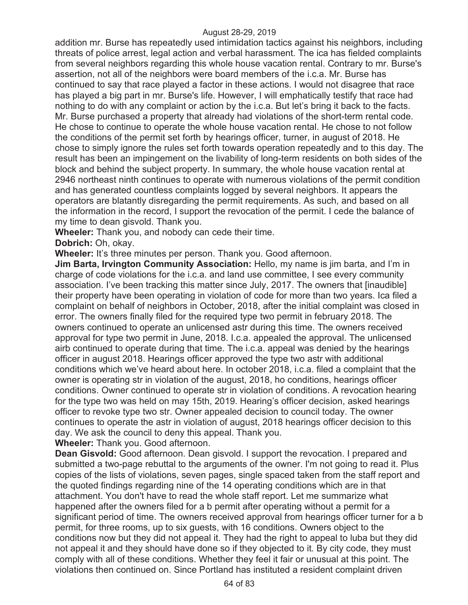addition mr. Burse has repeatedly used intimidation tactics against his neighbors, including threats of police arrest, legal action and verbal harassment. The ica has fielded complaints from several neighbors regarding this whole house vacation rental. Contrary to mr. Burse's assertion, not all of the neighbors were board members of the i.c.a. Mr. Burse has continued to say that race played a factor in these actions. I would not disagree that race has played a big part in mr. Burse's life. However, I will emphatically testify that race had nothing to do with any complaint or action by the i.c.a. But let's bring it back to the facts. Mr. Burse purchased a property that already had violations of the short-term rental code. He chose to continue to operate the whole house vacation rental. He chose to not follow the conditions of the permit set forth by hearings officer, turner, in august of 2018. He chose to simply ignore the rules set forth towards operation repeatedly and to this day. The result has been an impingement on the livability of long-term residents on both sides of the block and behind the subject property. In summary, the whole house vacation rental at 2946 northeast ninth continues to operate with numerous violations of the permit condition and has generated countless complaints logged by several neighbors. It appears the operators are blatantly disregarding the permit requirements. As such, and based on all the information in the record, I support the revocation of the permit. I cede the balance of my time to dean gisvold. Thank you.

**Wheeler:** Thank you, and nobody can cede their time. **Dobrich:** Oh, okay.

**Wheeler:** It's three minutes per person. Thank you. Good afternoon.

**Jim Barta, Irvington Community Association:** Hello, my name is jim barta, and I'm in charge of code violations for the i.c.a. and land use committee, I see every community association. I've been tracking this matter since July, 2017. The owners that [inaudible] their property have been operating in violation of code for more than two years. Ica filed a complaint on behalf of neighbors in October, 2018, after the initial complaint was closed in error. The owners finally filed for the required type two permit in february 2018. The owners continued to operate an unlicensed astr during this time. The owners received approval for type two permit in June, 2018. I.c.a. appealed the approval. The unlicensed airb continued to operate during that time. The i.c.a. appeal was denied by the hearings officer in august 2018. Hearings officer approved the type two astr with additional conditions which we've heard about here. In october 2018, i.c.a. filed a complaint that the owner is operating str in violation of the august, 2018, ho conditions, hearings officer conditions. Owner continued to operate str in violation of conditions. A revocation hearing for the type two was held on may 15th, 2019. Hearing's officer decision, asked hearings officer to revoke type two str. Owner appealed decision to council today. The owner continues to operate the astr in violation of august, 2018 hearings officer decision to this day. We ask the council to deny this appeal. Thank you.

**Wheeler:** Thank you. Good afternoon.

**Dean Gisvold:** Good afternoon. Dean gisvold. I support the revocation. I prepared and submitted a two-page rebuttal to the arguments of the owner. I'm not going to read it. Plus copies of the lists of violations, seven pages, single spaced taken from the staff report and the quoted findings regarding nine of the 14 operating conditions which are in that attachment. You don't have to read the whole staff report. Let me summarize what happened after the owners filed for a b permit after operating without a permit for a significant period of time. The owners received approval from hearings officer turner for a b permit, for three rooms, up to six guests, with 16 conditions. Owners object to the conditions now but they did not appeal it. They had the right to appeal to luba but they did not appeal it and they should have done so if they objected to it. By city code, they must comply with all of these conditions. Whether they feel it fair or unusual at this point. The violations then continued on. Since Portland has instituted a resident complaint driven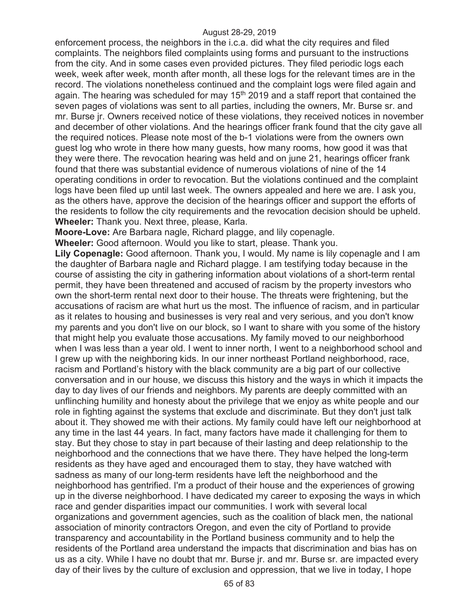enforcement process, the neighbors in the i.c.a. did what the city requires and filed complaints. The neighbors filed complaints using forms and pursuant to the instructions from the city. And in some cases even provided pictures. They filed periodic logs each week, week after week, month after month, all these logs for the relevant times are in the record. The violations nonetheless continued and the complaint logs were filed again and again. The hearing was scheduled for may  $15<sup>th</sup>$  2019 and a staff report that contained the seven pages of violations was sent to all parties, including the owners, Mr. Burse sr. and mr. Burse jr. Owners received notice of these violations, they received notices in november and december of other violations. And the hearings officer frank found that the city gave all the required notices. Please note most of the b-1 violations were from the owners own guest log who wrote in there how many guests, how many rooms, how good it was that they were there. The revocation hearing was held and on june 21, hearings officer frank found that there was substantial evidence of numerous violations of nine of the 14 operating conditions in order to revocation. But the violations continued and the complaint logs have been filed up until last week. The owners appealed and here we are. I ask you, as the others have, approve the decision of the hearings officer and support the efforts of the residents to follow the city requirements and the revocation decision should be upheld. **Wheeler:** Thank you. Next three, please, Karla.

**Moore-Love:** Are Barbara nagle, Richard plagge, and lily copenagle.

**Wheeler:** Good afternoon. Would you like to start, please. Thank you.

**Lily Copenagle:** Good afternoon. Thank you, I would. My name is lily copenagle and I am the daughter of Barbara nagle and Richard plagge. I am testifying today because in the course of assisting the city in gathering information about violations of a short-term rental permit, they have been threatened and accused of racism by the property investors who own the short-term rental next door to their house. The threats were frightening, but the accusations of racism are what hurt us the most. The influence of racism, and in particular as it relates to housing and businesses is very real and very serious, and you don't know my parents and you don't live on our block, so I want to share with you some of the history that might help you evaluate those accusations. My family moved to our neighborhood when I was less than a year old. I went to inner north, I went to a neighborhood school and I grew up with the neighboring kids. In our inner northeast Portland neighborhood, race, racism and Portland's history with the black community are a big part of our collective conversation and in our house, we discuss this history and the ways in which it impacts the day to day lives of our friends and neighbors. My parents are deeply committed with an unflinching humility and honesty about the privilege that we enjoy as white people and our role in fighting against the systems that exclude and discriminate. But they don't just talk about it. They showed me with their actions. My family could have left our neighborhood at any time in the last 44 years. In fact, many factors have made it challenging for them to stay. But they chose to stay in part because of their lasting and deep relationship to the neighborhood and the connections that we have there. They have helped the long-term residents as they have aged and encouraged them to stay, they have watched with sadness as many of our long-term residents have left the neighborhood and the neighborhood has gentrified. I'm a product of their house and the experiences of growing up in the diverse neighborhood. I have dedicated my career to exposing the ways in which race and gender disparities impact our communities. I work with several local organizations and government agencies, such as the coalition of black men, the national association of minority contractors Oregon, and even the city of Portland to provide transparency and accountability in the Portland business community and to help the residents of the Portland area understand the impacts that discrimination and bias has on us as a city. While I have no doubt that mr. Burse jr. and mr. Burse sr. are impacted every day of their lives by the culture of exclusion and oppression, that we live in today, I hope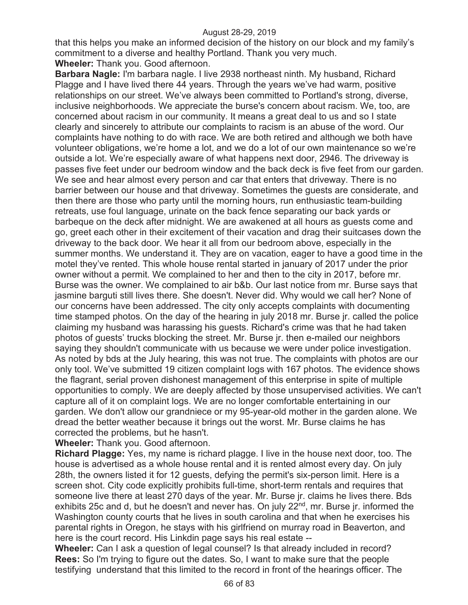that this helps you make an informed decision of the history on our block and my family's commitment to a diverse and healthy Portland. Thank you very much.

**Wheeler:** Thank you. Good afternoon.

**Barbara Nagle:** I'm barbara nagle. I live 2938 northeast ninth. My husband, Richard Plagge and I have lived there 44 years. Through the years we've had warm, positive relationships on our street. We've always been committed to Portland's strong, diverse, inclusive neighborhoods. We appreciate the burse's concern about racism. We, too, are concerned about racism in our community. It means a great deal to us and so I state clearly and sincerely to attribute our complaints to racism is an abuse of the word. Our complaints have nothing to do with race. We are both retired and although we both have volunteer obligations, we're home a lot, and we do a lot of our own maintenance so we're outside a lot. We're especially aware of what happens next door, 2946. The driveway is passes five feet under our bedroom window and the back deck is five feet from our garden. We see and hear almost every person and car that enters that driveway. There is no barrier between our house and that driveway. Sometimes the guests are considerate, and then there are those who party until the morning hours, run enthusiastic team-building retreats, use foul language, urinate on the back fence separating our back yards or barbeque on the deck after midnight. We are awakened at all hours as guests come and go, greet each other in their excitement of their vacation and drag their suitcases down the driveway to the back door. We hear it all from our bedroom above, especially in the summer months. We understand it. They are on vacation, eager to have a good time in the motel they've rented. This whole house rental started in january of 2017 under the prior owner without a permit. We complained to her and then to the city in 2017, before mr. Burse was the owner. We complained to air b&b. Our last notice from mr. Burse says that jasmine barguti still lives there. She doesn't. Never did. Why would we call her? None of our concerns have been addressed. The city only accepts complaints with documenting time stamped photos. On the day of the hearing in july 2018 mr. Burse jr. called the police claiming my husband was harassing his guests. Richard's crime was that he had taken photos of guests' trucks blocking the street. Mr. Burse jr. then e-mailed our neighbors saying they shouldn't communicate with us because we were under police investigation. As noted by bds at the July hearing, this was not true. The complaints with photos are our only tool. We've submitted 19 citizen complaint logs with 167 photos. The evidence shows the flagrant, serial proven dishonest management of this enterprise in spite of multiple opportunities to comply. We are deeply affected by those unsupervised activities. We can't capture all of it on complaint logs. We are no longer comfortable entertaining in our garden. We don't allow our grandniece or my 95-year-old mother in the garden alone. We dread the better weather because it brings out the worst. Mr. Burse claims he has corrected the problems, but he hasn't.

**Wheeler:** Thank you. Good afternoon.

**Richard Plagge:** Yes, my name is richard plagge. I live in the house next door, too. The house is advertised as a whole house rental and it is rented almost every day. On july 28th, the owners listed it for 12 guests, defying the permit's six-person limit. Here is a screen shot. City code explicitly prohibits full-time, short-term rentals and requires that someone live there at least 270 days of the year. Mr. Burse jr. claims he lives there. Bds exhibits 25c and d, but he doesn't and never has. On july 22<sup>nd</sup>, mr. Burse jr. informed the Washington county courts that he lives in south carolina and that when he exercises his parental rights in Oregon, he stays with his girlfriend on murray road in Beaverton, and here is the court record. His Linkdin page says his real estate --

**Wheeler:** Can I ask a question of legal counsel? Is that already included in record? **Rees:** So I'm trying to figure out the dates. So, I want to make sure that the people testifying understand that this limited to the record in front of the hearings officer. The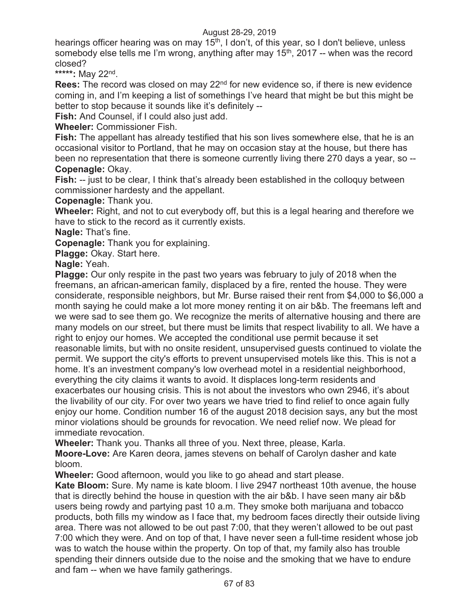hearings officer hearing was on may 15<sup>th</sup>, I don't, of this year, so I don't believe, unless somebody else tells me I'm wrong, anything after may 15<sup>th</sup>, 2017 -- when was the record closed?

**\*\*\*\*\*:** May 22nd.

**Rees:** The record was closed on may 22<sup>nd</sup> for new evidence so, if there is new evidence coming in, and I'm keeping a list of somethings I've heard that might be but this might be better to stop because it sounds like it's definitely --

**Fish:** And Counsel, if I could also just add.

**Wheeler:** Commissioner Fish.

**Fish:** The appellant has already testified that his son lives somewhere else, that he is an occasional visitor to Portland, that he may on occasion stay at the house, but there has been no representation that there is someone currently living there 270 days a year, so -- **Copenagle:** Okay.

**Fish:** -- just to be clear, I think that's already been established in the colloquy between commissioner hardesty and the appellant.

**Copenagle:** Thank you.

**Wheeler:** Right, and not to cut everybody off, but this is a legal hearing and therefore we have to stick to the record as it currently exists.

**Nagle:** That's fine.

**Copenagle:** Thank you for explaining.

**Plagge:** Okay. Start here.

**Nagle:** Yeah.

**Plagge:** Our only respite in the past two years was february to july of 2018 when the freemans, an african-american family, displaced by a fire, rented the house. They were considerate, responsible neighbors, but Mr. Burse raised their rent from \$4,000 to \$6,000 a month saying he could make a lot more money renting it on air b&b. The freemans left and we were sad to see them go. We recognize the merits of alternative housing and there are many models on our street, but there must be limits that respect livability to all. We have a right to enjoy our homes. We accepted the conditional use permit because it set reasonable limits, but with no onsite resident, unsupervised guests continued to violate the permit. We support the city's efforts to prevent unsupervised motels like this. This is not a home. It's an investment company's low overhead motel in a residential neighborhood, everything the city claims it wants to avoid. It displaces long-term residents and exacerbates our housing crisis. This is not about the investors who own 2946, it's about the livability of our city. For over two years we have tried to find relief to once again fully enjoy our home. Condition number 16 of the august 2018 decision says, any but the most minor violations should be grounds for revocation. We need relief now. We plead for immediate revocation.

**Wheeler:** Thank you. Thanks all three of you. Next three, please, Karla.

**Moore-Love:** Are Karen deora, james stevens on behalf of Carolyn dasher and kate bloom.

**Wheeler:** Good afternoon, would you like to go ahead and start please.

**Kate Bloom:** Sure. My name is kate bloom. I live 2947 northeast 10th avenue, the house that is directly behind the house in question with the air b&b. I have seen many air b&b users being rowdy and partying past 10 a.m. They smoke both marijuana and tobacco products, both fills my window as I face that, my bedroom faces directly their outside living area. There was not allowed to be out past 7:00, that they weren't allowed to be out past 7:00 which they were. And on top of that, I have never seen a full-time resident whose job was to watch the house within the property. On top of that, my family also has trouble spending their dinners outside due to the noise and the smoking that we have to endure and fam -- when we have family gatherings.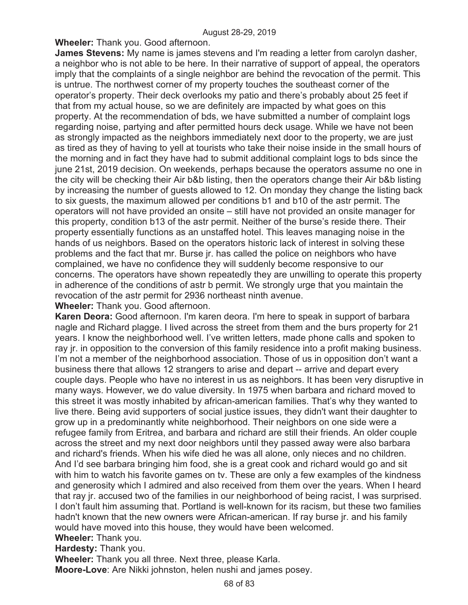**Wheeler:** Thank you. Good afternoon.

**James Stevens:** My name is james stevens and I'm reading a letter from carolyn dasher, a neighbor who is not able to be here. In their narrative of support of appeal, the operators imply that the complaints of a single neighbor are behind the revocation of the permit. This is untrue. The northwest corner of my property touches the southeast corner of the operator's property. Their deck overlooks my patio and there's probably about 25 feet if that from my actual house, so we are definitely are impacted by what goes on this property. At the recommendation of bds, we have submitted a number of complaint logs regarding noise, partying and after permitted hours deck usage. While we have not been as strongly impacted as the neighbors immediately next door to the property, we are just as tired as they of having to yell at tourists who take their noise inside in the small hours of the morning and in fact they have had to submit additional complaint logs to bds since the june 21st, 2019 decision. On weekends, perhaps because the operators assume no one in the city will be checking their Air b&b listing, then the operators change their Air b&b listing by increasing the number of guests allowed to 12. On monday they change the listing back to six guests, the maximum allowed per conditions b1 and b10 of the astr permit. The operators will not have provided an onsite – still have not provided an onsite manager for this property, condition b13 of the astr permit. Neither of the burse's reside there. Their property essentially functions as an unstaffed hotel. This leaves managing noise in the hands of us neighbors. Based on the operators historic lack of interest in solving these problems and the fact that mr. Burse jr. has called the police on neighbors who have complained, we have no confidence they will suddenly become responsive to our concerns. The operators have shown repeatedly they are unwilling to operate this property in adherence of the conditions of astr b permit. We strongly urge that you maintain the revocation of the astr permit for 2936 northeast ninth avenue.

**Wheeler:** Thank you. Good afternoon.

**Karen Deora:** Good afternoon. I'm karen deora. I'm here to speak in support of barbara nagle and Richard plagge. I lived across the street from them and the burs property for 21 years. I know the neighborhood well. I've written letters, made phone calls and spoken to ray jr. in opposition to the conversion of this family residence into a profit making business. I'm not a member of the neighborhood association. Those of us in opposition don't want a business there that allows 12 strangers to arise and depart -- arrive and depart every couple days. People who have no interest in us as neighbors. It has been very disruptive in many ways. However, we do value diversity. In 1975 when barbara and richard moved to this street it was mostly inhabited by african-american families. That's why they wanted to live there. Being avid supporters of social justice issues, they didn't want their daughter to grow up in a predominantly white neighborhood. Their neighbors on one side were a refugee family from Eritrea, and barbara and richard are still their friends. An older couple across the street and my next door neighbors until they passed away were also barbara and richard's friends. When his wife died he was all alone, only nieces and no children. And I'd see barbara bringing him food, she is a great cook and richard would go and sit with him to watch his favorite games on tv. These are only a few examples of the kindness and generosity which I admired and also received from them over the years. When I heard that ray jr. accused two of the families in our neighborhood of being racist, I was surprised. I don't fault him assuming that. Portland is well-known for its racism, but these two families hadn't known that the new owners were African-american. If ray burse jr. and his family would have moved into this house, they would have been welcomed. **Wheeler:** Thank you.

**Hardesty:** Thank you.

**Wheeler:** Thank you all three. Next three, please Karla.

**Moore-Love**: Are Nikki johnston, helen nushi and james posey.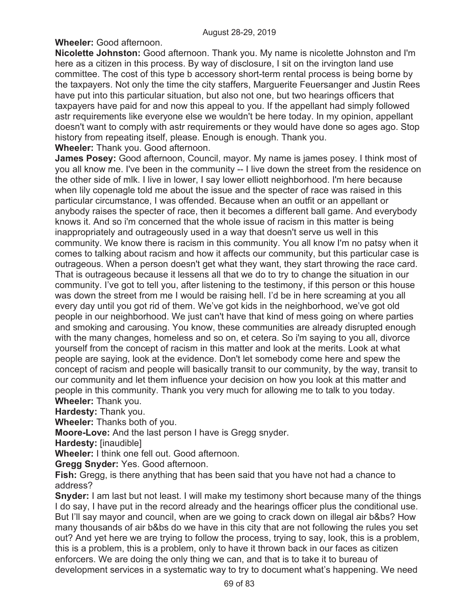**Wheeler:** Good afternoon.

**Nicolette Johnston:** Good afternoon. Thank you. My name is nicolette Johnston and I'm here as a citizen in this process. By way of disclosure, I sit on the irvington land use committee. The cost of this type b accessory short-term rental process is being borne by the taxpayers. Not only the time the city staffers, Marguerite Feuersanger and Justin Rees have put into this particular situation, but also not one, but two hearings officers that taxpayers have paid for and now this appeal to you. If the appellant had simply followed astr requirements like everyone else we wouldn't be here today. In my opinion, appellant doesn't want to comply with astr requirements or they would have done so ages ago. Stop history from repeating itself, please. Enough is enough. Thank you. **Wheeler:** Thank you. Good afternoon.

**James Posey:** Good afternoon, Council, mayor. My name is james posey. I think most of you all know me. I've been in the community -- I live down the street from the residence on the other side of mlk. I live in lower, I say lower elliott neighborhood. I'm here because when lily copenagle told me about the issue and the specter of race was raised in this particular circumstance, I was offended. Because when an outfit or an appellant or anybody raises the specter of race, then it becomes a different ball game. And everybody knows it. And so i'm concerned that the whole issue of racism in this matter is being inappropriately and outrageously used in a way that doesn't serve us well in this community. We know there is racism in this community. You all know I'm no patsy when it comes to talking about racism and how it affects our community, but this particular case is outrageous. When a person doesn't get what they want, they start throwing the race card. That is outrageous because it lessens all that we do to try to change the situation in our community. I've got to tell you, after listening to the testimony, if this person or this house was down the street from me I would be raising hell. I'd be in here screaming at you all every day until you got rid of them. We've got kids in the neighborhood, we've got old people in our neighborhood. We just can't have that kind of mess going on where parties and smoking and carousing. You know, these communities are already disrupted enough with the many changes, homeless and so on, et cetera. So i'm saying to you all, divorce yourself from the concept of racism in this matter and look at the merits. Look at what people are saying, look at the evidence. Don't let somebody come here and spew the concept of racism and people will basically transit to our community, by the way, transit to our community and let them influence your decision on how you look at this matter and people in this community. Thank you very much for allowing me to talk to you today. **Wheeler:** Thank you.

**Hardesty:** Thank you.

**Wheeler:** Thanks both of you.

**Moore-Love:** And the last person I have is Gregg snyder.

**Hardesty: [inaudible]** 

**Wheeler:** I think one fell out. Good afternoon.

**Gregg Snyder:** Yes. Good afternoon.

**Fish:** Gregg, is there anything that has been said that you have not had a chance to address?

**Snyder:** I am last but not least. I will make my testimony short because many of the things I do say, I have put in the record already and the hearings officer plus the conditional use. But I'll say mayor and council, when are we going to crack down on illegal air b&bs? How many thousands of air b&bs do we have in this city that are not following the rules you set out? And yet here we are trying to follow the process, trying to say, look, this is a problem, this is a problem, this is a problem, only to have it thrown back in our faces as citizen enforcers. We are doing the only thing we can, and that is to take it to bureau of development services in a systematic way to try to document what's happening. We need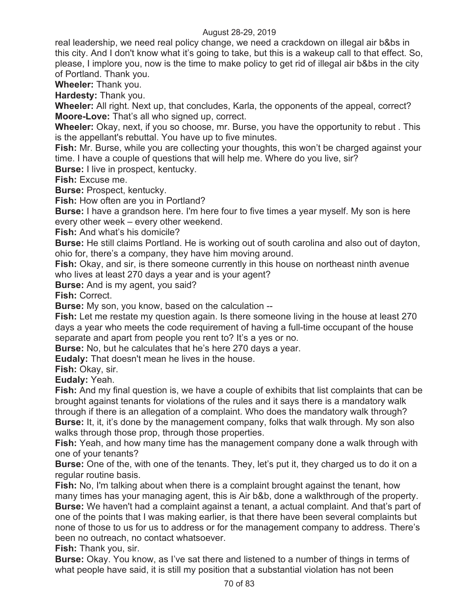real leadership, we need real policy change, we need a crackdown on illegal air b&bs in this city. And I don't know what it's going to take, but this is a wakeup call to that effect. So, please, I implore you, now is the time to make policy to get rid of illegal air b&bs in the city of Portland. Thank you.

**Wheeler:** Thank you.

**Hardesty:** Thank you.

**Wheeler:** All right. Next up, that concludes, Karla, the opponents of the appeal, correct? **Moore-Love:** That's all who signed up, correct.

**Wheeler:** Okay, next, if you so choose, mr. Burse, you have the opportunity to rebut . This is the appellant's rebuttal. You have up to five minutes.

**Fish:** Mr. Burse, while you are collecting your thoughts, this won't be charged against your time. I have a couple of questions that will help me. Where do you live, sir?

**Burse:** I live in prospect, kentucky.

**Fish:** Excuse me.

**Burse:** Prospect, kentucky.

**Fish:** How often are you in Portland?

**Burse:** I have a grandson here. I'm here four to five times a year myself. My son is here every other week – every other weekend.

**Fish:** And what's his domicile?

**Burse:** He still claims Portland. He is working out of south carolina and also out of dayton, ohio for, there's a company, they have him moving around.

**Fish:** Okay, and sir, is there someone currently in this house on northeast ninth avenue who lives at least 270 days a year and is your agent?

**Burse:** And is my agent, you said?

**Fish:** Correct.

**Burse:** My son, you know, based on the calculation --

**Fish:** Let me restate my question again. Is there someone living in the house at least 270 days a year who meets the code requirement of having a full-time occupant of the house separate and apart from people you rent to? It's a yes or no.

**Burse:** No, but he calculates that he's here 270 days a year.

**Eudaly:** That doesn't mean he lives in the house.

**Fish:** Okay, sir.

**Eudaly:** Yeah.

**Fish:** And my final question is, we have a couple of exhibits that list complaints that can be brought against tenants for violations of the rules and it says there is a mandatory walk through if there is an allegation of a complaint. Who does the mandatory walk through? **Burse:** It, it, it's done by the management company, folks that walk through. My son also walks through those prop, through those properties.

**Fish:** Yeah, and how many time has the management company done a walk through with one of your tenants?

**Burse:** One of the, with one of the tenants. They, let's put it, they charged us to do it on a regular routine basis.

**Fish:** No, I'm talking about when there is a complaint brought against the tenant, how many times has your managing agent, this is Air b&b, done a walkthrough of the property. **Burse:** We haven't had a complaint against a tenant, a actual complaint. And that's part of one of the points that I was making earlier, is that there have been several complaints but none of those to us for us to address or for the management company to address. There's been no outreach, no contact whatsoever.

**Fish:** Thank you, sir.

**Burse:** Okay. You know, as I've sat there and listened to a number of things in terms of what people have said, it is still my position that a substantial violation has not been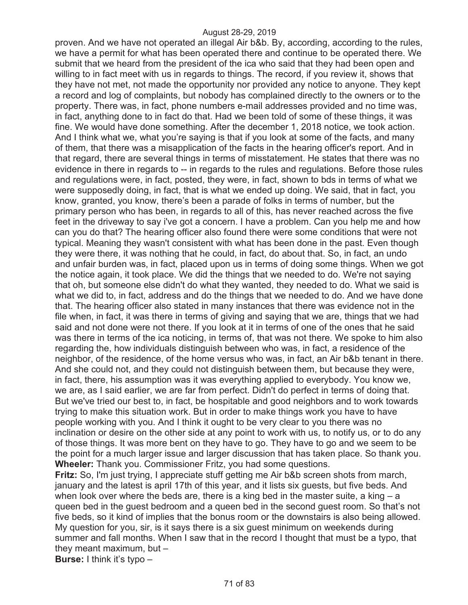proven. And we have not operated an illegal Air b&b. By, according, according to the rules, we have a permit for what has been operated there and continue to be operated there. We submit that we heard from the president of the ica who said that they had been open and willing to in fact meet with us in regards to things. The record, if you review it, shows that they have not met, not made the opportunity nor provided any notice to anyone. They kept a record and log of complaints, but nobody has complained directly to the owners or to the property. There was, in fact, phone numbers e-mail addresses provided and no time was, in fact, anything done to in fact do that. Had we been told of some of these things, it was fine. We would have done something. After the december 1, 2018 notice, we took action. And I think what we, what you're saying is that if you look at some of the facts, and many of them, that there was a misapplication of the facts in the hearing officer's report. And in that regard, there are several things in terms of misstatement. He states that there was no evidence in there in regards to -- in regards to the rules and regulations. Before those rules and regulations were, in fact, posted, they were, in fact, shown to bds in terms of what we were supposedly doing, in fact, that is what we ended up doing. We said, that in fact, you know, granted, you know, there's been a parade of folks in terms of number, but the primary person who has been, in regards to all of this, has never reached across the five feet in the driveway to say i've got a concern. I have a problem. Can you help me and how can you do that? The hearing officer also found there were some conditions that were not typical. Meaning they wasn't consistent with what has been done in the past. Even though they were there, it was nothing that he could, in fact, do about that. So, in fact, an undo and unfair burden was, in fact, placed upon us in terms of doing some things. When we got the notice again, it took place. We did the things that we needed to do. We're not saying that oh, but someone else didn't do what they wanted, they needed to do. What we said is what we did to, in fact, address and do the things that we needed to do. And we have done that. The hearing officer also stated in many instances that there was evidence not in the file when, in fact, it was there in terms of giving and saying that we are, things that we had said and not done were not there. If you look at it in terms of one of the ones that he said was there in terms of the ica noticing, in terms of, that was not there. We spoke to him also regarding the, how individuals distinguish between who was, in fact, a residence of the neighbor, of the residence, of the home versus who was, in fact, an Air b&b tenant in there. And she could not, and they could not distinguish between them, but because they were, in fact, there, his assumption was it was everything applied to everybody. You know we, we are, as I said earlier, we are far from perfect. Didn't do perfect in terms of doing that. But we've tried our best to, in fact, be hospitable and good neighbors and to work towards trying to make this situation work. But in order to make things work you have to have people working with you. And I think it ought to be very clear to you there was no inclination or desire on the other side at any point to work with us, to notify us, or to do any of those things. It was more bent on they have to go. They have to go and we seem to be the point for a much larger issue and larger discussion that has taken place. So thank you. **Wheeler:** Thank you. Commissioner Fritz, you had some questions.

**Fritz:** So, I'm just trying, I appreciate stuff getting me Air b&b screen shots from march, january and the latest is april 17th of this year, and it lists six guests, but five beds. And when look over where the beds are, there is a king bed in the master suite, a king  $- a$ queen bed in the guest bedroom and a queen bed in the second guest room. So that's not five beds, so it kind of implies that the bonus room or the downstairs is also being allowed. My question for you, sir, is it says there is a six guest minimum on weekends during summer and fall months. When I saw that in the record I thought that must be a typo, that they meant maximum, but –

**Burse:** I think it's typo –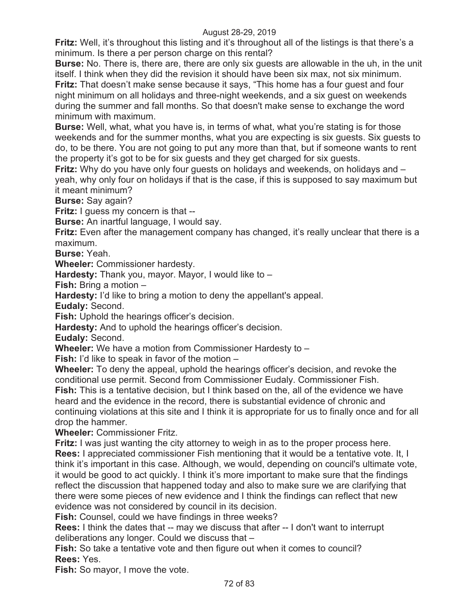**Fritz:** Well, it's throughout this listing and it's throughout all of the listings is that there's a minimum. Is there a per person charge on this rental?

**Burse:** No. There is, there are, there are only six guests are allowable in the uh, in the unit itself. I think when they did the revision it should have been six max, not six minimum. **Fritz:** That doesn't make sense because it says, "This home has a four guest and four night minimum on all holidays and three-night weekends, and a six guest on weekends during the summer and fall months. So that doesn't make sense to exchange the word minimum with maximum.

**Burse:** Well, what, what you have is, in terms of what, what you're stating is for those weekends and for the summer months, what you are expecting is six guests. Six guests to do, to be there. You are not going to put any more than that, but if someone wants to rent the property it's got to be for six guests and they get charged for six guests.

**Fritz:** Why do you have only four guests on holidays and weekends, on holidays and – yeah, why only four on holidays if that is the case, if this is supposed to say maximum but it meant minimum?

**Burse:** Say again?

**Fritz:** I guess my concern is that --

**Burse:** An inartful language, I would say.

**Fritz:** Even after the management company has changed, it's really unclear that there is a maximum.

**Burse:** Yeah.

**Wheeler:** Commissioner hardesty.

**Hardesty:** Thank you, mayor. Mayor, I would like to –

**Fish:** Bring a motion –

**Hardesty:** I'd like to bring a motion to deny the appellant's appeal.

**Eudaly:** Second.

**Fish:** Uphold the hearings officer's decision.

**Hardesty:** And to uphold the hearings officer's decision.

**Eudaly:** Second.

**Wheeler:** We have a motion from Commissioner Hardesty to –

**Fish:** I'd like to speak in favor of the motion –

**Wheeler:** To deny the appeal, uphold the hearings officer's decision, and revoke the conditional use permit. Second from Commissioner Eudaly. Commissioner Fish. **Fish:** This is a tentative decision, but I think based on the, all of the evidence we have heard and the evidence in the record, there is substantial evidence of chronic and continuing violations at this site and I think it is appropriate for us to finally once and for all

drop the hammer. **Wheeler:** Commissioner Fritz.

**Fritz:** I was just wanting the city attorney to weigh in as to the proper process here. **Rees:** I appreciated commissioner Fish mentioning that it would be a tentative vote. It, I think it's important in this case. Although, we would, depending on council's ultimate vote, it would be good to act quickly. I think it's more important to make sure that the findings reflect the discussion that happened today and also to make sure we are clarifying that there were some pieces of new evidence and I think the findings can reflect that new evidence was not considered by council in its decision.

**Fish:** Counsel, could we have findings in three weeks?

**Rees:** I think the dates that -- may we discuss that after -- I don't want to interrupt deliberations any longer. Could we discuss that –

**Fish:** So take a tentative vote and then figure out when it comes to council? **Rees:** Yes.

**Fish:** So mayor, I move the vote.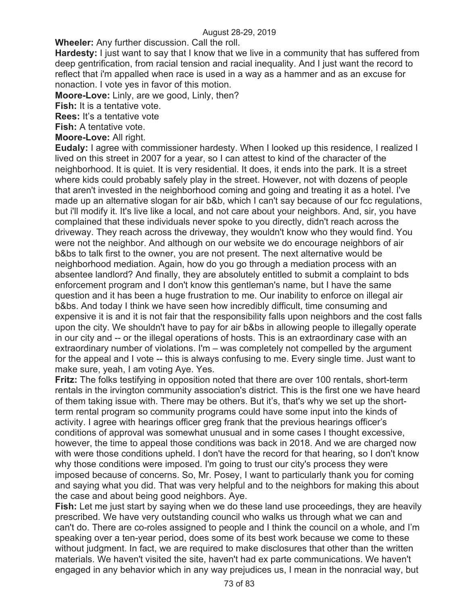**Wheeler:** Any further discussion. Call the roll.

**Hardesty:** I just want to say that I know that we live in a community that has suffered from deep gentrification, from racial tension and racial inequality. And I just want the record to reflect that i'm appalled when race is used in a way as a hammer and as an excuse for nonaction. I vote yes in favor of this motion.

**Moore-Love:** Linly, are we good, Linly, then?

**Fish:** It is a tentative vote.

**Rees:** It's a tentative vote

**Fish:** A tentative vote.

**Moore-Love:** All right.

**Eudaly:** I agree with commissioner hardesty. When I looked up this residence, I realized I lived on this street in 2007 for a year, so I can attest to kind of the character of the neighborhood. It is quiet. It is very residential. It does, it ends into the park. It is a street where kids could probably safely play in the street. However, not with dozens of people that aren't invested in the neighborhood coming and going and treating it as a hotel. I've made up an alternative slogan for air b&b, which I can't say because of our fcc regulations, but i'll modify it. It's live like a local, and not care about your neighbors. And, sir, you have complained that these individuals never spoke to you directly, didn't reach across the driveway. They reach across the driveway, they wouldn't know who they would find. You were not the neighbor. And although on our website we do encourage neighbors of air b&bs to talk first to the owner, you are not present. The next alternative would be neighborhood mediation. Again, how do you go through a mediation process with an absentee landlord? And finally, they are absolutely entitled to submit a complaint to bds enforcement program and I don't know this gentleman's name, but I have the same question and it has been a huge frustration to me. Our inability to enforce on illegal air b&bs. And today I think we have seen how incredibly difficult, time consuming and expensive it is and it is not fair that the responsibility falls upon neighbors and the cost falls upon the city. We shouldn't have to pay for air b&bs in allowing people to illegally operate in our city and -- or the illegal operations of hosts. This is an extraordinary case with an extraordinary number of violations. I'm – was completely not compelled by the argument for the appeal and I vote -- this is always confusing to me. Every single time. Just want to make sure, yeah, I am voting Aye. Yes.

**Fritz:** The folks testifying in opposition noted that there are over 100 rentals, short-term rentals in the irvington community association's district. This is the first one we have heard of them taking issue with. There may be others. But it's, that's why we set up the shortterm rental program so community programs could have some input into the kinds of activity. I agree with hearings officer greg frank that the previous hearings officer's conditions of approval was somewhat unusual and in some cases I thought excessive, however, the time to appeal those conditions was back in 2018. And we are charged now with were those conditions upheld. I don't have the record for that hearing, so I don't know why those conditions were imposed. I'm going to trust our city's process they were imposed because of concerns. So, Mr. Posey, I want to particularly thank you for coming and saying what you did. That was very helpful and to the neighbors for making this about the case and about being good neighbors. Aye.

**Fish:** Let me just start by saying when we do these land use proceedings, they are heavily prescribed. We have very outstanding council who walks us through what we can and can't do. There are co-roles assigned to people and I think the council on a whole, and I'm speaking over a ten-year period, does some of its best work because we come to these without judgment. In fact, we are required to make disclosures that other than the written materials. We haven't visited the site, haven't had ex parte communications. We haven't engaged in any behavior which in any way prejudices us, I mean in the nonracial way, but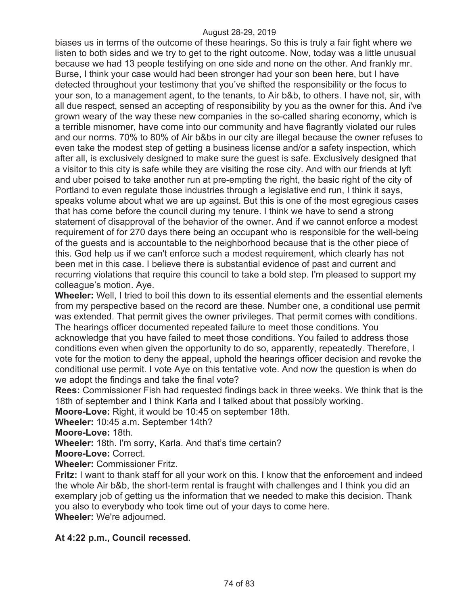biases us in terms of the outcome of these hearings. So this is truly a fair fight where we listen to both sides and we try to get to the right outcome. Now, today was a little unusual because we had 13 people testifying on one side and none on the other. And frankly mr. Burse, I think your case would had been stronger had your son been here, but I have detected throughout your testimony that you've shifted the responsibility or the focus to your son, to a management agent, to the tenants, to Air b&b, to others. I have not, sir, with all due respect, sensed an accepting of responsibility by you as the owner for this. And i've grown weary of the way these new companies in the so-called sharing economy, which is a terrible misnomer, have come into our community and have flagrantly violated our rules and our norms. 70% to 80% of Air b&bs in our city are illegal because the owner refuses to even take the modest step of getting a business license and/or a safety inspection, which after all, is exclusively designed to make sure the guest is safe. Exclusively designed that a visitor to this city is safe while they are visiting the rose city. And with our friends at lyft and uber poised to take another run at pre-empting the right, the basic right of the city of Portland to even regulate those industries through a legislative end run, I think it says, speaks volume about what we are up against. But this is one of the most egregious cases that has come before the council during my tenure. I think we have to send a strong statement of disapproval of the behavior of the owner. And if we cannot enforce a modest requirement of for 270 days there being an occupant who is responsible for the well-being of the guests and is accountable to the neighborhood because that is the other piece of this. God help us if we can't enforce such a modest requirement, which clearly has not been met in this case. I believe there is substantial evidence of past and current and recurring violations that require this council to take a bold step. I'm pleased to support my colleague's motion. Aye.

**Wheeler:** Well, I tried to boil this down to its essential elements and the essential elements from my perspective based on the record are these. Number one, a conditional use permit was extended. That permit gives the owner privileges. That permit comes with conditions. The hearings officer documented repeated failure to meet those conditions. You acknowledge that you have failed to meet those conditions. You failed to address those conditions even when given the opportunity to do so, apparently, repeatedly. Therefore, I vote for the motion to deny the appeal, uphold the hearings officer decision and revoke the conditional use permit. I vote Aye on this tentative vote. And now the question is when do we adopt the findings and take the final vote?

**Rees:** Commissioner Fish had requested findings back in three weeks. We think that is the 18th of september and I think Karla and I talked about that possibly working.

**Moore-Love:** Right, it would be 10:45 on september 18th.

**Wheeler:** 10:45 a.m. September 14th?

**Moore-Love:** 18th.

**Wheeler:** 18th. I'm sorry, Karla. And that's time certain?

**Moore-Love:** Correct.

**Wheeler:** Commissioner Fritz.

**Fritz:** I want to thank staff for all your work on this. I know that the enforcement and indeed the whole Air b&b, the short-term rental is fraught with challenges and I think you did an exemplary job of getting us the information that we needed to make this decision. Thank you also to everybody who took time out of your days to come here. **Wheeler:** We're adjourned.

**At 4:22 p.m., Council recessed.**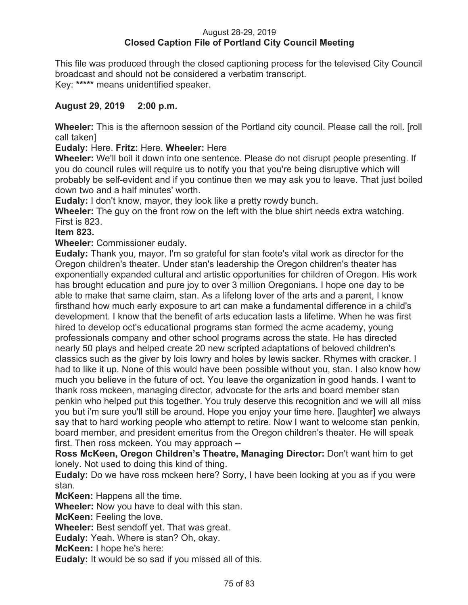## August 28-29, 2019 **Closed Caption File of Portland City Council Meeting**

This file was produced through the closed captioning process for the televised City Council broadcast and should not be considered a verbatim transcript. Key: **\*\*\*\*\*** means unidentified speaker.

# **August 29, 2019 2:00 p.m.**

**Wheeler:** This is the afternoon session of the Portland city council. Please call the roll. [roll call taken]

## **Eudaly:** Here. **Fritz:** Here. **Wheeler:** Here

**Wheeler:** We'll boil it down into one sentence. Please do not disrupt people presenting. If you do council rules will require us to notify you that you're being disruptive which will probably be self-evident and if you continue then we may ask you to leave. That just boiled down two and a half minutes' worth.

**Eudaly:** I don't know, mayor, they look like a pretty rowdy bunch.

**Wheeler:** The guy on the front row on the left with the blue shirt needs extra watching. First is 823.

## **Item 823.**

**Wheeler:** Commissioner eudaly.

**Eudaly:** Thank you, mayor. I'm so grateful for stan foote's vital work as director for the Oregon children's theater. Under stan's leadership the Oregon children's theater has exponentially expanded cultural and artistic opportunities for children of Oregon. His work has brought education and pure joy to over 3 million Oregonians. I hope one day to be able to make that same claim, stan. As a lifelong lover of the arts and a parent, I know firsthand how much early exposure to art can make a fundamental difference in a child's development. I know that the benefit of arts education lasts a lifetime. When he was first hired to develop oct's educational programs stan formed the acme academy, young professionals company and other school programs across the state. He has directed nearly 50 plays and helped create 20 new scripted adaptations of beloved children's classics such as the giver by lois lowry and holes by lewis sacker. Rhymes with cracker. I had to like it up. None of this would have been possible without you, stan. I also know how much you believe in the future of oct. You leave the organization in good hands. I want to thank ross mckeen, managing director, advocate for the arts and board member stan penkin who helped put this together. You truly deserve this recognition and we will all miss you but i'm sure you'll still be around. Hope you enjoy your time here. [laughter] we always say that to hard working people who attempt to retire. Now I want to welcome stan penkin, board member, and president emeritus from the Oregon children's theater. He will speak first. Then ross mckeen. You may approach --

**Ross McKeen, Oregon Children's Theatre, Managing Director:** Don't want him to get lonely. Not used to doing this kind of thing.

**Eudaly:** Do we have ross mckeen here? Sorry, I have been looking at you as if you were stan.

**McKeen:** Happens all the time.

**Wheeler:** Now you have to deal with this stan.

**McKeen:** Feeling the love.

**Wheeler:** Best sendoff yet. That was great.

**Eudaly:** Yeah. Where is stan? Oh, okay.

**McKeen:** I hope he's here:

**Eudaly:** It would be so sad if you missed all of this.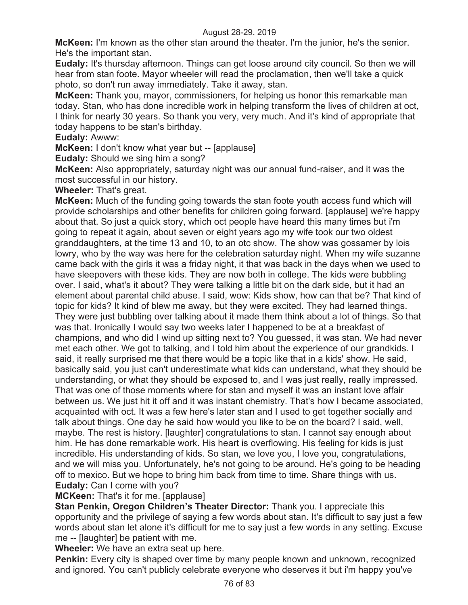**McKeen:** I'm known as the other stan around the theater. I'm the junior, he's the senior. He's the important stan.

**Eudaly:** It's thursday afternoon. Things can get loose around city council. So then we will hear from stan foote. Mayor wheeler will read the proclamation, then we'll take a quick photo, so don't run away immediately. Take it away, stan.

**McKeen:** Thank you, mayor, commissioners, for helping us honor this remarkable man today. Stan, who has done incredible work in helping transform the lives of children at oct, I think for nearly 30 years. So thank you very, very much. And it's kind of appropriate that today happens to be stan's birthday.

**Eudaly:** Awww:

**McKeen:** I don't know what year but -- [applause]

**Eudaly:** Should we sing him a song?

**McKeen:** Also appropriately, saturday night was our annual fund-raiser, and it was the most successful in our history.

**Wheeler:** That's great.

**McKeen:** Much of the funding going towards the stan foote youth access fund which will provide scholarships and other benefits for children going forward. [applause] we're happy about that. So just a quick story, which oct people have heard this many times but i'm going to repeat it again, about seven or eight years ago my wife took our two oldest granddaughters, at the time 13 and 10, to an otc show. The show was gossamer by lois lowry, who by the way was here for the celebration saturday night. When my wife suzanne came back with the girls it was a friday night, it that was back in the days when we used to have sleepovers with these kids. They are now both in college. The kids were bubbling over. I said, what's it about? They were talking a little bit on the dark side, but it had an element about parental child abuse. I said, wow: Kids show, how can that be? That kind of topic for kids? It kind of blew me away, but they were excited. They had learned things. They were just bubbling over talking about it made them think about a lot of things. So that was that. Ironically I would say two weeks later I happened to be at a breakfast of champions, and who did I wind up sitting next to? You guessed, it was stan. We had never met each other. We got to talking, and I told him about the experience of our grandkids. I said, it really surprised me that there would be a topic like that in a kids' show. He said, basically said, you just can't underestimate what kids can understand, what they should be understanding, or what they should be exposed to, and I was just really, really impressed. That was one of those moments where for stan and myself it was an instant love affair between us. We just hit it off and it was instant chemistry. That's how I became associated, acquainted with oct. It was a few here's later stan and I used to get together socially and talk about things. One day he said how would you like to be on the board? I said, well, maybe. The rest is history. [laughter] congratulations to stan. I cannot say enough about him. He has done remarkable work. His heart is overflowing. His feeling for kids is just incredible. His understanding of kids. So stan, we love you, I love you, congratulations, and we will miss you. Unfortunately, he's not going to be around. He's going to be heading off to mexico. But we hope to bring him back from time to time. Share things with us. **Eudaly:** Can I come with you?

## **MCKeen:** That's it for me. [applause]

**Stan Penkin, Oregon Children's Theater Director:** Thank you. I appreciate this opportunity and the privilege of saying a few words about stan. It's difficult to say just a few words about stan let alone it's difficult for me to say just a few words in any setting. Excuse me -- [laughter] be patient with me.

**Wheeler:** We have an extra seat up here.

**Penkin:** Every city is shaped over time by many people known and unknown, recognized and ignored. You can't publicly celebrate everyone who deserves it but i'm happy you've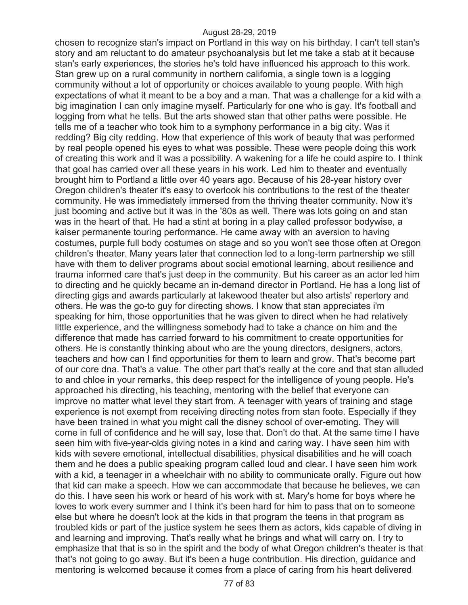chosen to recognize stan's impact on Portland in this way on his birthday. I can't tell stan's story and am reluctant to do amateur psychoanalysis but let me take a stab at it because stan's early experiences, the stories he's told have influenced his approach to this work. Stan grew up on a rural community in northern california, a single town is a logging community without a lot of opportunity or choices available to young people. With high expectations of what it meant to be a boy and a man. That was a challenge for a kid with a big imagination I can only imagine myself. Particularly for one who is gay. It's football and logging from what he tells. But the arts showed stan that other paths were possible. He tells me of a teacher who took him to a symphony performance in a big city. Was it redding? Big city redding. How that experience of this work of beauty that was performed by real people opened his eyes to what was possible. These were people doing this work of creating this work and it was a possibility. A wakening for a life he could aspire to. I think that goal has carried over all these years in his work. Led him to theater and eventually brought him to Portland a little over 40 years ago. Because of his 28-year history over Oregon children's theater it's easy to overlook his contributions to the rest of the theater community. He was immediately immersed from the thriving theater community. Now it's just booming and active but it was in the '80s as well. There was lots going on and stan was in the heart of that. He had a stint at boring in a play called professor bodywise, a kaiser permanente touring performance. He came away with an aversion to having costumes, purple full body costumes on stage and so you won't see those often at Oregon children's theater. Many years later that connection led to a long-term partnership we still have with them to deliver programs about social emotional learning, about resilience and trauma informed care that's just deep in the community. But his career as an actor led him to directing and he quickly became an in-demand director in Portland. He has a long list of directing gigs and awards particularly at lakewood theater but also artists' repertory and others. He was the go-to guy for directing shows. I know that stan appreciates i'm speaking for him, those opportunities that he was given to direct when he had relatively little experience, and the willingness somebody had to take a chance on him and the difference that made has carried forward to his commitment to create opportunities for others. He is constantly thinking about who are the young directors, designers, actors, teachers and how can I find opportunities for them to learn and grow. That's become part of our core dna. That's a value. The other part that's really at the core and that stan alluded to and chloe in your remarks, this deep respect for the intelligence of young people. He's approached his directing, his teaching, mentoring with the belief that everyone can improve no matter what level they start from. A teenager with years of training and stage experience is not exempt from receiving directing notes from stan foote. Especially if they have been trained in what you might call the disney school of over-emoting. They will come in full of confidence and he will say, lose that. Don't do that. At the same time I have seen him with five-year-olds giving notes in a kind and caring way. I have seen him with kids with severe emotional, intellectual disabilities, physical disabilities and he will coach them and he does a public speaking program called loud and clear. I have seen him work with a kid, a teenager in a wheelchair with no ability to communicate orally. Figure out how that kid can make a speech. How we can accommodate that because he believes, we can do this. I have seen his work or heard of his work with st. Mary's home for boys where he loves to work every summer and I think it's been hard for him to pass that on to someone else but where he doesn't look at the kids in that program the teens in that program as troubled kids or part of the justice system he sees them as actors, kids capable of diving in and learning and improving. That's really what he brings and what will carry on. I try to emphasize that that is so in the spirit and the body of what Oregon children's theater is that that's not going to go away. But it's been a huge contribution. His direction, guidance and mentoring is welcomed because it comes from a place of caring from his heart delivered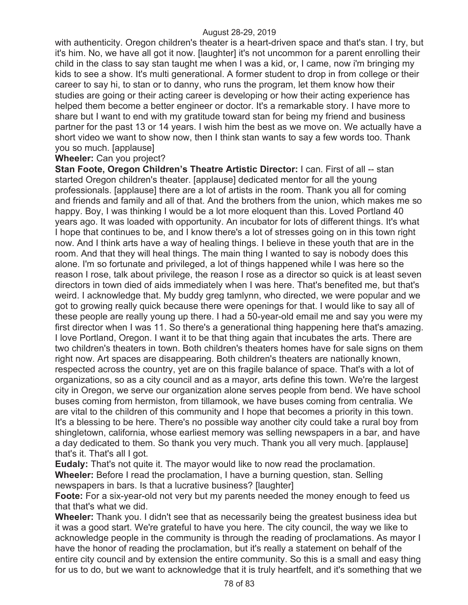with authenticity. Oregon children's theater is a heart-driven space and that's stan. I try, but it's him. No, we have all got it now. [laughter] it's not uncommon for a parent enrolling their child in the class to say stan taught me when I was a kid, or, I came, now i'm bringing my kids to see a show. It's multi generational. A former student to drop in from college or their career to say hi, to stan or to danny, who runs the program, let them know how their studies are going or their acting career is developing or how their acting experience has helped them become a better engineer or doctor. It's a remarkable story. I have more to share but I want to end with my gratitude toward stan for being my friend and business partner for the past 13 or 14 years. I wish him the best as we move on. We actually have a short video we want to show now, then I think stan wants to say a few words too. Thank you so much. [applause]

## **Wheeler:** Can you project?

**Stan Foote, Oregon Children's Theatre Artistic Director:** I can. First of all -- stan started Oregon children's theater. [applause] dedicated mentor for all the young professionals. [applause] there are a lot of artists in the room. Thank you all for coming and friends and family and all of that. And the brothers from the union, which makes me so happy. Boy, I was thinking I would be a lot more eloquent than this. Loved Portland 40 years ago. It was loaded with opportunity. An incubator for lots of different things. It's what I hope that continues to be, and I know there's a lot of stresses going on in this town right now. And I think arts have a way of healing things. I believe in these youth that are in the room. And that they will heal things. The main thing I wanted to say is nobody does this alone. I'm so fortunate and privileged, a lot of things happened while I was here so the reason I rose, talk about privilege, the reason I rose as a director so quick is at least seven directors in town died of aids immediately when I was here. That's benefited me, but that's weird. I acknowledge that. My buddy greg tamlynn, who directed, we were popular and we got to growing really quick because there were openings for that. I would like to say all of these people are really young up there. I had a 50-year-old email me and say you were my first director when I was 11. So there's a generational thing happening here that's amazing. I love Portland, Oregon. I want it to be that thing again that incubates the arts. There are two children's theaters in town. Both children's theaters homes have for sale signs on them right now. Art spaces are disappearing. Both children's theaters are nationally known, respected across the country, yet are on this fragile balance of space. That's with a lot of organizations, so as a city council and as a mayor, arts define this town. We're the largest city in Oregon, we serve our organization alone serves people from bend. We have school buses coming from hermiston, from tillamook, we have buses coming from centralia. We are vital to the children of this community and I hope that becomes a priority in this town. It's a blessing to be here. There's no possible way another city could take a rural boy from shingletown, california, whose earliest memory was selling newspapers in a bar, and have a day dedicated to them. So thank you very much. Thank you all very much. [applause] that's it. That's all I got.

**Eudaly:** That's not quite it. The mayor would like to now read the proclamation. **Wheeler:** Before I read the proclamation, I have a burning question, stan. Selling newspapers in bars. Is that a lucrative business? [laughter]

**Foote:** For a six-year-old not very but my parents needed the money enough to feed us that that's what we did.

**Wheeler:** Thank you. I didn't see that as necessarily being the greatest business idea but it was a good start. We're grateful to have you here. The city council, the way we like to acknowledge people in the community is through the reading of proclamations. As mayor I have the honor of reading the proclamation, but it's really a statement on behalf of the entire city council and by extension the entire community. So this is a small and easy thing for us to do, but we want to acknowledge that it is truly heartfelt, and it's something that we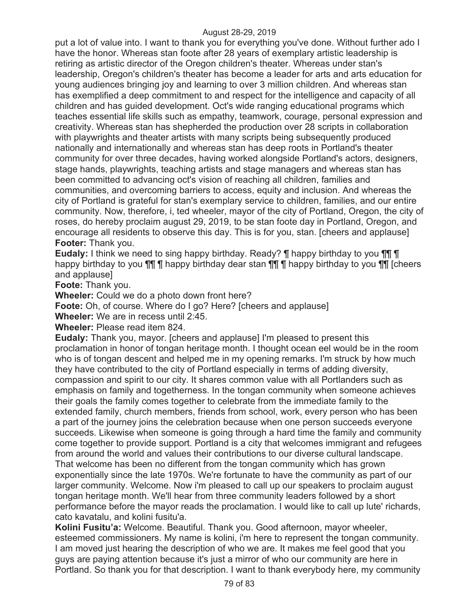put a lot of value into. I want to thank you for everything you've done. Without further ado I have the honor. Whereas stan foote after 28 years of exemplary artistic leadership is retiring as artistic director of the Oregon children's theater. Whereas under stan's leadership, Oregon's children's theater has become a leader for arts and arts education for young audiences bringing joy and learning to over 3 million children. And whereas stan has exemplified a deep commitment to and respect for the intelligence and capacity of all children and has guided development. Oct's wide ranging educational programs which teaches essential life skills such as empathy, teamwork, courage, personal expression and creativity. Whereas stan has shepherded the production over 28 scripts in collaboration with playwrights and theater artists with many scripts being subsequently produced nationally and internationally and whereas stan has deep roots in Portland's theater community for over three decades, having worked alongside Portland's actors, designers, stage hands, playwrights, teaching artists and stage managers and whereas stan has been committed to advancing oct's vision of reaching all children, families and communities, and overcoming barriers to access, equity and inclusion. And whereas the city of Portland is grateful for stan's exemplary service to children, families, and our entire community. Now, therefore, i, ted wheeler, mayor of the city of Portland, Oregon, the city of roses, do hereby proclaim august 29, 2019, to be stan foote day in Portland, Oregon, and encourage all residents to observe this day. This is for you, stan. [cheers and applause] **Footer:** Thank you.

**Eudaly:** I think we need to sing happy birthday. Ready? ¶ happy birthday to you ¶¶ ¶ happy birthday to you  $\P\P$   $\P$  happy birthday dear stan  $\P\P$  $\P$   $\P$  happy birthday to you  $\P\P$  [cheers and applause]

**Foote:** Thank you.

**Wheeler:** Could we do a photo down front here?

**Foote:** Oh, of course. Where do I go? Here? [cheers and applause]

**Wheeler:** We are in recess until 2:45.

**Wheeler:** Please read item 824.

**Eudaly:** Thank you, mayor. [cheers and applause] I'm pleased to present this proclamation in honor of tongan heritage month. I thought ocean eel would be in the room who is of tongan descent and helped me in my opening remarks. I'm struck by how much they have contributed to the city of Portland especially in terms of adding diversity, compassion and spirit to our city. It shares common value with all Portlanders such as emphasis on family and togetherness. In the tongan community when someone achieves their goals the family comes together to celebrate from the immediate family to the extended family, church members, friends from school, work, every person who has been a part of the journey joins the celebration because when one person succeeds everyone succeeds. Likewise when someone is going through a hard time the family and community come together to provide support. Portland is a city that welcomes immigrant and refugees from around the world and values their contributions to our diverse cultural landscape. That welcome has been no different from the tongan community which has grown exponentially since the late 1970s. We're fortunate to have the community as part of our larger community. Welcome. Now i'm pleased to call up our speakers to proclaim august tongan heritage month. We'll hear from three community leaders followed by a short performance before the mayor reads the proclamation. I would like to call up lute' richards, cato kavatalu, and kolini fusitu'a.

**Kolini Fusitu'a:** Welcome. Beautiful. Thank you. Good afternoon, mayor wheeler, esteemed commissioners. My name is kolini, i'm here to represent the tongan community. I am moved just hearing the description of who we are. It makes me feel good that you guys are paying attention because it's just a mirror of who our community are here in Portland. So thank you for that description. I want to thank everybody here, my community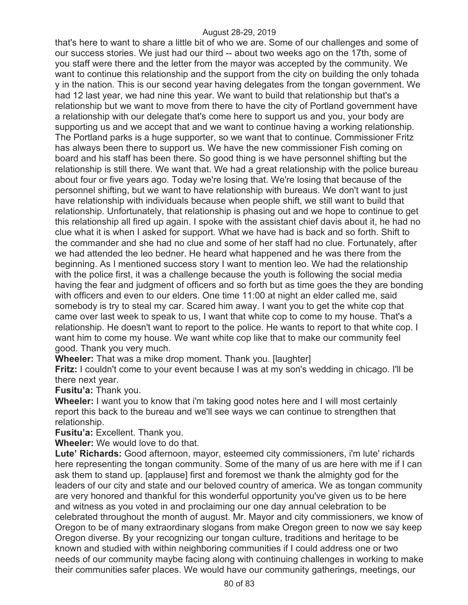that's here to want to share a little bit of who we are. Some of our challenges and some of our success stories. We just had our third -- about two weeks ago on the 17th, some of you staff were there and the letter from the mayor was accepted by the community. We want to continue this relationship and the support from the city on building the only tohada y in the nation. This is our second year having delegates from the tongan government. We had 12 last year, we had nine this year. We want to build that relationship but that's a relationship but we want to move from there to have the city of Portland government have a relationship with our delegate that's come here to support us and you, your body are supporting us and we accept that and we want to continue having a working relationship. The Portland parks is a huge supporter, so we want that to continue. Commissioner Fritz has always been there to support us. We have the new commissioner Fish coming on board and his staff has been there. So good thing is we have personnel shifting but the relationship is still there. We want that. We had a great relationship with the police bureau about four or five years ago. Today we're losing that. We're losing that because of the personnel shifting, but we want to have relationship with bureaus. We don't want to just have relationship with individuals because when people shift, we still want to build that relationship. Unfortunately, that relationship is phasing out and we hope to continue to get this relationship all fired up again. I spoke with the assistant chief davis about it, he had no clue what it is when I asked for support. What we have had is back and so forth. Shift to the commander and she had no clue and some of her staff had no clue. Fortunately, after we had attended the leo bedner. He heard what happened and he was there from the beginning. As I mentioned success story I want to mention leo. We had the relationship with the police first, it was a challenge because the youth is following the social media having the fear and judgment of officers and so forth but as time goes the they are bonding with officers and even to our elders. One time 11:00 at night an elder called me, said somebody is try to steal my car. Scared him away. I want you to get the white cop that came over last week to speak to us, I want that white cop to come to my house. That's a relationship. He doesn't want to report to the police. He wants to report to that white cop. I want him to come my house. We want white cop like that to make our community feel good. Thank you very much.

**Wheeler:** That was a mike drop moment. Thank you. [laughter]

**Fritz:** I couldn't come to your event because I was at my son's wedding in chicago. I'll be there next year.

**Fusitu'a:** Thank you.

**Wheeler:** I want you to know that i'm taking good notes here and I will most certainly report this back to the bureau and we'll see ways we can continue to strengthen that relationship.

**Fusitu'a:** Excellent. Thank you.

**Wheeler:** We would love to do that.

**Lute' Richards:** Good afternoon, mayor, esteemed city commissioners, i'm lute' richards here representing the tongan community. Some of the many of us are here with me if I can ask them to stand up. [applause] first and foremost we thank the almighty god for the leaders of our city and state and our beloved country of america. We as tongan community are very honored and thankful for this wonderful opportunity you've given us to be here and witness as you voted in and proclaiming our one day annual celebration to be celebrated throughout the month of august. Mr. Mayor and city commissioners, we know of Oregon to be of many extraordinary slogans from make Oregon green to now we say keep Oregon diverse. By your recognizing our tongan culture, traditions and heritage to be known and studied with within neighboring communities if I could address one or two needs of our community maybe facing along with continuing challenges in working to make their communities safer places. We would have our community gatherings, meetings, our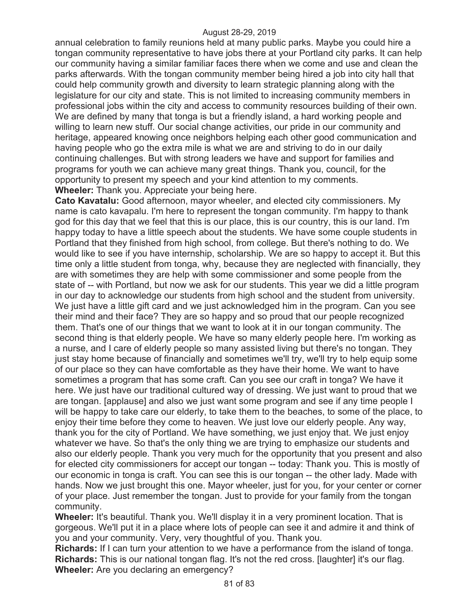annual celebration to family reunions held at many public parks. Maybe you could hire a tongan community representative to have jobs there at your Portland city parks. It can help our community having a similar familiar faces there when we come and use and clean the parks afterwards. With the tongan community member being hired a job into city hall that could help community growth and diversity to learn strategic planning along with the legislature for our city and state. This is not limited to increasing community members in professional jobs within the city and access to community resources building of their own. We are defined by many that tonga is but a friendly island, a hard working people and willing to learn new stuff. Our social change activities, our pride in our community and heritage, appeared knowing once neighbors helping each other good communication and having people who go the extra mile is what we are and striving to do in our daily continuing challenges. But with strong leaders we have and support for families and programs for youth we can achieve many great things. Thank you, council, for the opportunity to present my speech and your kind attention to my comments. **Wheeler:** Thank you. Appreciate your being here.

**Cato Kavatalu:** Good afternoon, mayor wheeler, and elected city commissioners. My name is cato kavapalu. I'm here to represent the tongan community. I'm happy to thank god for this day that we feel that this is our place, this is our country, this is our land. I'm happy today to have a little speech about the students. We have some couple students in Portland that they finished from high school, from college. But there's nothing to do. We would like to see if you have internship, scholarship. We are so happy to accept it. But this time only a little student from tonga, why, because they are neglected with financially, they are with sometimes they are help with some commissioner and some people from the state of -- with Portland, but now we ask for our students. This year we did a little program in our day to acknowledge our students from high school and the student from university. We just have a little gift card and we just acknowledged him in the program. Can you see their mind and their face? They are so happy and so proud that our people recognized them. That's one of our things that we want to look at it in our tongan community. The second thing is that elderly people. We have so many elderly people here. I'm working as a nurse, and I care of elderly people so many assisted living but there's no tongan. They just stay home because of financially and sometimes we'll try, we'll try to help equip some of our place so they can have comfortable as they have their home. We want to have sometimes a program that has some craft. Can you see our craft in tonga? We have it here. We just have our traditional cultured way of dressing. We just want to proud that we are tongan. [applause] and also we just want some program and see if any time people I will be happy to take care our elderly, to take them to the beaches, to some of the place, to enjoy their time before they come to heaven. We just love our elderly people. Any way, thank you for the city of Portland. We have something, we just enjoy that. We just enjoy whatever we have. So that's the only thing we are trying to emphasize our students and also our elderly people. Thank you very much for the opportunity that you present and also for elected city commissioners for accept our tongan -- today: Thank you. This is mostly of our economic in tonga is craft. You can see this is our tongan -- the other lady. Made with hands. Now we just brought this one. Mayor wheeler, just for you, for your center or corner of your place. Just remember the tongan. Just to provide for your family from the tongan community.

**Wheeler:** It's beautiful. Thank you. We'll display it in a very prominent location. That is gorgeous. We'll put it in a place where lots of people can see it and admire it and think of you and your community. Very, very thoughtful of you. Thank you.

**Richards:** If I can turn your attention to we have a performance from the island of tonga. **Richards:** This is our national tongan flag. It's not the red cross. [laughter] it's our flag. **Wheeler:** Are you declaring an emergency?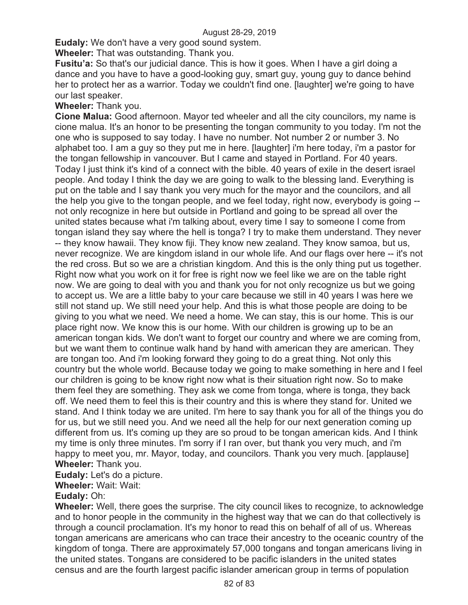**Eudaly:** We don't have a very good sound system.

**Wheeler:** That was outstanding. Thank you.

**Fusitu'a:** So that's our judicial dance. This is how it goes. When I have a girl doing a dance and you have to have a good-looking guy, smart guy, young guy to dance behind her to protect her as a warrior. Today we couldn't find one. [laughter] we're going to have our last speaker.

#### **Wheeler:** Thank you.

**Cione Malua:** Good afternoon. Mayor ted wheeler and all the city councilors, my name is cione malua. It's an honor to be presenting the tongan community to you today. I'm not the one who is supposed to say today. I have no number. Not number 2 or number 3. No alphabet too. I am a guy so they put me in here. [laughter] i'm here today, i'm a pastor for the tongan fellowship in vancouver. But I came and stayed in Portland. For 40 years. Today I just think it's kind of a connect with the bible. 40 years of exile in the desert israel people. And today I think the day we are going to walk to the blessing land. Everything is put on the table and I say thank you very much for the mayor and the councilors, and all the help you give to the tongan people, and we feel today, right now, everybody is going - not only recognize in here but outside in Portland and going to be spread all over the united states because what i'm talking about, every time I say to someone I come from tongan island they say where the hell is tonga? I try to make them understand. They never -- they know hawaii. They know fiji. They know new zealand. They know samoa, but us, never recognize. We are kingdom island in our whole life. And our flags over here -- it's not the red cross. But so we are a christian kingdom. And this is the only thing put us together. Right now what you work on it for free is right now we feel like we are on the table right now. We are going to deal with you and thank you for not only recognize us but we going to accept us. We are a little baby to your care because we still in 40 years I was here we still not stand up. We still need your help. And this is what those people are doing to be giving to you what we need. We need a home. We can stay, this is our home. This is our place right now. We know this is our home. With our children is growing up to be an american tongan kids. We don't want to forget our country and where we are coming from, but we want them to continue walk hand by hand with american they are american. They are tongan too. And i'm looking forward they going to do a great thing. Not only this country but the whole world. Because today we going to make something in here and I feel our children is going to be know right now what is their situation right now. So to make them feel they are something. They ask we come from tonga, where is tonga, they back off. We need them to feel this is their country and this is where they stand for. United we stand. And I think today we are united. I'm here to say thank you for all of the things you do for us, but we still need you. And we need all the help for our next generation coming up different from us. It's coming up they are so proud to be tongan american kids. And I think my time is only three minutes. I'm sorry if I ran over, but thank you very much, and i'm happy to meet you, mr. Mayor, today, and councilors. Thank you very much. [applause] **Wheeler:** Thank you.

**Eudaly:** Let's do a picture.

**Wheeler:** Wait: Wait:

### **Eudaly:** Oh:

**Wheeler:** Well, there goes the surprise. The city council likes to recognize, to acknowledge and to honor people in the community in the highest way that we can do that collectively is through a council proclamation. It's my honor to read this on behalf of all of us. Whereas tongan americans are americans who can trace their ancestry to the oceanic country of the kingdom of tonga. There are approximately 57,000 tongans and tongan americans living in the united states. Tongans are considered to be pacific islanders in the united states census and are the fourth largest pacific islander american group in terms of population